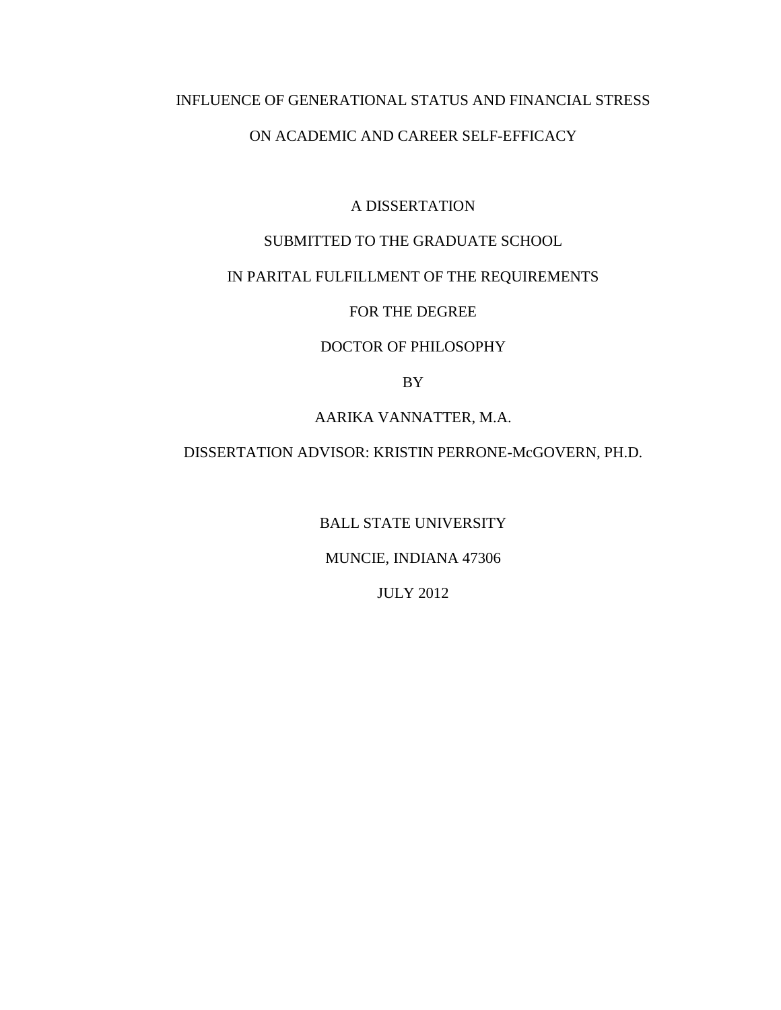## INFLUENCE OF GENERATIONAL STATUS AND FINANCIAL STRESS

# ON ACADEMIC AND CAREER SELF-EFFICACY

### A DISSERTATION

# SUBMITTED TO THE GRADUATE SCHOOL

# IN PARITAL FULFILLMENT OF THE REQUIREMENTS

# FOR THE DEGREE

# DOCTOR OF PHILOSOPHY

BY

### AARIKA VANNATTER, M.A.

## DISSERTATION ADVISOR: KRISTIN PERRONE-McGOVERN, PH.D.

BALL STATE UNIVERSITY

### MUNCIE, INDIANA 47306

JULY 2012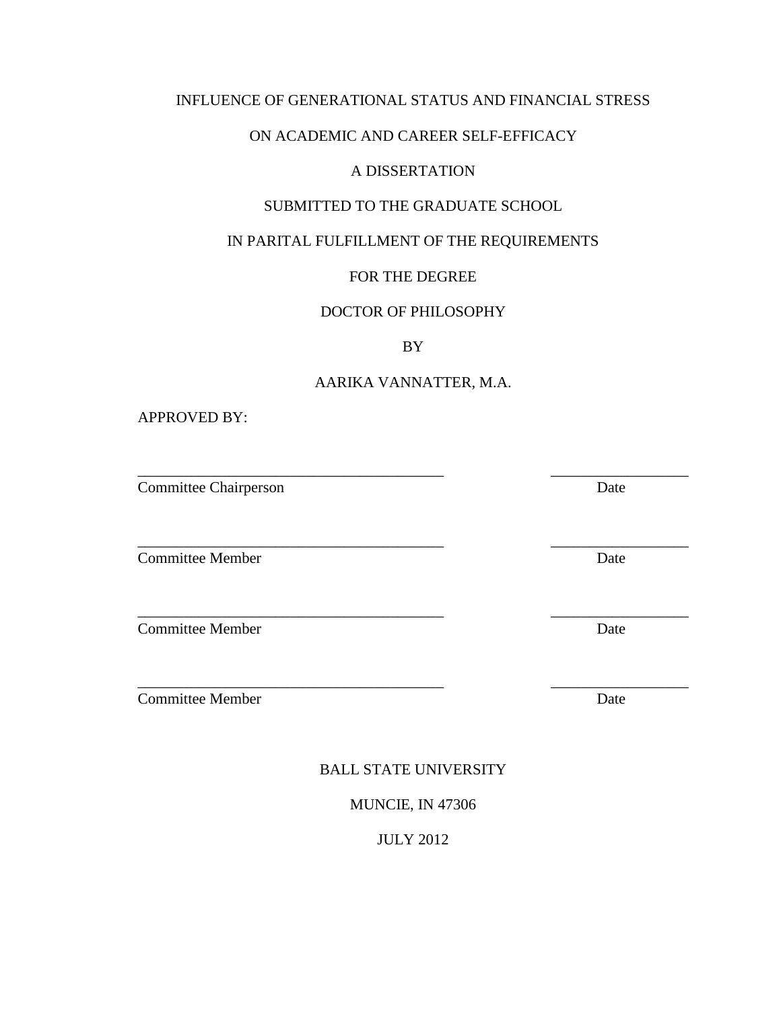## INFLUENCE OF GENERATIONAL STATUS AND FINANCIAL STRESS

# ON ACADEMIC AND CAREER SELF-EFFICACY

# A DISSERTATION

# SUBMITTED TO THE GRADUATE SCHOOL

# IN PARITAL FULFILLMENT OF THE REQUIREMENTS

# FOR THE DEGREE

## DOCTOR OF PHILOSOPHY

## BY

## AARIKA VANNATTER, M.A.

\_\_\_\_\_\_\_\_\_\_\_\_\_\_\_\_\_\_\_\_\_\_\_\_\_\_\_\_\_\_\_\_\_\_\_\_\_\_\_\_ \_\_\_\_\_\_\_\_\_\_\_\_\_\_\_\_\_\_

\_\_\_\_\_\_\_\_\_\_\_\_\_\_\_\_\_\_\_\_\_\_\_\_\_\_\_\_\_\_\_\_\_\_\_\_\_\_\_\_ \_\_\_\_\_\_\_\_\_\_\_\_\_\_\_\_\_\_

APPROVED BY:

Committee Chairperson Date

**Committee Member** Date

\_\_\_\_\_\_\_\_\_\_\_\_\_\_\_\_\_\_\_\_\_\_\_\_\_\_\_\_\_\_\_\_\_\_\_\_\_\_\_\_ \_\_\_\_\_\_\_\_\_\_\_\_\_\_\_\_\_\_ **Committee Member Date** 

**Committee Member Date** 

\_\_\_\_\_\_\_\_\_\_\_\_\_\_\_\_\_\_\_\_\_\_\_\_\_\_\_\_\_\_\_\_\_\_\_\_\_\_\_\_ \_\_\_\_\_\_\_\_\_\_\_\_\_\_\_\_\_\_

BALL STATE UNIVERSITY

MUNCIE, IN 47306

JULY 2012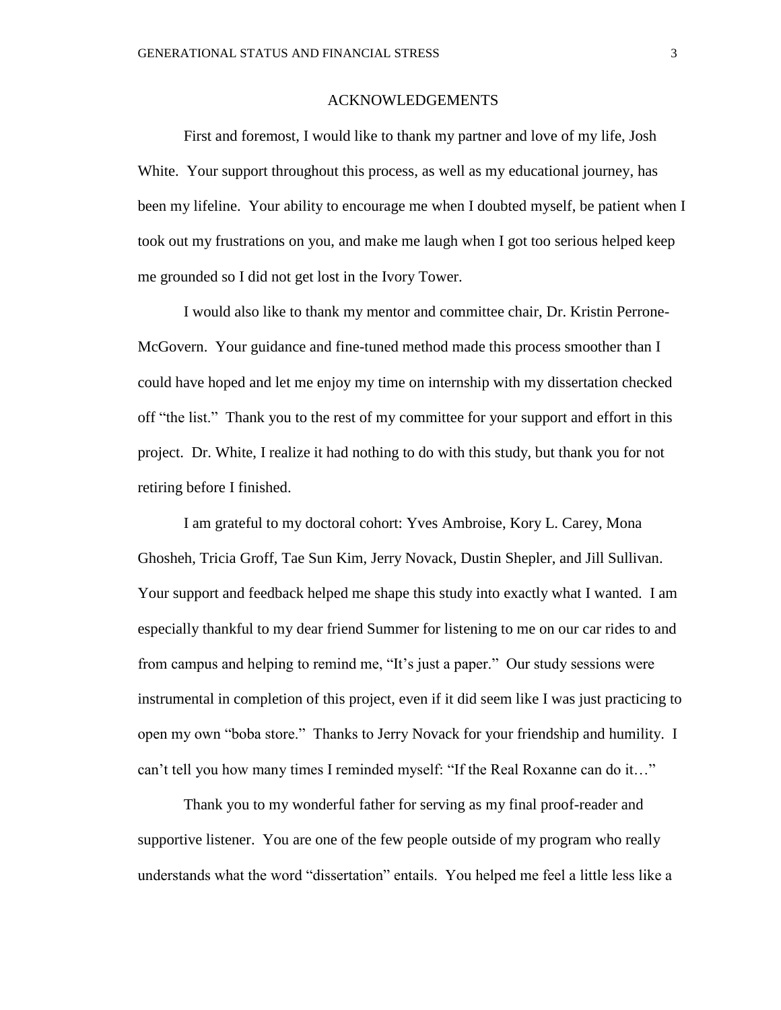#### ACKNOWLEDGEMENTS

First and foremost, I would like to thank my partner and love of my life, Josh White. Your support throughout this process, as well as my educational journey, has been my lifeline. Your ability to encourage me when I doubted myself, be patient when I took out my frustrations on you, and make me laugh when I got too serious helped keep me grounded so I did not get lost in the Ivory Tower.

I would also like to thank my mentor and committee chair, Dr. Kristin Perrone-McGovern. Your guidance and fine-tuned method made this process smoother than I could have hoped and let me enjoy my time on internship with my dissertation checked off "the list." Thank you to the rest of my committee for your support and effort in this project. Dr. White, I realize it had nothing to do with this study, but thank you for not retiring before I finished.

I am grateful to my doctoral cohort: Yves Ambroise, Kory L. Carey, Mona Ghosheh, Tricia Groff, Tae Sun Kim, Jerry Novack, Dustin Shepler, and Jill Sullivan. Your support and feedback helped me shape this study into exactly what I wanted. I am especially thankful to my dear friend Summer for listening to me on our car rides to and from campus and helping to remind me, "It's just a paper." Our study sessions were instrumental in completion of this project, even if it did seem like I was just practicing to open my own "boba store." Thanks to Jerry Novack for your friendship and humility. I can't tell you how many times I reminded myself: "If the Real Roxanne can do it…"

Thank you to my wonderful father for serving as my final proof-reader and supportive listener. You are one of the few people outside of my program who really understands what the word "dissertation" entails. You helped me feel a little less like a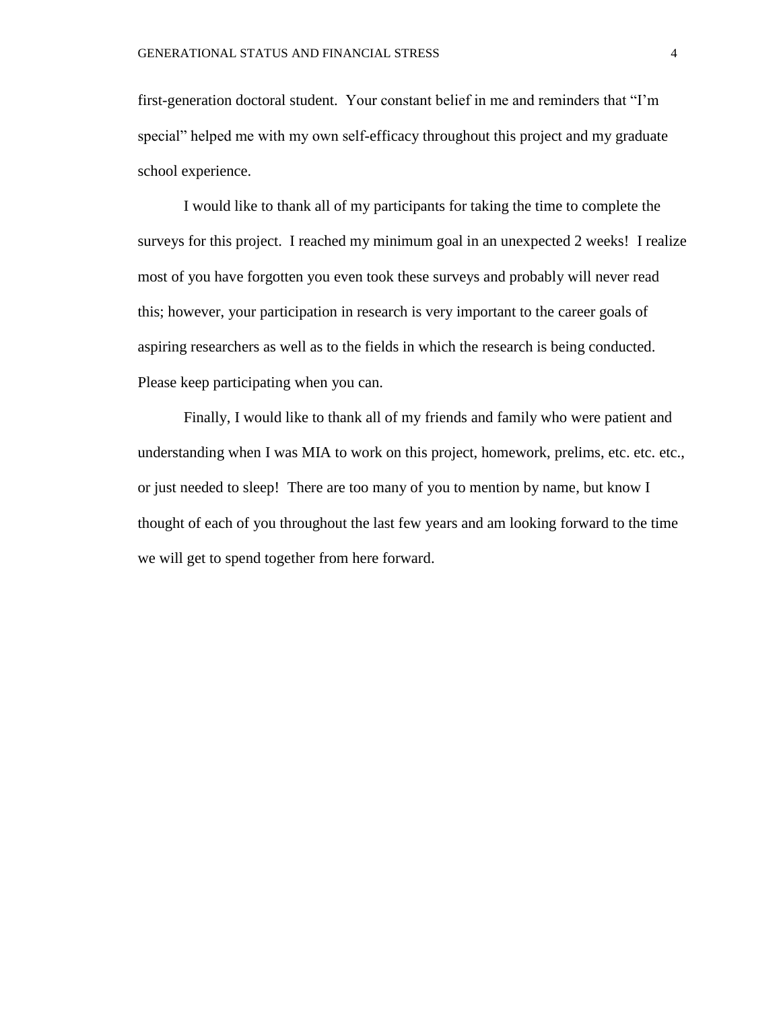first-generation doctoral student. Your constant belief in me and reminders that "I'm special" helped me with my own self-efficacy throughout this project and my graduate school experience.

I would like to thank all of my participants for taking the time to complete the surveys for this project. I reached my minimum goal in an unexpected 2 weeks! I realize most of you have forgotten you even took these surveys and probably will never read this; however, your participation in research is very important to the career goals of aspiring researchers as well as to the fields in which the research is being conducted. Please keep participating when you can.

Finally, I would like to thank all of my friends and family who were patient and understanding when I was MIA to work on this project, homework, prelims, etc. etc. etc., or just needed to sleep! There are too many of you to mention by name, but know I thought of each of you throughout the last few years and am looking forward to the time we will get to spend together from here forward.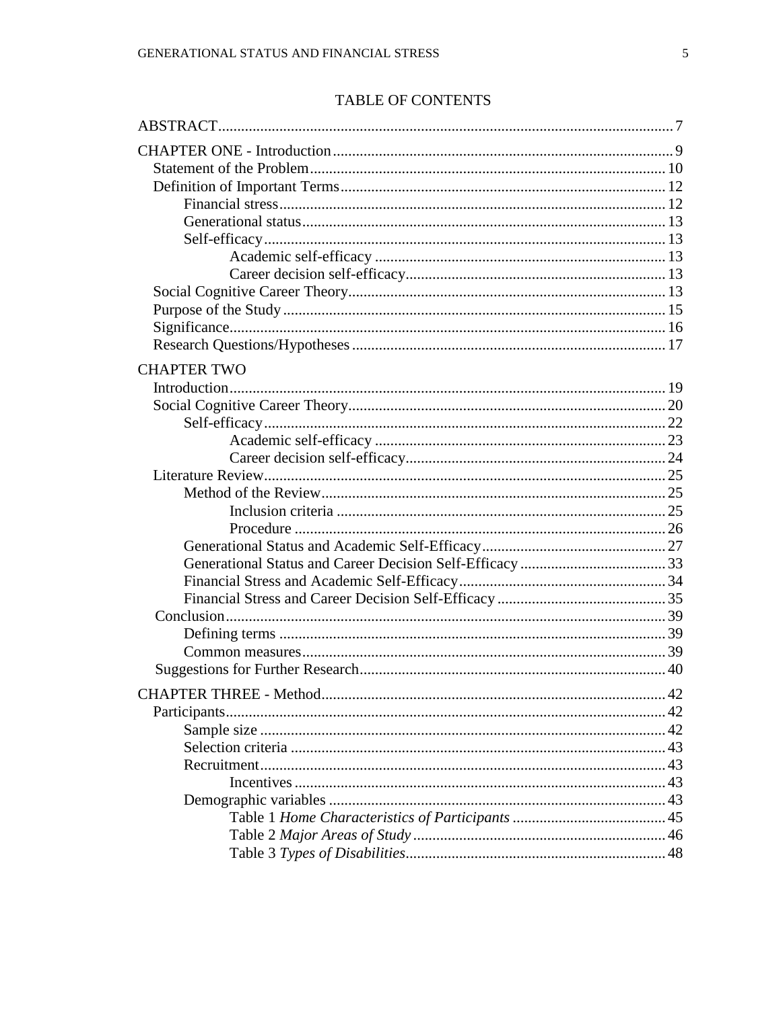# **TABLE OF CONTENTS**

| <b>CHAPTER TWO</b> |  |
|--------------------|--|
|                    |  |
|                    |  |
|                    |  |
|                    |  |
|                    |  |
|                    |  |
|                    |  |
|                    |  |
|                    |  |
|                    |  |
|                    |  |
|                    |  |
|                    |  |
|                    |  |
|                    |  |
|                    |  |
|                    |  |
|                    |  |
|                    |  |
|                    |  |
|                    |  |
|                    |  |
|                    |  |
|                    |  |
|                    |  |
|                    |  |
|                    |  |
|                    |  |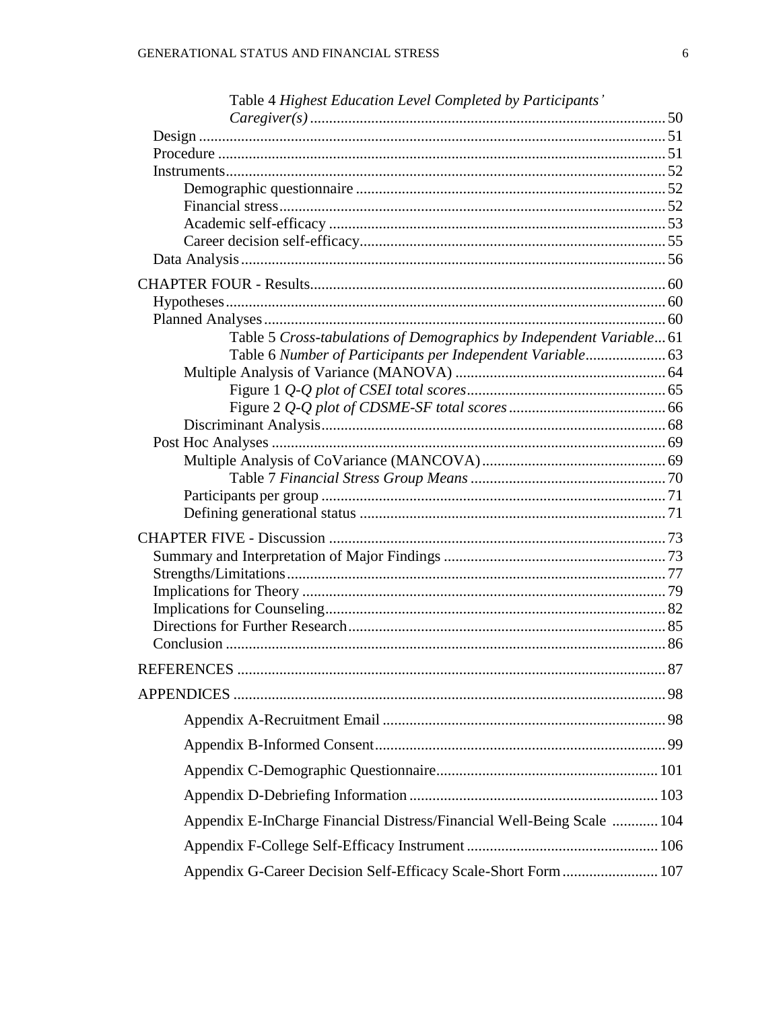| Table 4 Highest Education Level Completed by Participants'             |  |
|------------------------------------------------------------------------|--|
|                                                                        |  |
|                                                                        |  |
|                                                                        |  |
|                                                                        |  |
|                                                                        |  |
|                                                                        |  |
|                                                                        |  |
|                                                                        |  |
|                                                                        |  |
|                                                                        |  |
|                                                                        |  |
| Table 5 Cross-tabulations of Demographics by Independent Variable61    |  |
| Table 6 Number of Participants per Independent Variable 63             |  |
|                                                                        |  |
|                                                                        |  |
|                                                                        |  |
|                                                                        |  |
|                                                                        |  |
|                                                                        |  |
|                                                                        |  |
|                                                                        |  |
|                                                                        |  |
|                                                                        |  |
|                                                                        |  |
|                                                                        |  |
|                                                                        |  |
|                                                                        |  |
|                                                                        |  |
|                                                                        |  |
|                                                                        |  |
|                                                                        |  |
|                                                                        |  |
|                                                                        |  |
|                                                                        |  |
| Appendix E-InCharge Financial Distress/Financial Well-Being Scale  104 |  |
|                                                                        |  |
| Appendix G-Career Decision Self-Efficacy Scale-Short Form  107         |  |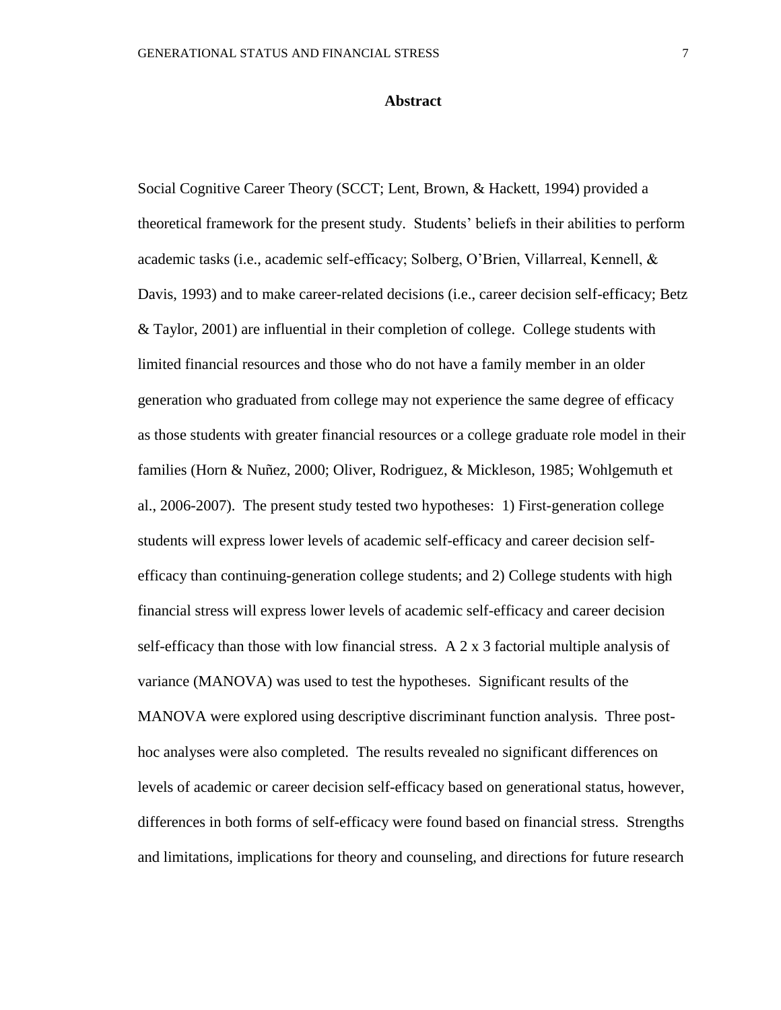### **Abstract**

Social Cognitive Career Theory (SCCT; Lent, Brown, & Hackett, 1994) provided a theoretical framework for the present study. Students' beliefs in their abilities to perform academic tasks (i.e., academic self-efficacy; Solberg, O'Brien, Villarreal, Kennell, & Davis, 1993) and to make career-related decisions (i.e., career decision self-efficacy; Betz & Taylor, 2001) are influential in their completion of college. College students with limited financial resources and those who do not have a family member in an older generation who graduated from college may not experience the same degree of efficacy as those students with greater financial resources or a college graduate role model in their families (Horn & Nuñez, 2000; Oliver, Rodriguez, & Mickleson, 1985; Wohlgemuth et al., 2006-2007). The present study tested two hypotheses: 1) First-generation college students will express lower levels of academic self-efficacy and career decision selfefficacy than continuing-generation college students; and 2) College students with high financial stress will express lower levels of academic self-efficacy and career decision self-efficacy than those with low financial stress. A 2 x 3 factorial multiple analysis of variance (MANOVA) was used to test the hypotheses. Significant results of the MANOVA were explored using descriptive discriminant function analysis. Three posthoc analyses were also completed. The results revealed no significant differences on levels of academic or career decision self-efficacy based on generational status, however, differences in both forms of self-efficacy were found based on financial stress. Strengths and limitations, implications for theory and counseling, and directions for future research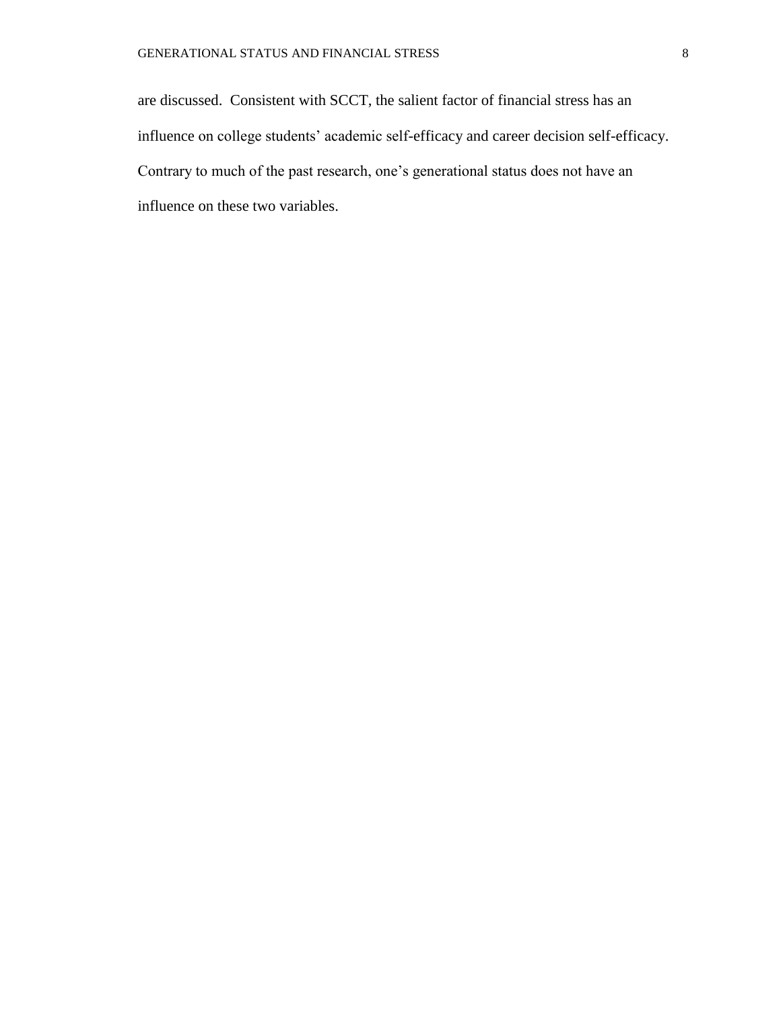are discussed. Consistent with SCCT, the salient factor of financial stress has an influence on college students' academic self-efficacy and career decision self-efficacy. Contrary to much of the past research, one's generational status does not have an influence on these two variables.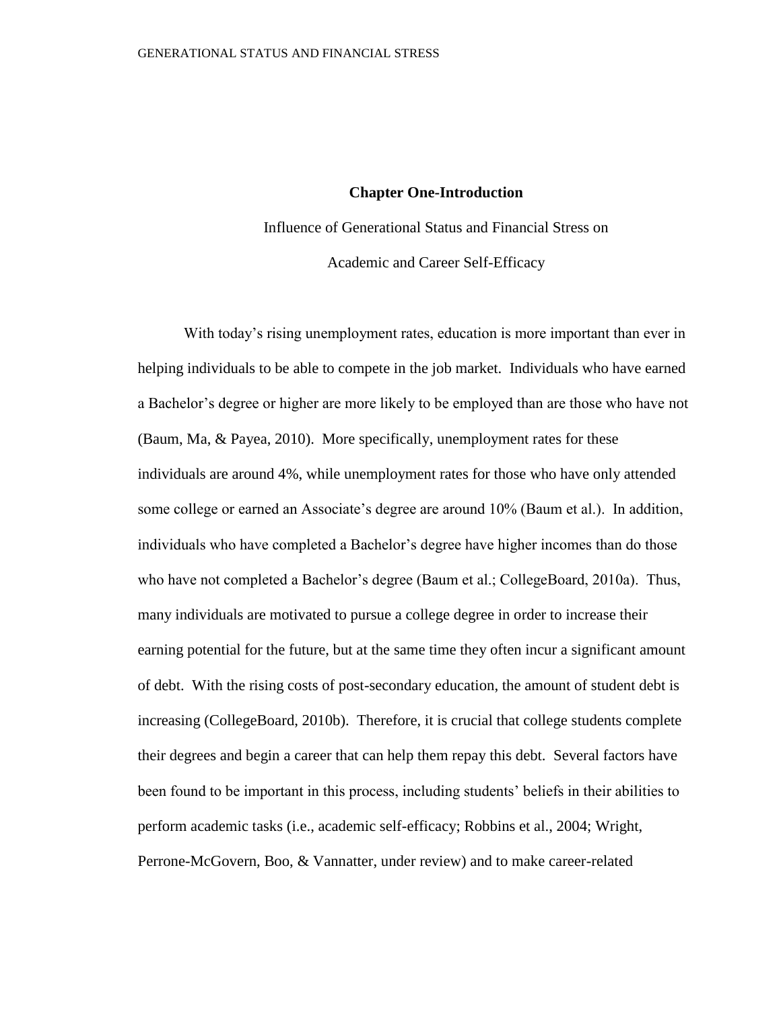### **Chapter One-Introduction**

Influence of Generational Status and Financial Stress on Academic and Career Self-Efficacy

With today's rising unemployment rates, education is more important than ever in helping individuals to be able to compete in the job market. Individuals who have earned a Bachelor's degree or higher are more likely to be employed than are those who have not (Baum, Ma, & Payea, 2010). More specifically, unemployment rates for these individuals are around 4%, while unemployment rates for those who have only attended some college or earned an Associate's degree are around 10% (Baum et al.). In addition, individuals who have completed a Bachelor's degree have higher incomes than do those who have not completed a Bachelor's degree (Baum et al.; CollegeBoard, 2010a). Thus, many individuals are motivated to pursue a college degree in order to increase their earning potential for the future, but at the same time they often incur a significant amount of debt. With the rising costs of post-secondary education, the amount of student debt is increasing (CollegeBoard, 2010b). Therefore, it is crucial that college students complete their degrees and begin a career that can help them repay this debt. Several factors have been found to be important in this process, including students' beliefs in their abilities to perform academic tasks (i.e., academic self-efficacy; Robbins et al., 2004; Wright, Perrone-McGovern, Boo, & Vannatter, under review) and to make career-related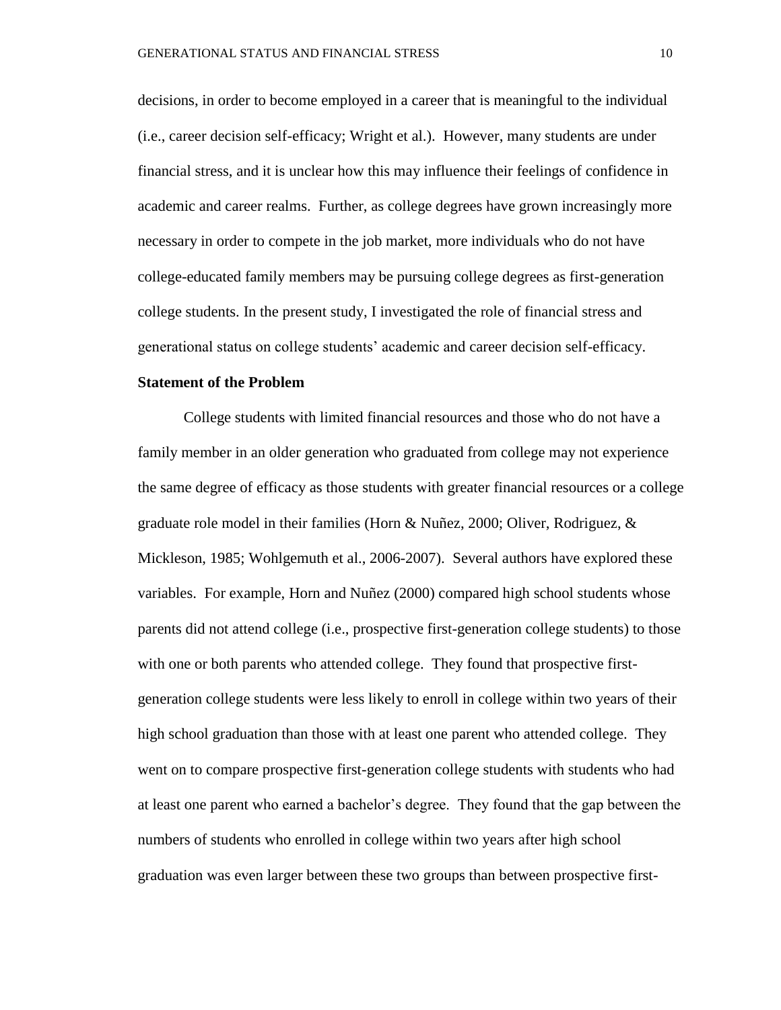decisions, in order to become employed in a career that is meaningful to the individual (i.e., career decision self-efficacy; Wright et al.). However, many students are under financial stress, and it is unclear how this may influence their feelings of confidence in academic and career realms. Further, as college degrees have grown increasingly more necessary in order to compete in the job market, more individuals who do not have college-educated family members may be pursuing college degrees as first-generation college students. In the present study, I investigated the role of financial stress and generational status on college students' academic and career decision self-efficacy.

### **Statement of the Problem**

College students with limited financial resources and those who do not have a family member in an older generation who graduated from college may not experience the same degree of efficacy as those students with greater financial resources or a college graduate role model in their families (Horn & Nuñez, 2000; Oliver, Rodriguez, & Mickleson, 1985; Wohlgemuth et al., 2006-2007). Several authors have explored these variables. For example, Horn and Nuñez (2000) compared high school students whose parents did not attend college (i.e., prospective first-generation college students) to those with one or both parents who attended college. They found that prospective firstgeneration college students were less likely to enroll in college within two years of their high school graduation than those with at least one parent who attended college. They went on to compare prospective first-generation college students with students who had at least one parent who earned a bachelor's degree. They found that the gap between the numbers of students who enrolled in college within two years after high school graduation was even larger between these two groups than between prospective first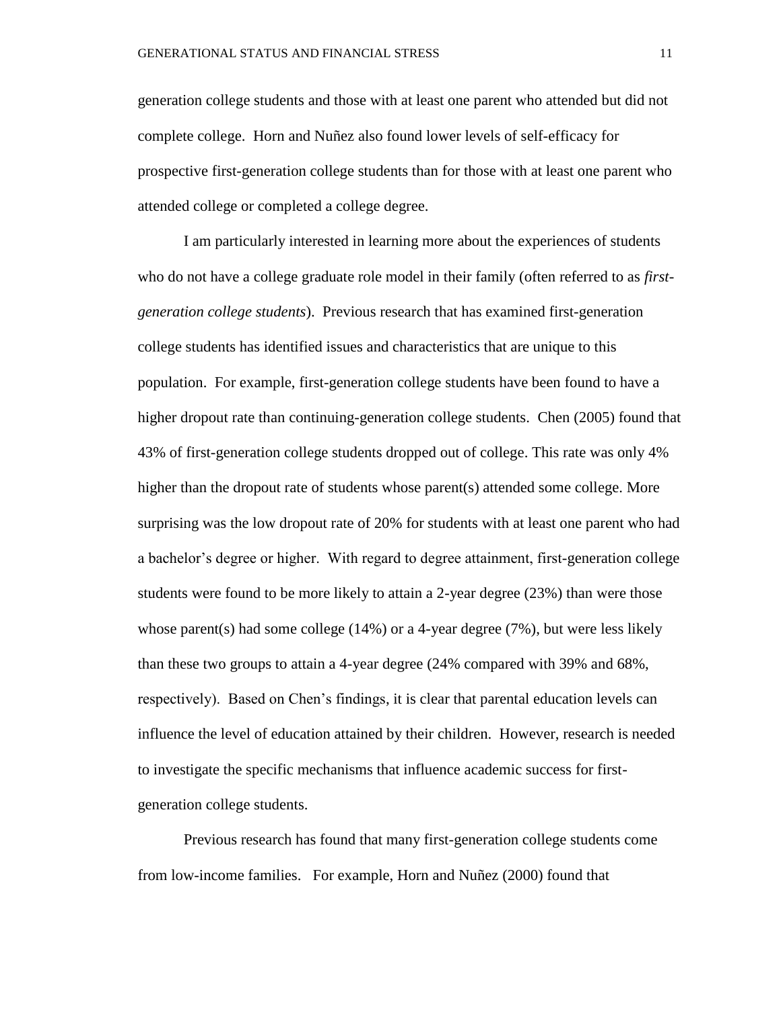generation college students and those with at least one parent who attended but did not complete college. Horn and Nuñez also found lower levels of self-efficacy for prospective first-generation college students than for those with at least one parent who attended college or completed a college degree.

I am particularly interested in learning more about the experiences of students who do not have a college graduate role model in their family (often referred to as *firstgeneration college students*). Previous research that has examined first-generation college students has identified issues and characteristics that are unique to this population. For example, first-generation college students have been found to have a higher dropout rate than continuing-generation college students. Chen (2005) found that 43% of first-generation college students dropped out of college. This rate was only 4% higher than the dropout rate of students whose parent(s) attended some college. More surprising was the low dropout rate of 20% for students with at least one parent who had a bachelor's degree or higher. With regard to degree attainment, first-generation college students were found to be more likely to attain a 2-year degree (23%) than were those whose parent(s) had some college  $(14\%)$  or a 4-year degree  $(7\%)$ , but were less likely than these two groups to attain a 4-year degree (24% compared with 39% and 68%, respectively). Based on Chen's findings, it is clear that parental education levels can influence the level of education attained by their children. However, research is needed to investigate the specific mechanisms that influence academic success for firstgeneration college students.

Previous research has found that many first-generation college students come from low-income families. For example, Horn and Nuñez (2000) found that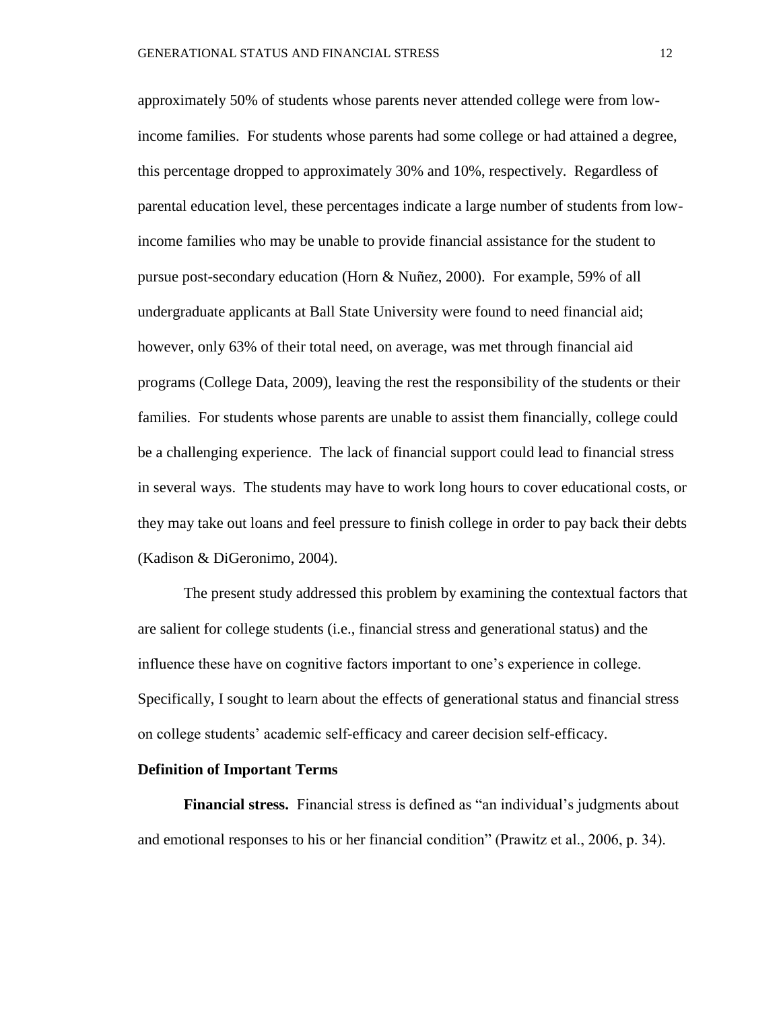approximately 50% of students whose parents never attended college were from lowincome families. For students whose parents had some college or had attained a degree, this percentage dropped to approximately 30% and 10%, respectively. Regardless of parental education level, these percentages indicate a large number of students from lowincome families who may be unable to provide financial assistance for the student to pursue post-secondary education (Horn & Nuñez, 2000). For example, 59% of all undergraduate applicants at Ball State University were found to need financial aid; however, only 63% of their total need, on average, was met through financial aid programs (College Data, 2009), leaving the rest the responsibility of the students or their families. For students whose parents are unable to assist them financially, college could be a challenging experience. The lack of financial support could lead to financial stress in several ways. The students may have to work long hours to cover educational costs, or they may take out loans and feel pressure to finish college in order to pay back their debts (Kadison & DiGeronimo, 2004).

The present study addressed this problem by examining the contextual factors that are salient for college students (i.e., financial stress and generational status) and the influence these have on cognitive factors important to one's experience in college. Specifically, I sought to learn about the effects of generational status and financial stress on college students' academic self-efficacy and career decision self-efficacy.

### **Definition of Important Terms**

**Financial stress.** Financial stress is defined as "an individual's judgments about and emotional responses to his or her financial condition" (Prawitz et al., 2006, p. 34).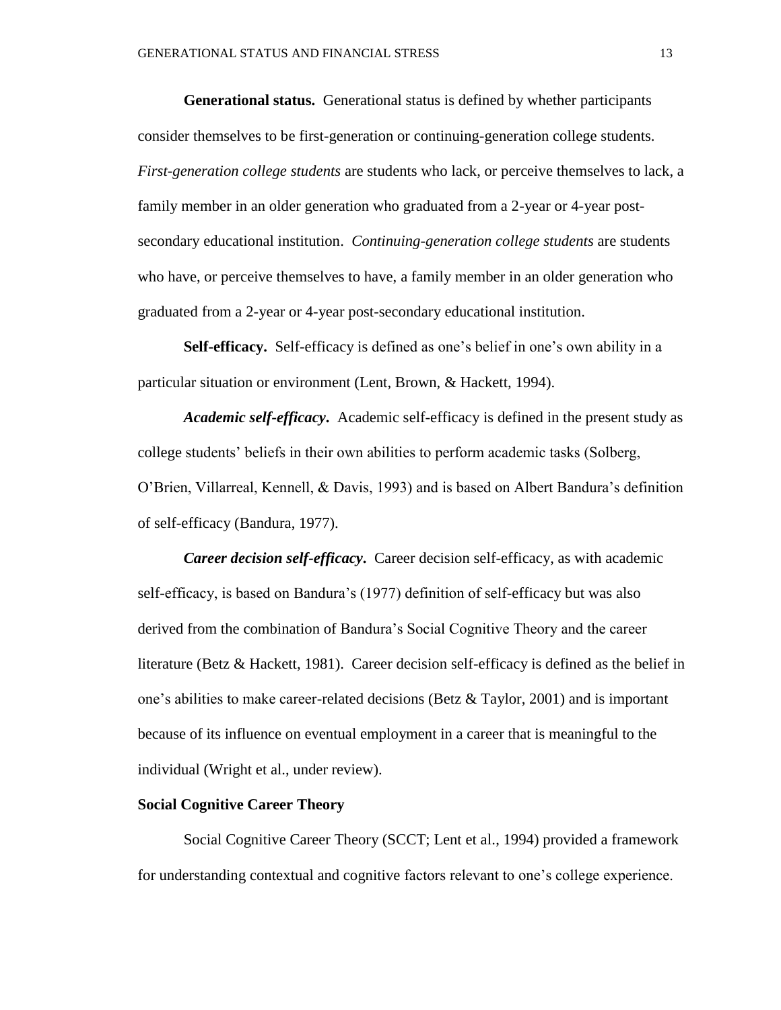**Generational status.** Generational status is defined by whether participants consider themselves to be first-generation or continuing-generation college students. *First-generation college students* are students who lack, or perceive themselves to lack, a family member in an older generation who graduated from a 2-year or 4-year postsecondary educational institution. *Continuing-generation college students* are students who have, or perceive themselves to have, a family member in an older generation who graduated from a 2-year or 4-year post-secondary educational institution.

**Self-efficacy.** Self-efficacy is defined as one's belief in one's own ability in a particular situation or environment (Lent, Brown, & Hackett, 1994).

*Academic self-efficacy***.** Academic self-efficacy is defined in the present study as college students' beliefs in their own abilities to perform academic tasks (Solberg, O'Brien, Villarreal, Kennell, & Davis, 1993) and is based on Albert Bandura's definition of self-efficacy (Bandura, 1977).

*Career decision self-efficacy***.** Career decision self-efficacy, as with academic self-efficacy, is based on Bandura's (1977) definition of self-efficacy but was also derived from the combination of Bandura's Social Cognitive Theory and the career literature (Betz & Hackett, 1981). Career decision self-efficacy is defined as the belief in one's abilities to make career-related decisions (Betz & Taylor, 2001) and is important because of its influence on eventual employment in a career that is meaningful to the individual (Wright et al., under review).

### **Social Cognitive Career Theory**

Social Cognitive Career Theory (SCCT; Lent et al., 1994) provided a framework for understanding contextual and cognitive factors relevant to one's college experience.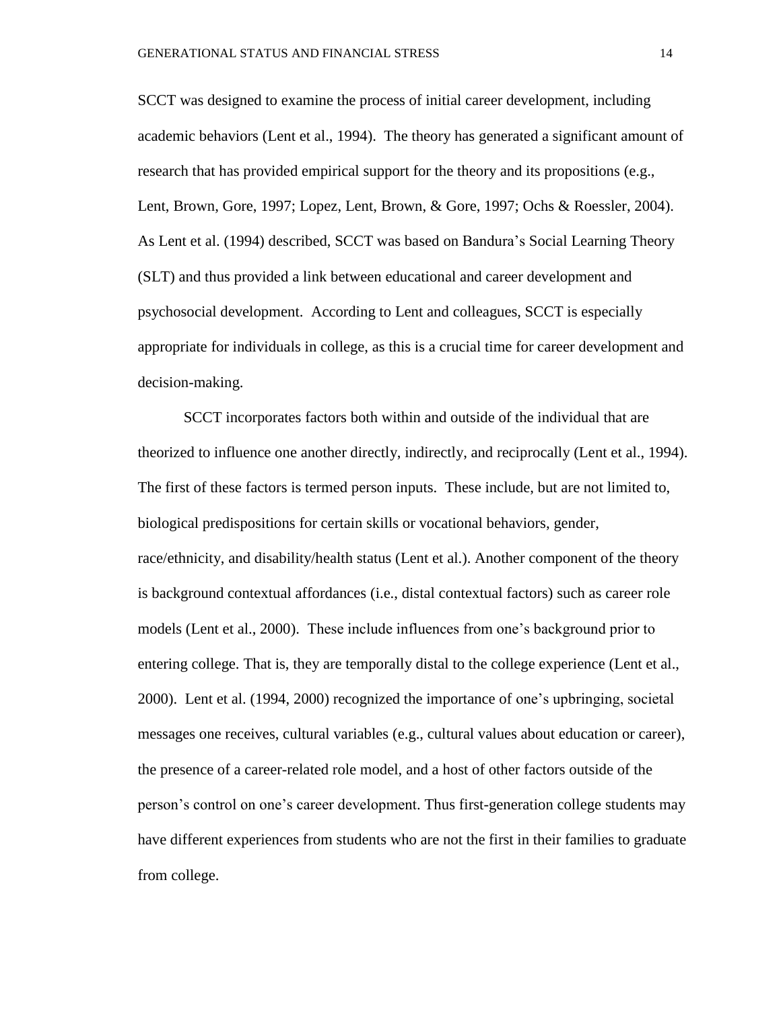SCCT was designed to examine the process of initial career development, including academic behaviors (Lent et al., 1994). The theory has generated a significant amount of research that has provided empirical support for the theory and its propositions (e.g., Lent, Brown, Gore, 1997; Lopez, Lent, Brown, & Gore, 1997; Ochs & Roessler, 2004). As Lent et al. (1994) described, SCCT was based on Bandura's Social Learning Theory (SLT) and thus provided a link between educational and career development and psychosocial development. According to Lent and colleagues, SCCT is especially appropriate for individuals in college, as this is a crucial time for career development and decision-making.

SCCT incorporates factors both within and outside of the individual that are theorized to influence one another directly, indirectly, and reciprocally (Lent et al., 1994). The first of these factors is termed person inputs. These include, but are not limited to, biological predispositions for certain skills or vocational behaviors, gender, race/ethnicity, and disability/health status (Lent et al.). Another component of the theory is background contextual affordances (i.e., distal contextual factors) such as career role models (Lent et al., 2000). These include influences from one's background prior to entering college. That is, they are temporally distal to the college experience (Lent et al., 2000). Lent et al. (1994, 2000) recognized the importance of one's upbringing, societal messages one receives, cultural variables (e.g., cultural values about education or career), the presence of a career-related role model, and a host of other factors outside of the person's control on one's career development. Thus first-generation college students may have different experiences from students who are not the first in their families to graduate from college.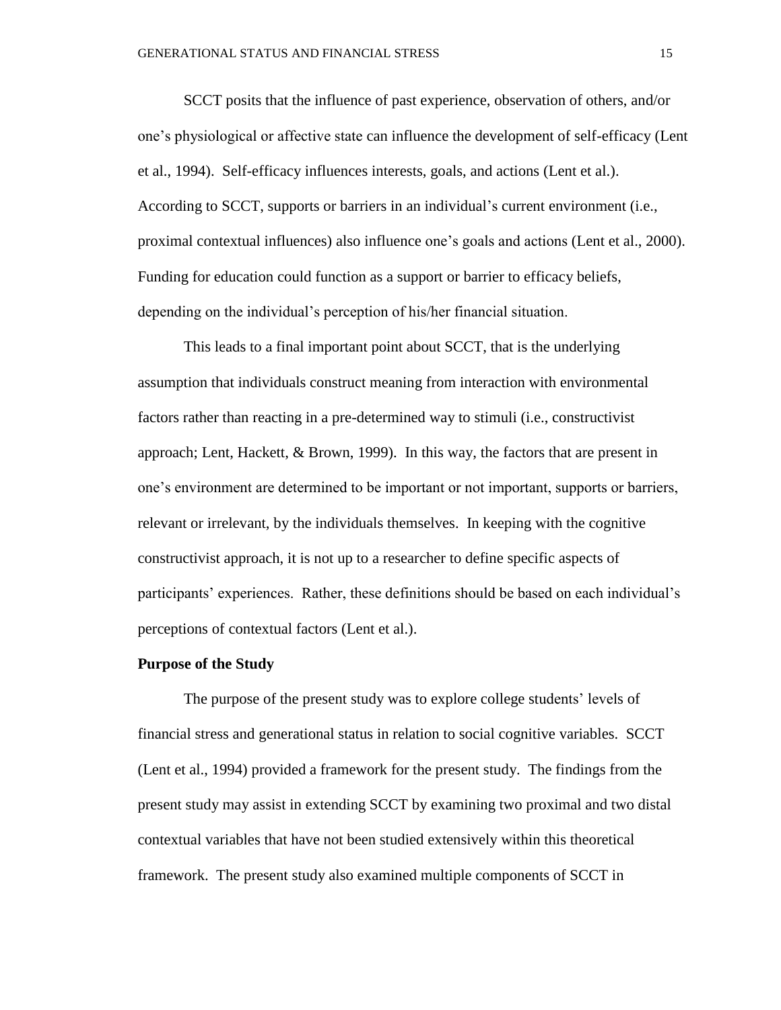SCCT posits that the influence of past experience, observation of others, and/or one's physiological or affective state can influence the development of self-efficacy (Lent et al., 1994). Self-efficacy influences interests, goals, and actions (Lent et al.). According to SCCT, supports or barriers in an individual's current environment (i.e., proximal contextual influences) also influence one's goals and actions (Lent et al., 2000). Funding for education could function as a support or barrier to efficacy beliefs, depending on the individual's perception of his/her financial situation.

This leads to a final important point about SCCT, that is the underlying assumption that individuals construct meaning from interaction with environmental factors rather than reacting in a pre-determined way to stimuli (i.e., constructivist approach; Lent, Hackett, & Brown, 1999). In this way, the factors that are present in one's environment are determined to be important or not important, supports or barriers, relevant or irrelevant, by the individuals themselves. In keeping with the cognitive constructivist approach, it is not up to a researcher to define specific aspects of participants' experiences. Rather, these definitions should be based on each individual's perceptions of contextual factors (Lent et al.).

### **Purpose of the Study**

The purpose of the present study was to explore college students' levels of financial stress and generational status in relation to social cognitive variables. SCCT (Lent et al., 1994) provided a framework for the present study. The findings from the present study may assist in extending SCCT by examining two proximal and two distal contextual variables that have not been studied extensively within this theoretical framework. The present study also examined multiple components of SCCT in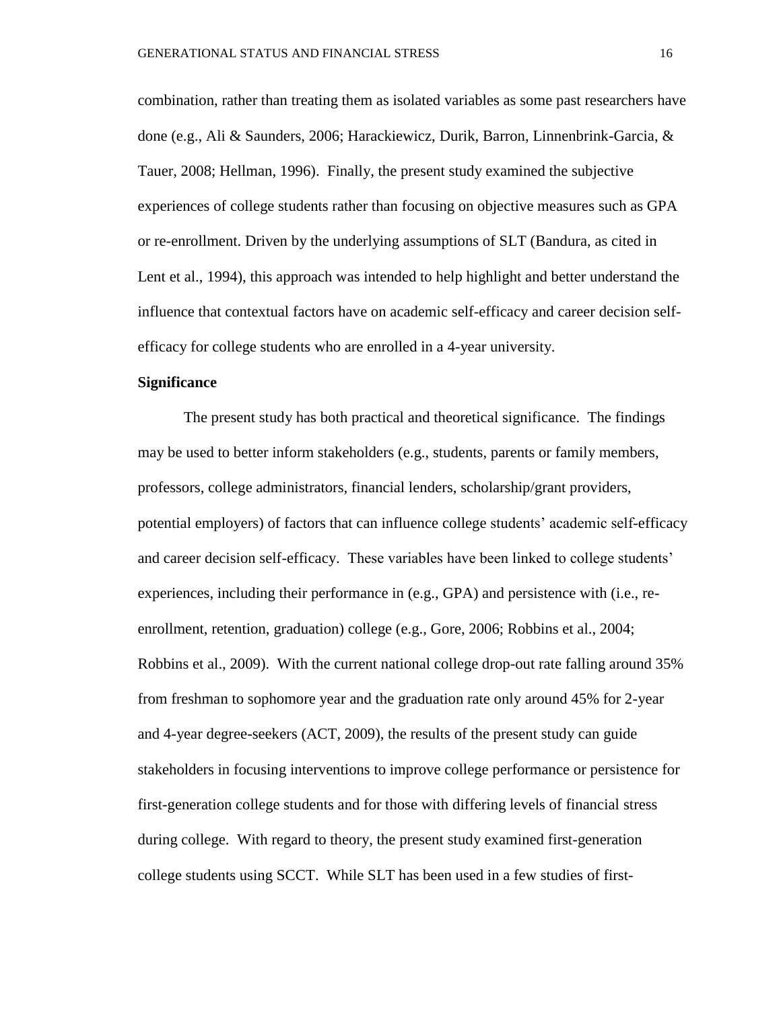combination, rather than treating them as isolated variables as some past researchers have done (e.g., Ali & Saunders, 2006; Harackiewicz, Durik, Barron, Linnenbrink-Garcia, & Tauer, 2008; Hellman, 1996). Finally, the present study examined the subjective experiences of college students rather than focusing on objective measures such as GPA or re-enrollment. Driven by the underlying assumptions of SLT (Bandura, as cited in Lent et al., 1994), this approach was intended to help highlight and better understand the influence that contextual factors have on academic self-efficacy and career decision selfefficacy for college students who are enrolled in a 4-year university.

### **Significance**

The present study has both practical and theoretical significance. The findings may be used to better inform stakeholders (e.g., students, parents or family members, professors, college administrators, financial lenders, scholarship/grant providers, potential employers) of factors that can influence college students' academic self-efficacy and career decision self-efficacy. These variables have been linked to college students' experiences, including their performance in (e.g., GPA) and persistence with (i.e., reenrollment, retention, graduation) college (e.g., Gore, 2006; Robbins et al., 2004; Robbins et al., 2009). With the current national college drop-out rate falling around 35% from freshman to sophomore year and the graduation rate only around 45% for 2-year and 4-year degree-seekers (ACT, 2009), the results of the present study can guide stakeholders in focusing interventions to improve college performance or persistence for first-generation college students and for those with differing levels of financial stress during college. With regard to theory, the present study examined first-generation college students using SCCT. While SLT has been used in a few studies of first-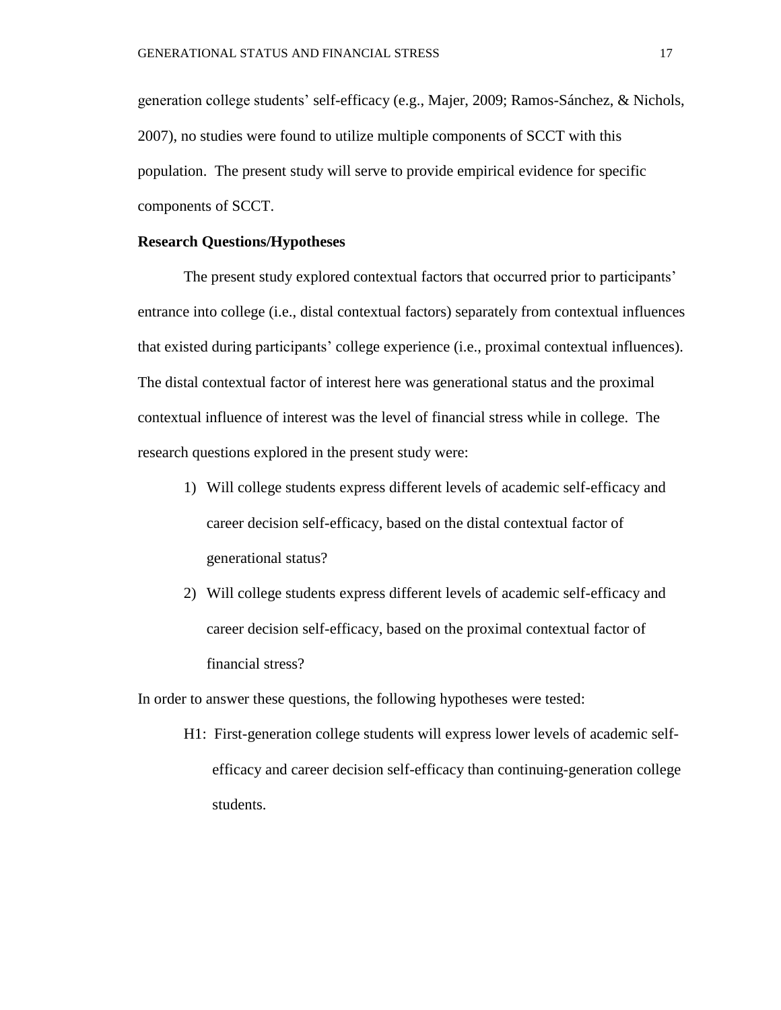generation college students' self-efficacy (e.g., Majer, 2009; Ramos-Sánchez, & Nichols, 2007), no studies were found to utilize multiple components of SCCT with this population. The present study will serve to provide empirical evidence for specific components of SCCT.

### **Research Questions/Hypotheses**

The present study explored contextual factors that occurred prior to participants' entrance into college (i.e., distal contextual factors) separately from contextual influences that existed during participants' college experience (i.e., proximal contextual influences). The distal contextual factor of interest here was generational status and the proximal contextual influence of interest was the level of financial stress while in college. The research questions explored in the present study were:

- 1) Will college students express different levels of academic self-efficacy and career decision self-efficacy, based on the distal contextual factor of generational status?
- 2) Will college students express different levels of academic self-efficacy and career decision self-efficacy, based on the proximal contextual factor of financial stress?

In order to answer these questions, the following hypotheses were tested:

H1: First-generation college students will express lower levels of academic selfefficacy and career decision self-efficacy than continuing-generation college students.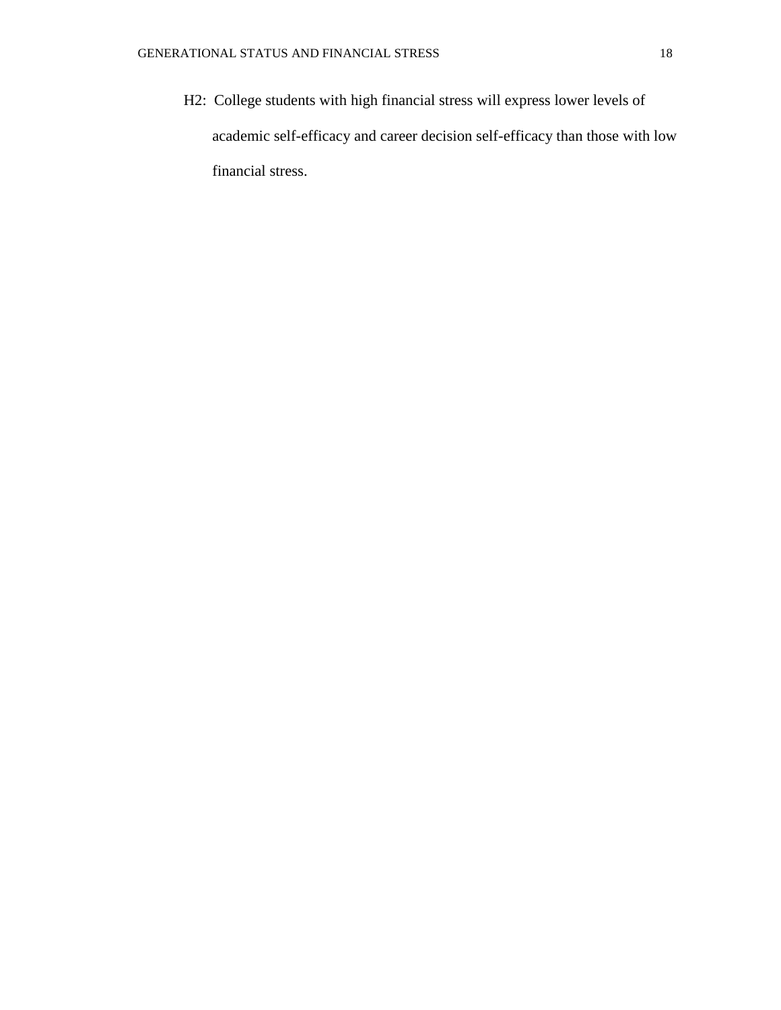H2: College students with high financial stress will express lower levels of academic self-efficacy and career decision self-efficacy than those with low financial stress.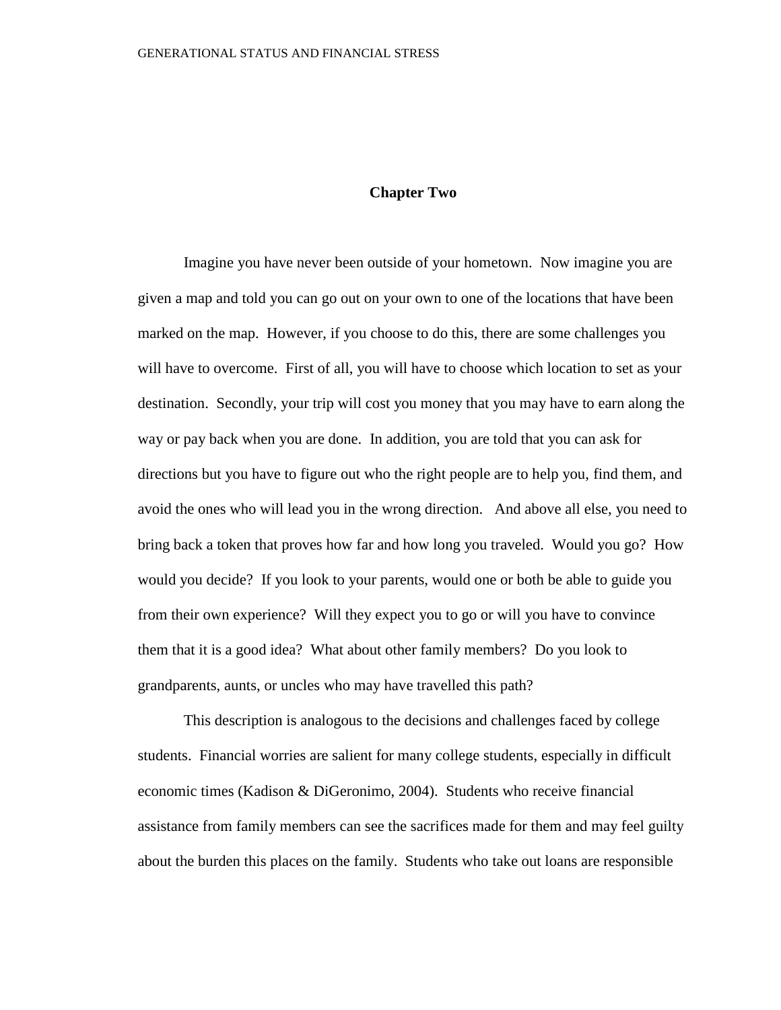### **Chapter Two**

Imagine you have never been outside of your hometown. Now imagine you are given a map and told you can go out on your own to one of the locations that have been marked on the map. However, if you choose to do this, there are some challenges you will have to overcome. First of all, you will have to choose which location to set as your destination. Secondly, your trip will cost you money that you may have to earn along the way or pay back when you are done. In addition, you are told that you can ask for directions but you have to figure out who the right people are to help you, find them, and avoid the ones who will lead you in the wrong direction. And above all else, you need to bring back a token that proves how far and how long you traveled. Would you go? How would you decide? If you look to your parents, would one or both be able to guide you from their own experience? Will they expect you to go or will you have to convince them that it is a good idea? What about other family members? Do you look to grandparents, aunts, or uncles who may have travelled this path?

This description is analogous to the decisions and challenges faced by college students. Financial worries are salient for many college students, especially in difficult economic times (Kadison & DiGeronimo, 2004). Students who receive financial assistance from family members can see the sacrifices made for them and may feel guilty about the burden this places on the family. Students who take out loans are responsible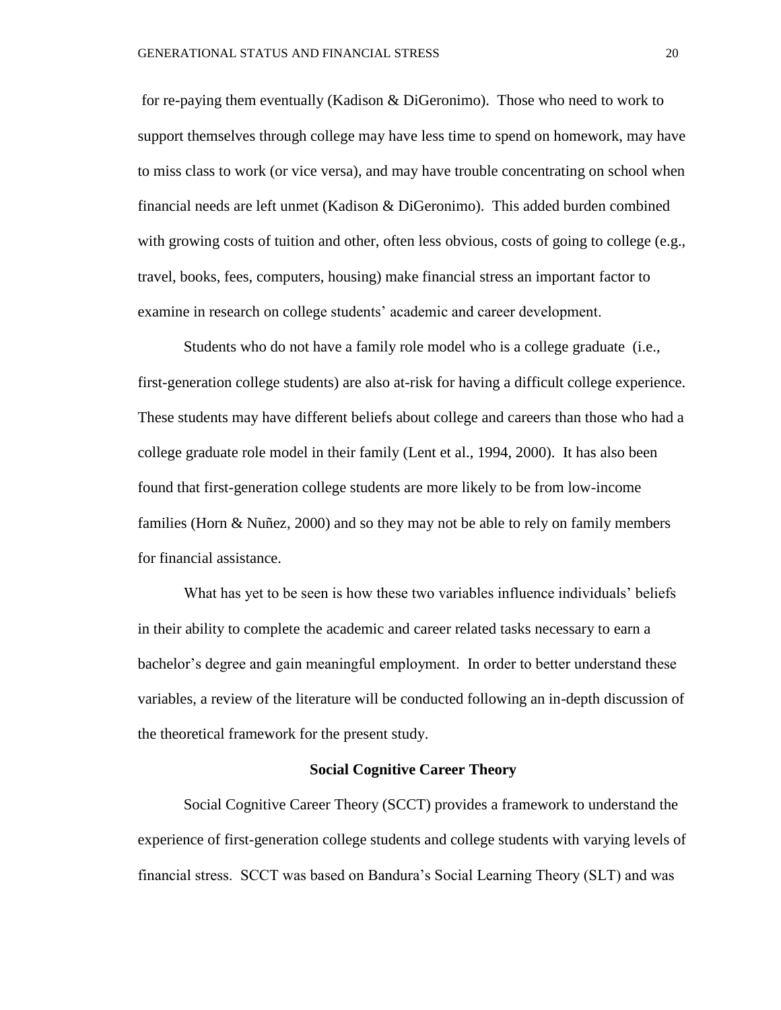for re-paying them eventually (Kadison & DiGeronimo). Those who need to work to support themselves through college may have less time to spend on homework, may have to miss class to work (or vice versa), and may have trouble concentrating on school when financial needs are left unmet (Kadison & DiGeronimo). This added burden combined with growing costs of tuition and other, often less obvious, costs of going to college (e.g., travel, books, fees, computers, housing) make financial stress an important factor to examine in research on college students' academic and career development.

Students who do not have a family role model who is a college graduate (i.e., first-generation college students) are also at-risk for having a difficult college experience. These students may have different beliefs about college and careers than those who had a college graduate role model in their family (Lent et al., 1994, 2000). It has also been found that first-generation college students are more likely to be from low-income families (Horn & Nuñez, 2000) and so they may not be able to rely on family members for financial assistance.

What has yet to be seen is how these two variables influence individuals' beliefs in their ability to complete the academic and career related tasks necessary to earn a bachelor's degree and gain meaningful employment. In order to better understand these variables, a review of the literature will be conducted following an in-depth discussion of the theoretical framework for the present study.

#### **Social Cognitive Career Theory**

Social Cognitive Career Theory (SCCT) provides a framework to understand the experience of first-generation college students and college students with varying levels of financial stress. SCCT was based on Bandura's Social Learning Theory (SLT) and was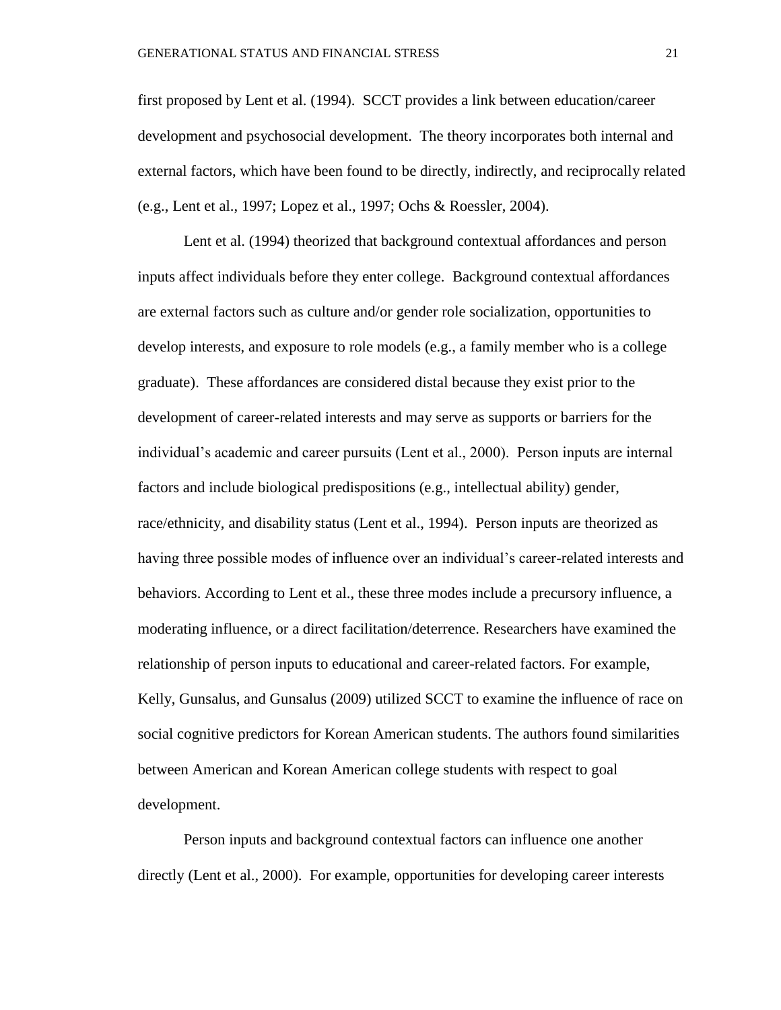first proposed by Lent et al. (1994). SCCT provides a link between education/career development and psychosocial development. The theory incorporates both internal and external factors, which have been found to be directly, indirectly, and reciprocally related (e.g., Lent et al., 1997; Lopez et al., 1997; Ochs & Roessler, 2004).

Lent et al. (1994) theorized that background contextual affordances and person inputs affect individuals before they enter college. Background contextual affordances are external factors such as culture and/or gender role socialization, opportunities to develop interests, and exposure to role models (e.g., a family member who is a college graduate). These affordances are considered distal because they exist prior to the development of career-related interests and may serve as supports or barriers for the individual's academic and career pursuits (Lent et al., 2000). Person inputs are internal factors and include biological predispositions (e.g., intellectual ability) gender, race/ethnicity, and disability status (Lent et al., 1994). Person inputs are theorized as having three possible modes of influence over an individual's career-related interests and behaviors. According to Lent et al., these three modes include a precursory influence, a moderating influence, or a direct facilitation/deterrence. Researchers have examined the relationship of person inputs to educational and career-related factors. For example, Kelly, Gunsalus, and Gunsalus (2009) utilized SCCT to examine the influence of race on social cognitive predictors for Korean American students. The authors found similarities between American and Korean American college students with respect to goal development.

Person inputs and background contextual factors can influence one another directly (Lent et al., 2000). For example, opportunities for developing career interests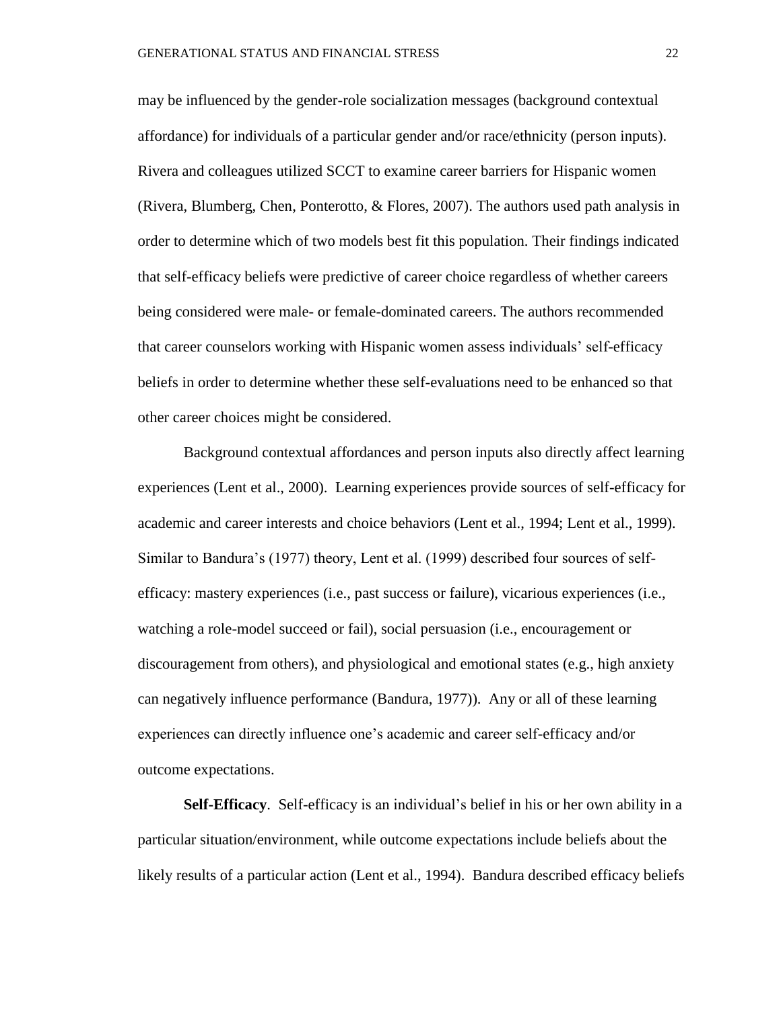may be influenced by the gender-role socialization messages (background contextual affordance) for individuals of a particular gender and/or race/ethnicity (person inputs). Rivera and colleagues utilized SCCT to examine career barriers for Hispanic women (Rivera, Blumberg, Chen, Ponterotto, & Flores, 2007). The authors used path analysis in order to determine which of two models best fit this population. Their findings indicated that self-efficacy beliefs were predictive of career choice regardless of whether careers being considered were male- or female-dominated careers. The authors recommended that career counselors working with Hispanic women assess individuals' self-efficacy beliefs in order to determine whether these self-evaluations need to be enhanced so that other career choices might be considered.

Background contextual affordances and person inputs also directly affect learning experiences (Lent et al., 2000). Learning experiences provide sources of self-efficacy for academic and career interests and choice behaviors (Lent et al., 1994; Lent et al., 1999). Similar to Bandura's (1977) theory, Lent et al. (1999) described four sources of selfefficacy: mastery experiences (i.e., past success or failure), vicarious experiences (i.e., watching a role-model succeed or fail), social persuasion (i.e., encouragement or discouragement from others), and physiological and emotional states (e.g., high anxiety can negatively influence performance (Bandura, 1977)). Any or all of these learning experiences can directly influence one's academic and career self-efficacy and/or outcome expectations.

**Self-Efficacy**. Self-efficacy is an individual's belief in his or her own ability in a particular situation/environment, while outcome expectations include beliefs about the likely results of a particular action (Lent et al., 1994). Bandura described efficacy beliefs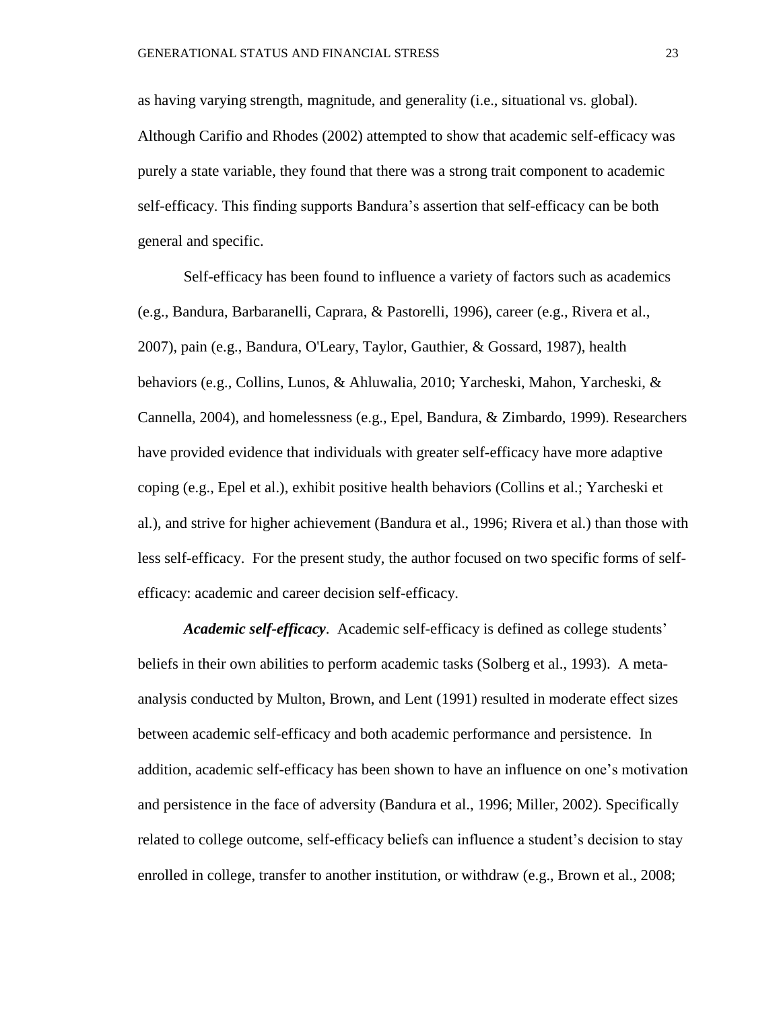as having varying strength, magnitude, and generality (i.e., situational vs. global). Although Carifio and Rhodes (2002) attempted to show that academic self-efficacy was purely a state variable, they found that there was a strong trait component to academic self-efficacy. This finding supports Bandura's assertion that self-efficacy can be both general and specific.

Self-efficacy has been found to influence a variety of factors such as academics (e.g., Bandura, Barbaranelli, Caprara, & Pastorelli, 1996), career (e.g., Rivera et al., 2007), pain (e.g., Bandura, O'Leary, Taylor, Gauthier, & Gossard, 1987), health behaviors (e.g., Collins, Lunos, & Ahluwalia, 2010; Yarcheski, Mahon, Yarcheski, & Cannella, 2004), and homelessness (e.g., Epel, Bandura, & Zimbardo, 1999). Researchers have provided evidence that individuals with greater self-efficacy have more adaptive coping (e.g., Epel et al.), exhibit positive health behaviors (Collins et al.; Yarcheski et al.), and strive for higher achievement (Bandura et al., 1996; Rivera et al.) than those with less self-efficacy. For the present study, the author focused on two specific forms of selfefficacy: academic and career decision self-efficacy.

*Academic self-efficacy*. Academic self-efficacy is defined as college students' beliefs in their own abilities to perform academic tasks (Solberg et al., 1993). A metaanalysis conducted by Multon, Brown, and Lent (1991) resulted in moderate effect sizes between academic self-efficacy and both academic performance and persistence. In addition, academic self-efficacy has been shown to have an influence on one's motivation and persistence in the face of adversity (Bandura et al., 1996; Miller, 2002). Specifically related to college outcome, self-efficacy beliefs can influence a student's decision to stay enrolled in college, transfer to another institution, or withdraw (e.g., Brown et al., 2008;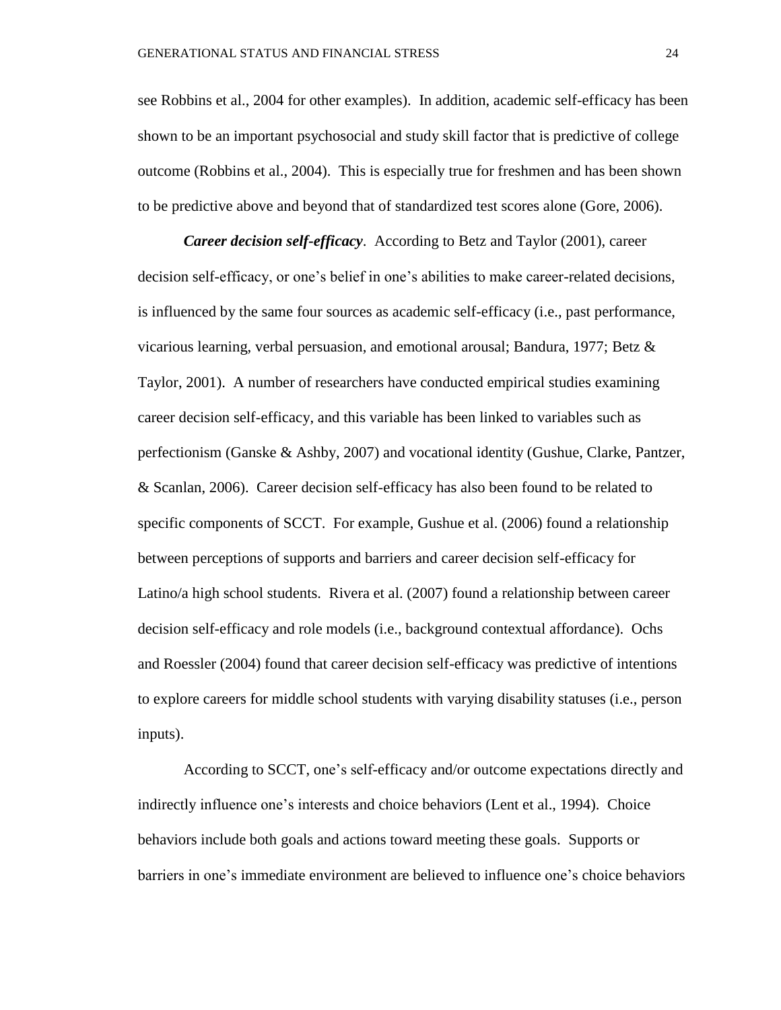see Robbins et al., 2004 for other examples). In addition, academic self-efficacy has been shown to be an important psychosocial and study skill factor that is predictive of college outcome (Robbins et al., 2004). This is especially true for freshmen and has been shown to be predictive above and beyond that of standardized test scores alone (Gore, 2006).

*Career decision self-efficacy*. According to Betz and Taylor (2001), career decision self-efficacy, or one's belief in one's abilities to make career-related decisions, is influenced by the same four sources as academic self-efficacy (i.e., past performance, vicarious learning, verbal persuasion, and emotional arousal; Bandura, 1977; Betz & Taylor, 2001). A number of researchers have conducted empirical studies examining career decision self-efficacy, and this variable has been linked to variables such as perfectionism (Ganske & Ashby, 2007) and vocational identity (Gushue, Clarke, Pantzer, & Scanlan, 2006). Career decision self-efficacy has also been found to be related to specific components of SCCT. For example, Gushue et al. (2006) found a relationship between perceptions of supports and barriers and career decision self-efficacy for Latino/a high school students. Rivera et al. (2007) found a relationship between career decision self-efficacy and role models (i.e., background contextual affordance). Ochs and Roessler (2004) found that career decision self-efficacy was predictive of intentions to explore careers for middle school students with varying disability statuses (i.e., person inputs).

According to SCCT, one's self-efficacy and/or outcome expectations directly and indirectly influence one's interests and choice behaviors (Lent et al., 1994). Choice behaviors include both goals and actions toward meeting these goals. Supports or barriers in one's immediate environment are believed to influence one's choice behaviors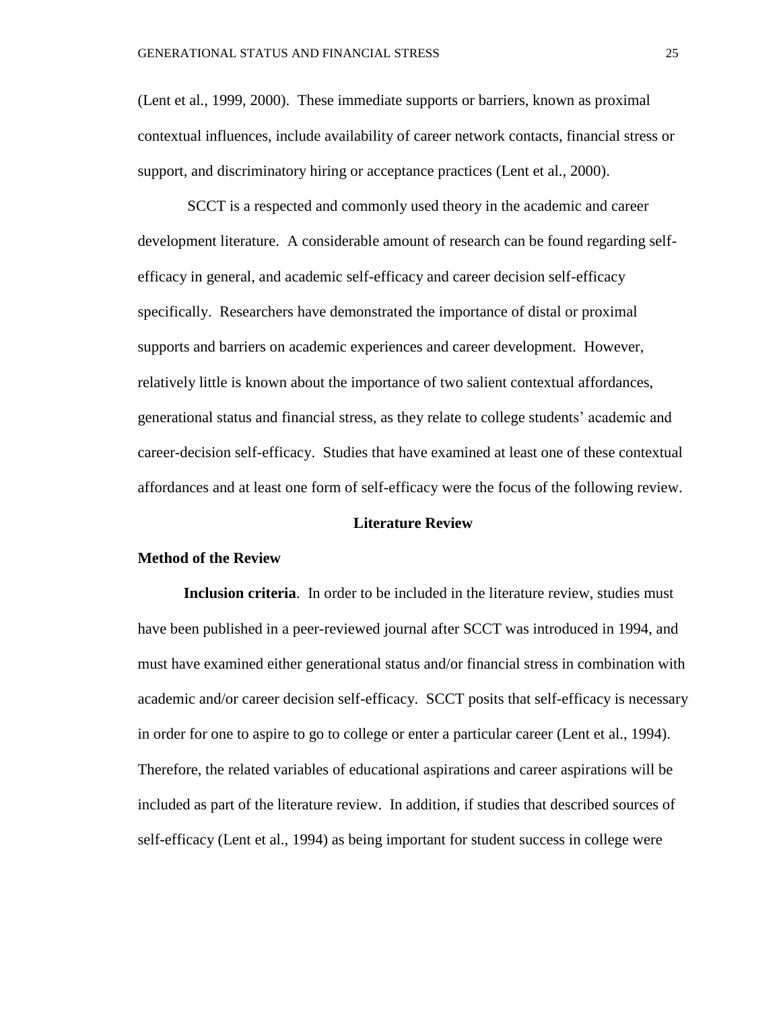(Lent et al., 1999, 2000). These immediate supports or barriers, known as proximal contextual influences, include availability of career network contacts, financial stress or support, and discriminatory hiring or acceptance practices (Lent et al., 2000).

SCCT is a respected and commonly used theory in the academic and career development literature. A considerable amount of research can be found regarding selfefficacy in general, and academic self-efficacy and career decision self-efficacy specifically. Researchers have demonstrated the importance of distal or proximal supports and barriers on academic experiences and career development. However, relatively little is known about the importance of two salient contextual affordances, generational status and financial stress, as they relate to college students' academic and career-decision self-efficacy. Studies that have examined at least one of these contextual affordances and at least one form of self-efficacy were the focus of the following review.

#### **Literature Review**

### **Method of the Review**

**Inclusion criteria.** In order to be included in the literature review, studies must have been published in a peer-reviewed journal after SCCT was introduced in 1994, and must have examined either generational status and/or financial stress in combination with academic and/or career decision self-efficacy. SCCT posits that self-efficacy is necessary in order for one to aspire to go to college or enter a particular career (Lent et al., 1994). Therefore, the related variables of educational aspirations and career aspirations will be included as part of the literature review. In addition, if studies that described sources of self-efficacy (Lent et al., 1994) as being important for student success in college were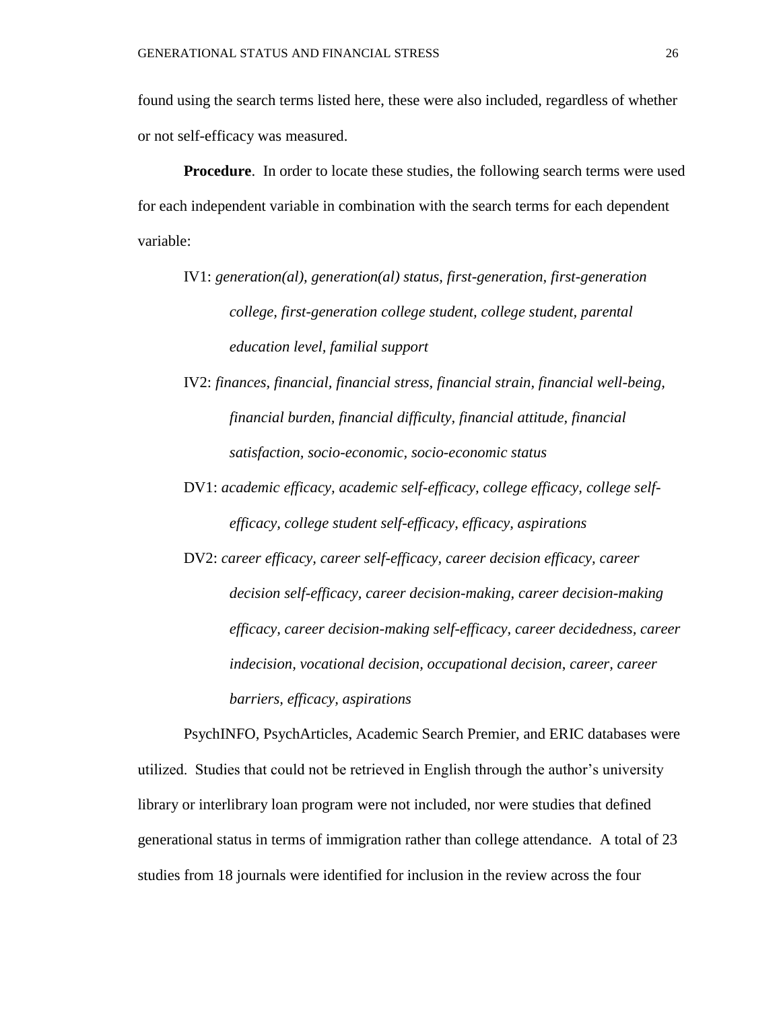found using the search terms listed here, these were also included, regardless of whether or not self-efficacy was measured.

**Procedure**. In order to locate these studies, the following search terms were used for each independent variable in combination with the search terms for each dependent variable:

- IV1: *generation(al), generation(al) status, first-generation, first-generation college, first-generation college student, college student, parental education level, familial support*
- IV2: *finances, financial, financial stress, financial strain, financial well-being, financial burden, financial difficulty, financial attitude, financial satisfaction, socio-economic, socio-economic status*
- DV1: *academic efficacy, academic self-efficacy, college efficacy, college selfefficacy, college student self-efficacy, efficacy, aspirations*
- DV2: *career efficacy, career self-efficacy, career decision efficacy, career decision self-efficacy, career decision-making, career decision-making efficacy, career decision-making self-efficacy, career decidedness, career indecision, vocational decision, occupational decision*, *career, career barriers, efficacy, aspirations*

PsychINFO, PsychArticles, Academic Search Premier, and ERIC databases were utilized. Studies that could not be retrieved in English through the author's university library or interlibrary loan program were not included, nor were studies that defined generational status in terms of immigration rather than college attendance. A total of 23 studies from 18 journals were identified for inclusion in the review across the four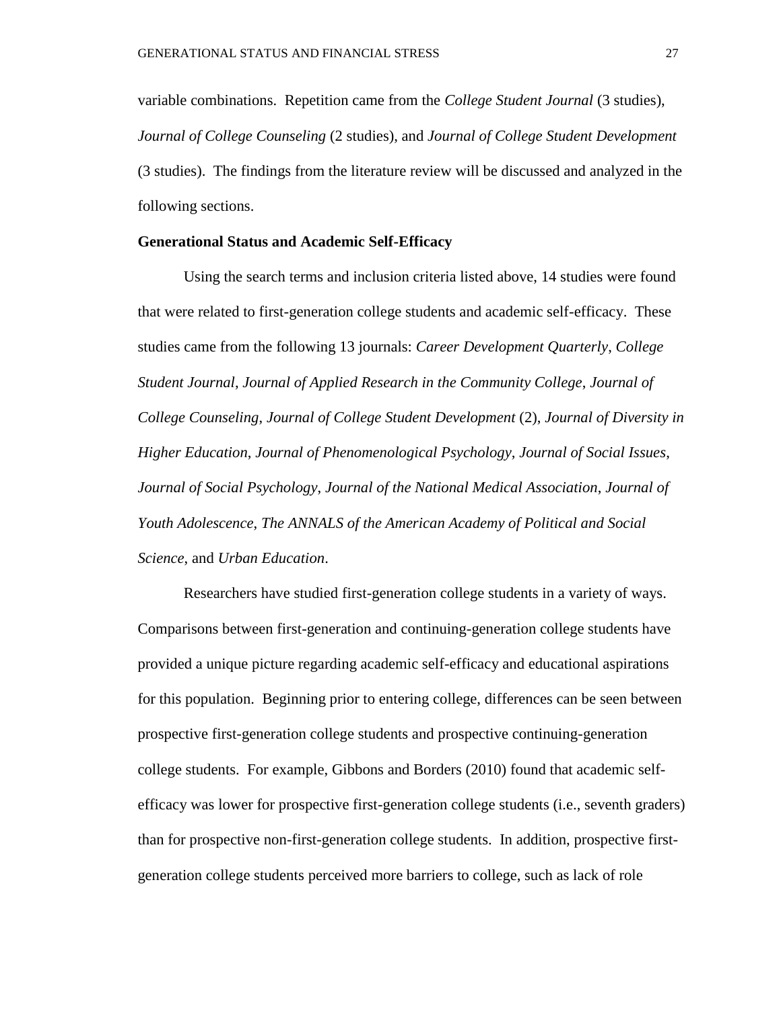variable combinations. Repetition came from the *College Student Journal* (3 studies), *Journal of College Counseling* (2 studies), and *Journal of College Student Development* (3 studies). The findings from the literature review will be discussed and analyzed in the following sections.

### **Generational Status and Academic Self-Efficacy**

Using the search terms and inclusion criteria listed above, 14 studies were found that were related to first-generation college students and academic self-efficacy. These studies came from the following 13 journals: *Career Development Quarterly*, *College Student Journal*, *Journal of Applied Research in the Community College*, *Journal of College Counseling*, *Journal of College Student Development* (2), *Journal of Diversity in Higher Education*, *Journal of Phenomenological Psychology*, *Journal of Social Issues*, *Journal of Social Psychology*, *Journal of the National Medical Association*, *Journal of Youth Adolescence*, *The ANNALS of the American Academy of Political and Social Science*, and *Urban Education*.

Researchers have studied first-generation college students in a variety of ways. Comparisons between first-generation and continuing-generation college students have provided a unique picture regarding academic self-efficacy and educational aspirations for this population. Beginning prior to entering college, differences can be seen between prospective first-generation college students and prospective continuing-generation college students. For example, Gibbons and Borders (2010) found that academic selfefficacy was lower for prospective first-generation college students (i.e., seventh graders) than for prospective non-first-generation college students. In addition, prospective firstgeneration college students perceived more barriers to college, such as lack of role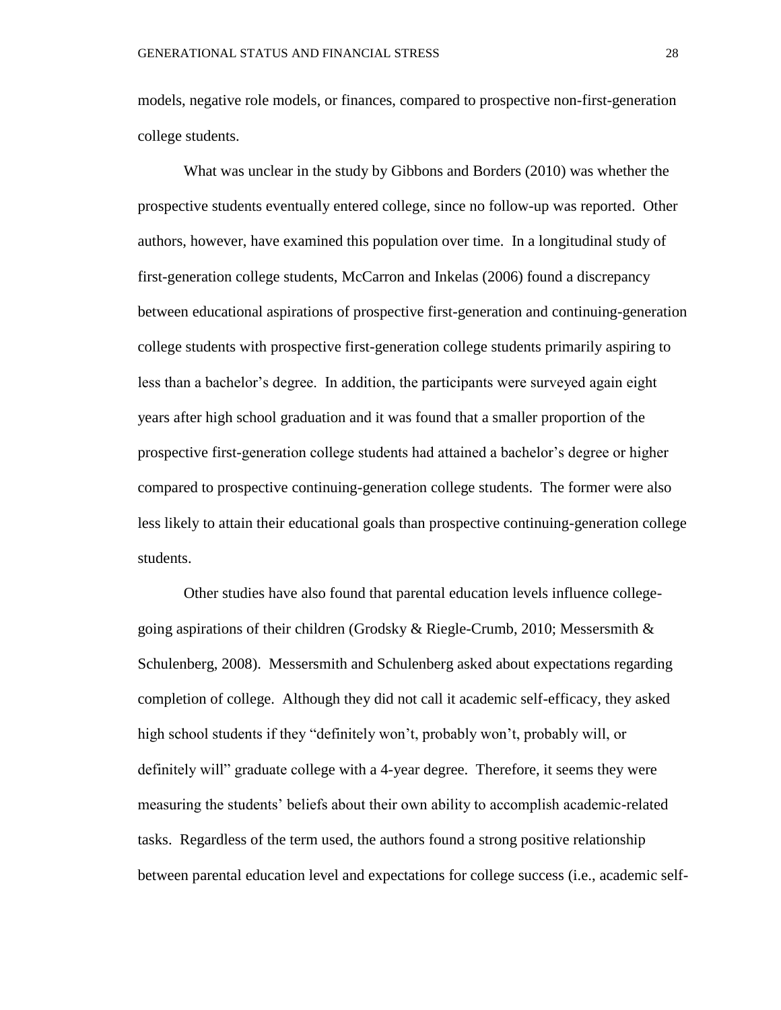models, negative role models, or finances, compared to prospective non-first-generation college students.

What was unclear in the study by Gibbons and Borders (2010) was whether the prospective students eventually entered college, since no follow-up was reported. Other authors, however, have examined this population over time. In a longitudinal study of first-generation college students, McCarron and Inkelas (2006) found a discrepancy between educational aspirations of prospective first-generation and continuing-generation college students with prospective first-generation college students primarily aspiring to less than a bachelor's degree. In addition, the participants were surveyed again eight years after high school graduation and it was found that a smaller proportion of the prospective first-generation college students had attained a bachelor's degree or higher compared to prospective continuing-generation college students. The former were also less likely to attain their educational goals than prospective continuing-generation college students.

Other studies have also found that parental education levels influence collegegoing aspirations of their children (Grodsky & Riegle-Crumb, 2010; Messersmith  $\&$ Schulenberg, 2008). Messersmith and Schulenberg asked about expectations regarding completion of college. Although they did not call it academic self-efficacy, they asked high school students if they "definitely won't, probably won't, probably will, or definitely will" graduate college with a 4-year degree. Therefore, it seems they were measuring the students' beliefs about their own ability to accomplish academic-related tasks. Regardless of the term used, the authors found a strong positive relationship between parental education level and expectations for college success (i.e., academic self-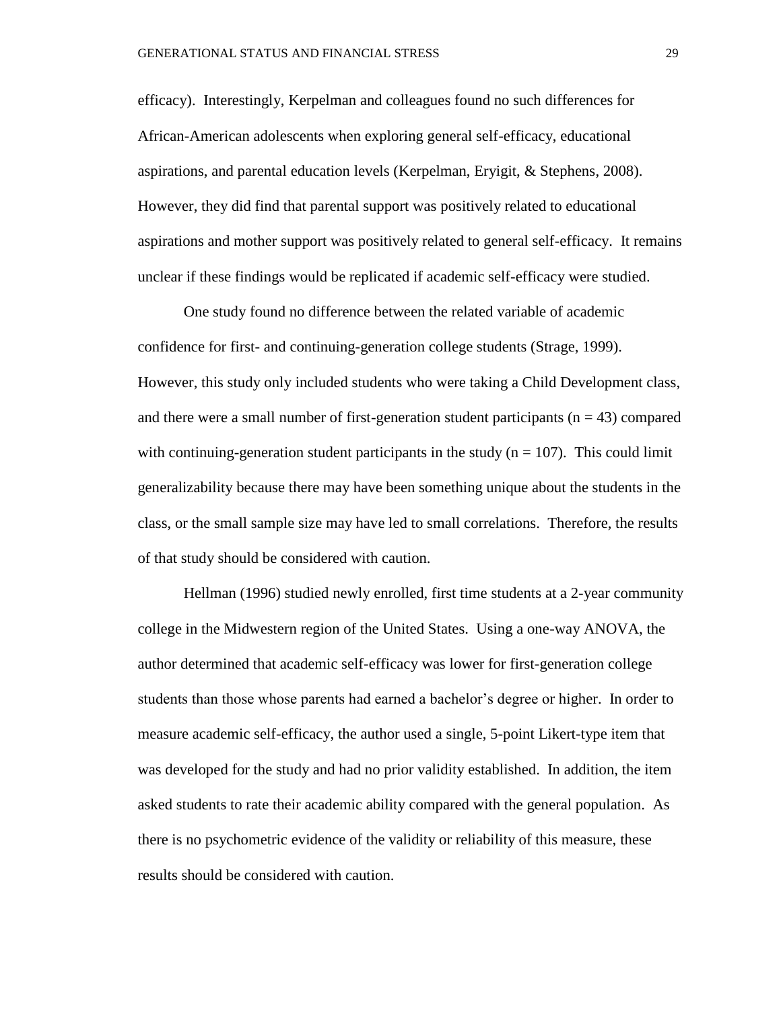efficacy). Interestingly, Kerpelman and colleagues found no such differences for African-American adolescents when exploring general self-efficacy, educational aspirations, and parental education levels (Kerpelman, Eryigit, & Stephens, 2008). However, they did find that parental support was positively related to educational aspirations and mother support was positively related to general self-efficacy. It remains unclear if these findings would be replicated if academic self-efficacy were studied.

One study found no difference between the related variable of academic confidence for first- and continuing-generation college students (Strage, 1999). However, this study only included students who were taking a Child Development class, and there were a small number of first-generation student participants  $(n = 43)$  compared with continuing-generation student participants in the study  $(n = 107)$ . This could limit generalizability because there may have been something unique about the students in the class, or the small sample size may have led to small correlations. Therefore, the results of that study should be considered with caution.

Hellman (1996) studied newly enrolled, first time students at a 2-year community college in the Midwestern region of the United States. Using a one-way ANOVA, the author determined that academic self-efficacy was lower for first-generation college students than those whose parents had earned a bachelor's degree or higher. In order to measure academic self-efficacy, the author used a single, 5-point Likert-type item that was developed for the study and had no prior validity established. In addition, the item asked students to rate their academic ability compared with the general population. As there is no psychometric evidence of the validity or reliability of this measure, these results should be considered with caution.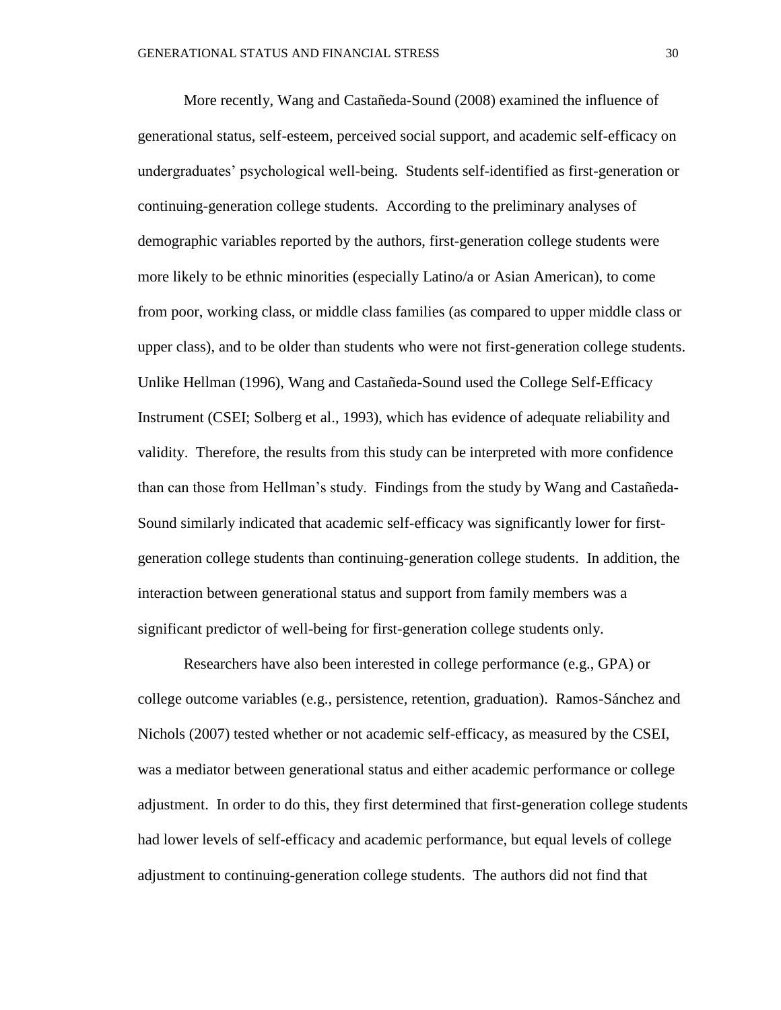More recently, Wang and Castañeda-Sound (2008) examined the influence of generational status, self-esteem, perceived social support, and academic self-efficacy on undergraduates' psychological well-being. Students self-identified as first-generation or continuing-generation college students. According to the preliminary analyses of demographic variables reported by the authors, first-generation college students were more likely to be ethnic minorities (especially Latino/a or Asian American), to come from poor, working class, or middle class families (as compared to upper middle class or upper class), and to be older than students who were not first-generation college students. Unlike Hellman (1996), Wang and Castañeda-Sound used the College Self-Efficacy Instrument (CSEI; Solberg et al., 1993), which has evidence of adequate reliability and validity. Therefore, the results from this study can be interpreted with more confidence than can those from Hellman's study. Findings from the study by Wang and Castañeda-Sound similarly indicated that academic self-efficacy was significantly lower for firstgeneration college students than continuing-generation college students. In addition, the interaction between generational status and support from family members was a significant predictor of well-being for first-generation college students only.

Researchers have also been interested in college performance (e.g., GPA) or college outcome variables (e.g., persistence, retention, graduation). Ramos-Sánchez and Nichols (2007) tested whether or not academic self-efficacy, as measured by the CSEI, was a mediator between generational status and either academic performance or college adjustment. In order to do this, they first determined that first-generation college students had lower levels of self-efficacy and academic performance, but equal levels of college adjustment to continuing-generation college students. The authors did not find that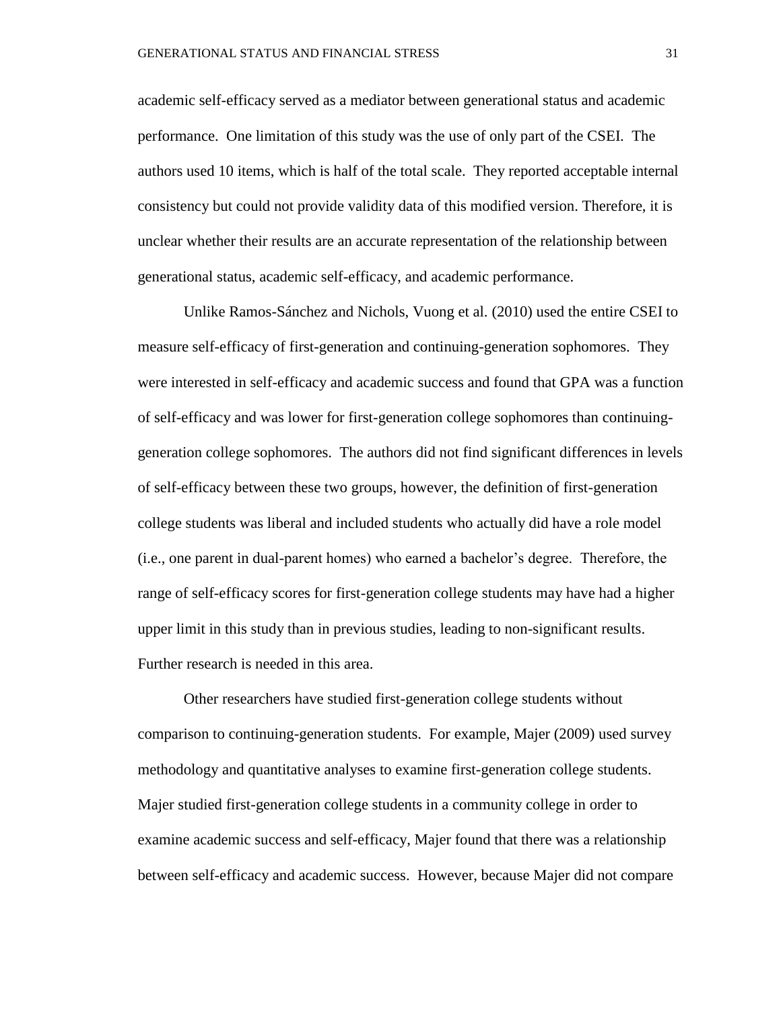academic self-efficacy served as a mediator between generational status and academic performance. One limitation of this study was the use of only part of the CSEI. The authors used 10 items, which is half of the total scale. They reported acceptable internal consistency but could not provide validity data of this modified version. Therefore, it is unclear whether their results are an accurate representation of the relationship between generational status, academic self-efficacy, and academic performance.

Unlike Ramos-Sánchez and Nichols, Vuong et al. (2010) used the entire CSEI to measure self-efficacy of first-generation and continuing-generation sophomores. They were interested in self-efficacy and academic success and found that GPA was a function of self-efficacy and was lower for first-generation college sophomores than continuinggeneration college sophomores. The authors did not find significant differences in levels of self-efficacy between these two groups, however, the definition of first-generation college students was liberal and included students who actually did have a role model (i.e., one parent in dual-parent homes) who earned a bachelor's degree. Therefore, the range of self-efficacy scores for first-generation college students may have had a higher upper limit in this study than in previous studies, leading to non-significant results. Further research is needed in this area.

Other researchers have studied first-generation college students without comparison to continuing-generation students. For example, Majer (2009) used survey methodology and quantitative analyses to examine first-generation college students. Majer studied first-generation college students in a community college in order to examine academic success and self-efficacy, Majer found that there was a relationship between self-efficacy and academic success. However, because Majer did not compare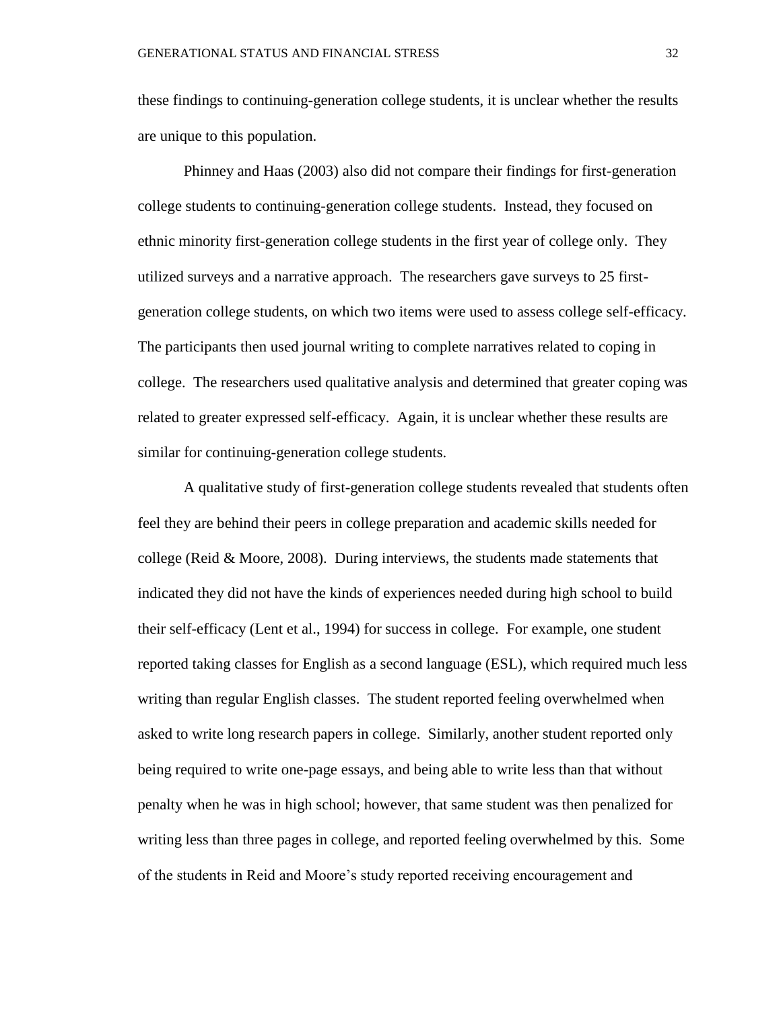these findings to continuing-generation college students, it is unclear whether the results are unique to this population.

Phinney and Haas (2003) also did not compare their findings for first-generation college students to continuing-generation college students. Instead, they focused on ethnic minority first-generation college students in the first year of college only. They utilized surveys and a narrative approach. The researchers gave surveys to 25 firstgeneration college students, on which two items were used to assess college self-efficacy. The participants then used journal writing to complete narratives related to coping in college. The researchers used qualitative analysis and determined that greater coping was related to greater expressed self-efficacy. Again, it is unclear whether these results are similar for continuing-generation college students.

A qualitative study of first-generation college students revealed that students often feel they are behind their peers in college preparation and academic skills needed for college (Reid & Moore, 2008). During interviews, the students made statements that indicated they did not have the kinds of experiences needed during high school to build their self-efficacy (Lent et al., 1994) for success in college. For example, one student reported taking classes for English as a second language (ESL), which required much less writing than regular English classes. The student reported feeling overwhelmed when asked to write long research papers in college. Similarly, another student reported only being required to write one-page essays, and being able to write less than that without penalty when he was in high school; however, that same student was then penalized for writing less than three pages in college, and reported feeling overwhelmed by this. Some of the students in Reid and Moore's study reported receiving encouragement and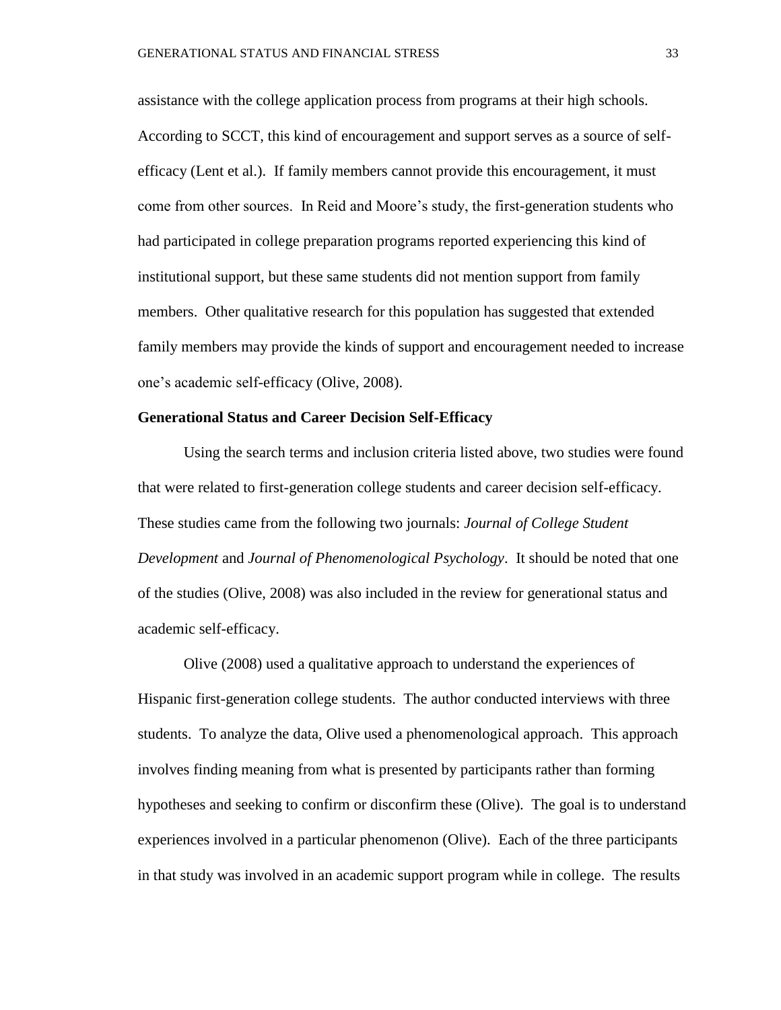assistance with the college application process from programs at their high schools. According to SCCT, this kind of encouragement and support serves as a source of selfefficacy (Lent et al.). If family members cannot provide this encouragement, it must come from other sources. In Reid and Moore's study, the first-generation students who had participated in college preparation programs reported experiencing this kind of institutional support, but these same students did not mention support from family members. Other qualitative research for this population has suggested that extended family members may provide the kinds of support and encouragement needed to increase one's academic self-efficacy (Olive, 2008).

### **Generational Status and Career Decision Self-Efficacy**

Using the search terms and inclusion criteria listed above, two studies were found that were related to first-generation college students and career decision self-efficacy. These studies came from the following two journals: *Journal of College Student Development* and *Journal of Phenomenological Psychology*. It should be noted that one of the studies (Olive, 2008) was also included in the review for generational status and academic self-efficacy.

Olive (2008) used a qualitative approach to understand the experiences of Hispanic first-generation college students. The author conducted interviews with three students. To analyze the data, Olive used a phenomenological approach. This approach involves finding meaning from what is presented by participants rather than forming hypotheses and seeking to confirm or disconfirm these (Olive). The goal is to understand experiences involved in a particular phenomenon (Olive). Each of the three participants in that study was involved in an academic support program while in college. The results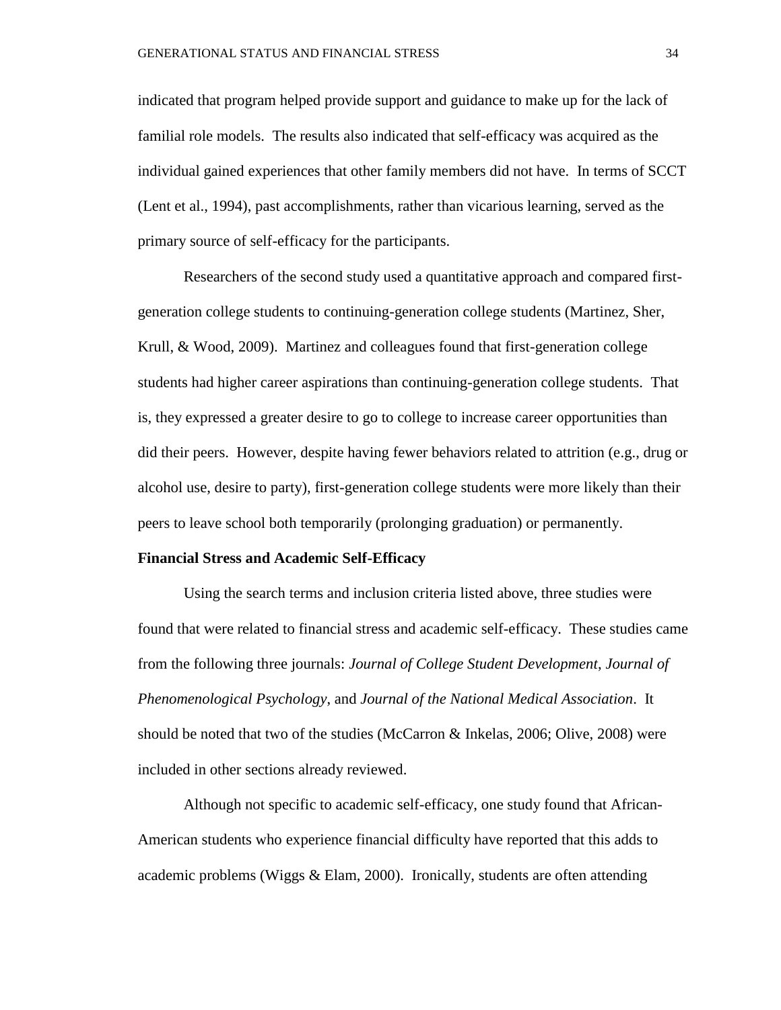indicated that program helped provide support and guidance to make up for the lack of familial role models. The results also indicated that self-efficacy was acquired as the individual gained experiences that other family members did not have. In terms of SCCT (Lent et al., 1994), past accomplishments, rather than vicarious learning, served as the primary source of self-efficacy for the participants.

Researchers of the second study used a quantitative approach and compared firstgeneration college students to continuing-generation college students (Martinez, Sher, Krull, & Wood, 2009). Martinez and colleagues found that first-generation college students had higher career aspirations than continuing-generation college students. That is, they expressed a greater desire to go to college to increase career opportunities than did their peers. However, despite having fewer behaviors related to attrition (e.g., drug or alcohol use, desire to party), first-generation college students were more likely than their peers to leave school both temporarily (prolonging graduation) or permanently.

### **Financial Stress and Academic Self-Efficacy**

Using the search terms and inclusion criteria listed above, three studies were found that were related to financial stress and academic self-efficacy. These studies came from the following three journals: *Journal of College Student Development*, *Journal of Phenomenological Psychology*, and *Journal of the National Medical Association*. It should be noted that two of the studies (McCarron & Inkelas, 2006; Olive, 2008) were included in other sections already reviewed.

Although not specific to academic self-efficacy, one study found that African-American students who experience financial difficulty have reported that this adds to academic problems (Wiggs & Elam, 2000). Ironically, students are often attending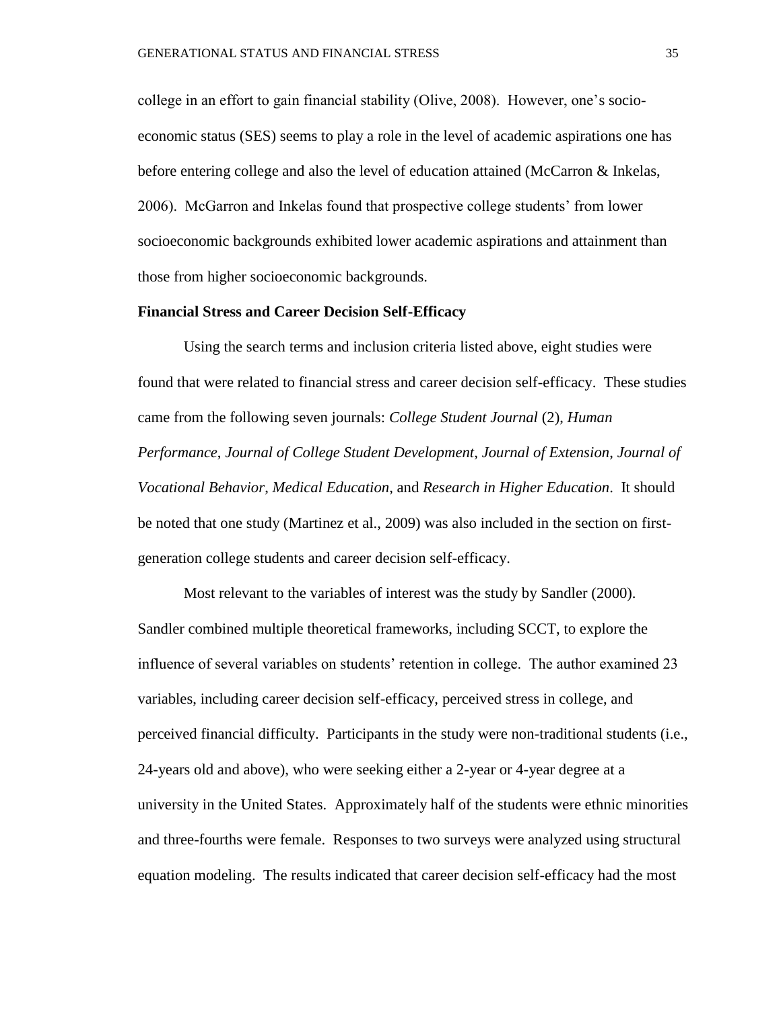college in an effort to gain financial stability (Olive, 2008). However, one's socioeconomic status (SES) seems to play a role in the level of academic aspirations one has before entering college and also the level of education attained (McCarron & Inkelas, 2006). McGarron and Inkelas found that prospective college students' from lower socioeconomic backgrounds exhibited lower academic aspirations and attainment than those from higher socioeconomic backgrounds.

### **Financial Stress and Career Decision Self-Efficacy**

Using the search terms and inclusion criteria listed above, eight studies were found that were related to financial stress and career decision self-efficacy. These studies came from the following seven journals: *College Student Journal* (2), *Human Performance*, *Journal of College Student Development*, *Journal of Extension*, *Journal of Vocational Behavior*, *Medical Education*, and *Research in Higher Education*. It should be noted that one study (Martinez et al., 2009) was also included in the section on firstgeneration college students and career decision self-efficacy.

Most relevant to the variables of interest was the study by Sandler (2000). Sandler combined multiple theoretical frameworks, including SCCT, to explore the influence of several variables on students' retention in college. The author examined 23 variables, including career decision self-efficacy, perceived stress in college, and perceived financial difficulty. Participants in the study were non-traditional students (i.e., 24-years old and above), who were seeking either a 2-year or 4-year degree at a university in the United States. Approximately half of the students were ethnic minorities and three-fourths were female. Responses to two surveys were analyzed using structural equation modeling. The results indicated that career decision self-efficacy had the most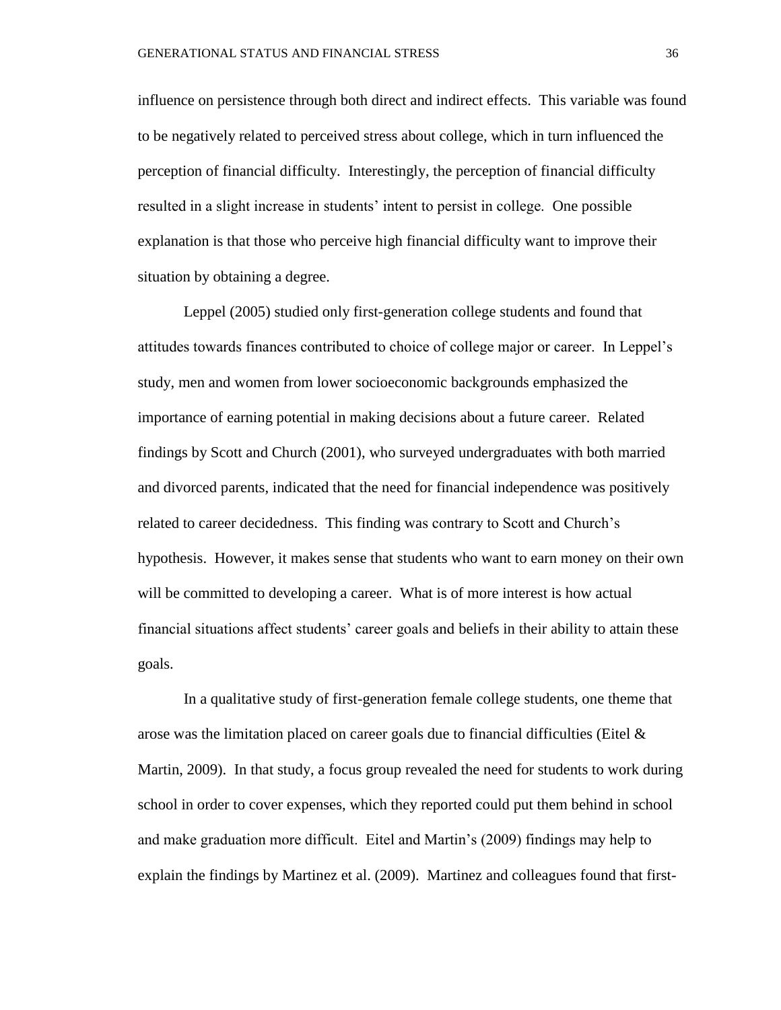influence on persistence through both direct and indirect effects. This variable was found to be negatively related to perceived stress about college, which in turn influenced the perception of financial difficulty. Interestingly, the perception of financial difficulty resulted in a slight increase in students' intent to persist in college. One possible explanation is that those who perceive high financial difficulty want to improve their situation by obtaining a degree.

Leppel (2005) studied only first-generation college students and found that attitudes towards finances contributed to choice of college major or career. In Leppel's study, men and women from lower socioeconomic backgrounds emphasized the importance of earning potential in making decisions about a future career. Related findings by Scott and Church (2001), who surveyed undergraduates with both married and divorced parents, indicated that the need for financial independence was positively related to career decidedness. This finding was contrary to Scott and Church's hypothesis. However, it makes sense that students who want to earn money on their own will be committed to developing a career. What is of more interest is how actual financial situations affect students' career goals and beliefs in their ability to attain these goals.

In a qualitative study of first-generation female college students, one theme that arose was the limitation placed on career goals due to financial difficulties (Eitel  $\&$ Martin, 2009). In that study, a focus group revealed the need for students to work during school in order to cover expenses, which they reported could put them behind in school and make graduation more difficult. Eitel and Martin's (2009) findings may help to explain the findings by Martinez et al. (2009). Martinez and colleagues found that first-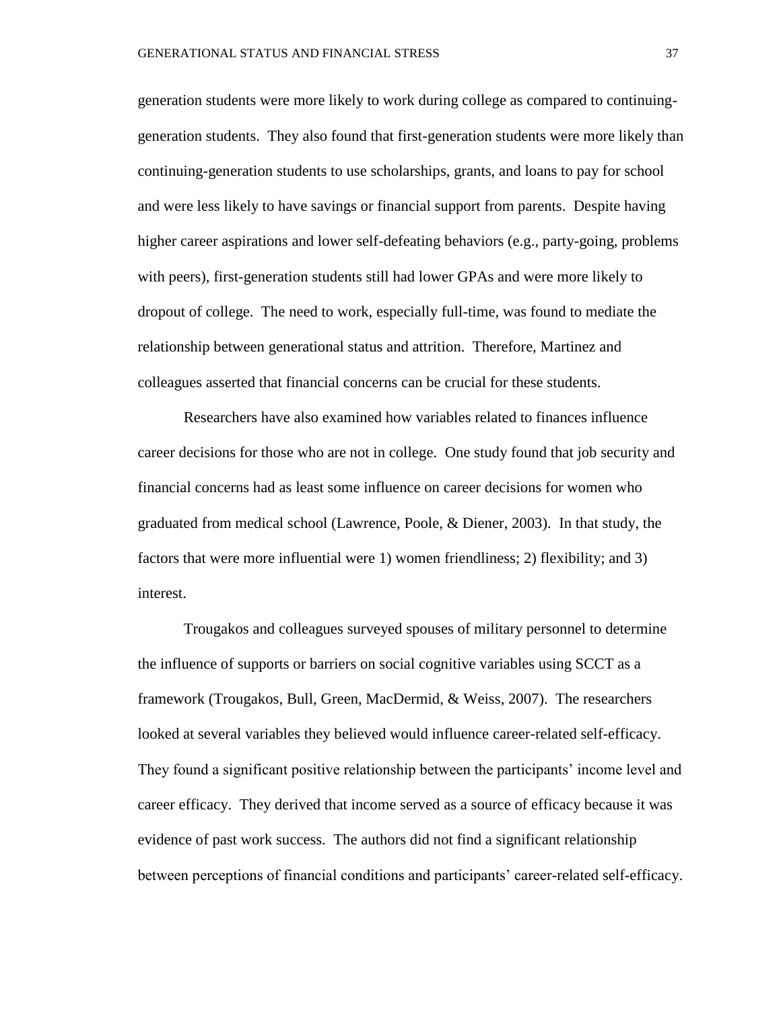generation students were more likely to work during college as compared to continuinggeneration students. They also found that first-generation students were more likely than continuing-generation students to use scholarships, grants, and loans to pay for school and were less likely to have savings or financial support from parents. Despite having higher career aspirations and lower self-defeating behaviors (e.g., party-going, problems with peers), first-generation students still had lower GPAs and were more likely to dropout of college. The need to work, especially full-time, was found to mediate the relationship between generational status and attrition. Therefore, Martinez and colleagues asserted that financial concerns can be crucial for these students.

Researchers have also examined how variables related to finances influence career decisions for those who are not in college. One study found that job security and financial concerns had as least some influence on career decisions for women who graduated from medical school (Lawrence, Poole, & Diener, 2003). In that study, the factors that were more influential were 1) women friendliness; 2) flexibility; and 3) interest.

Trougakos and colleagues surveyed spouses of military personnel to determine the influence of supports or barriers on social cognitive variables using SCCT as a framework (Trougakos, Bull, Green, MacDermid, & Weiss, 2007). The researchers looked at several variables they believed would influence career-related self-efficacy. They found a significant positive relationship between the participants' income level and career efficacy. They derived that income served as a source of efficacy because it was evidence of past work success. The authors did not find a significant relationship between perceptions of financial conditions and participants' career-related self-efficacy.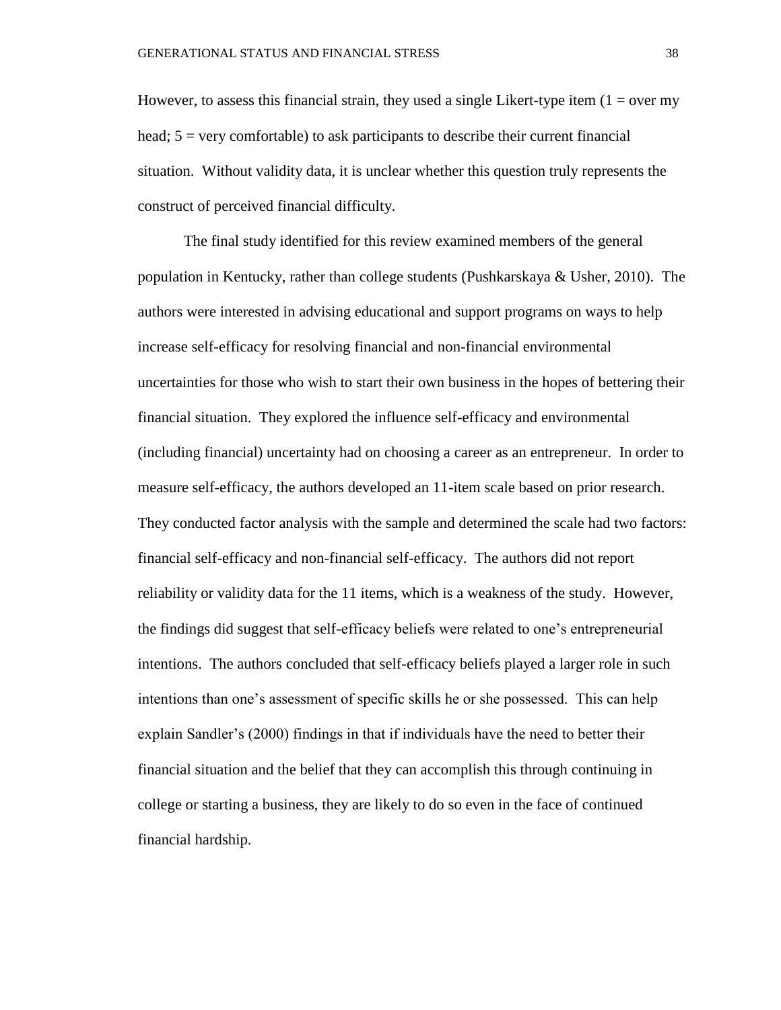However, to assess this financial strain, they used a single Likert-type item  $(1 = over my)$ head;  $5 = \text{very comfortable}$ ) to ask participants to describe their current financial situation. Without validity data, it is unclear whether this question truly represents the construct of perceived financial difficulty.

The final study identified for this review examined members of the general population in Kentucky, rather than college students (Pushkarskaya & Usher, 2010). The authors were interested in advising educational and support programs on ways to help increase self-efficacy for resolving financial and non-financial environmental uncertainties for those who wish to start their own business in the hopes of bettering their financial situation. They explored the influence self-efficacy and environmental (including financial) uncertainty had on choosing a career as an entrepreneur. In order to measure self-efficacy, the authors developed an 11-item scale based on prior research. They conducted factor analysis with the sample and determined the scale had two factors: financial self-efficacy and non-financial self-efficacy. The authors did not report reliability or validity data for the 11 items, which is a weakness of the study. However, the findings did suggest that self-efficacy beliefs were related to one's entrepreneurial intentions. The authors concluded that self-efficacy beliefs played a larger role in such intentions than one's assessment of specific skills he or she possessed. This can help explain Sandler's (2000) findings in that if individuals have the need to better their financial situation and the belief that they can accomplish this through continuing in college or starting a business, they are likely to do so even in the face of continued financial hardship.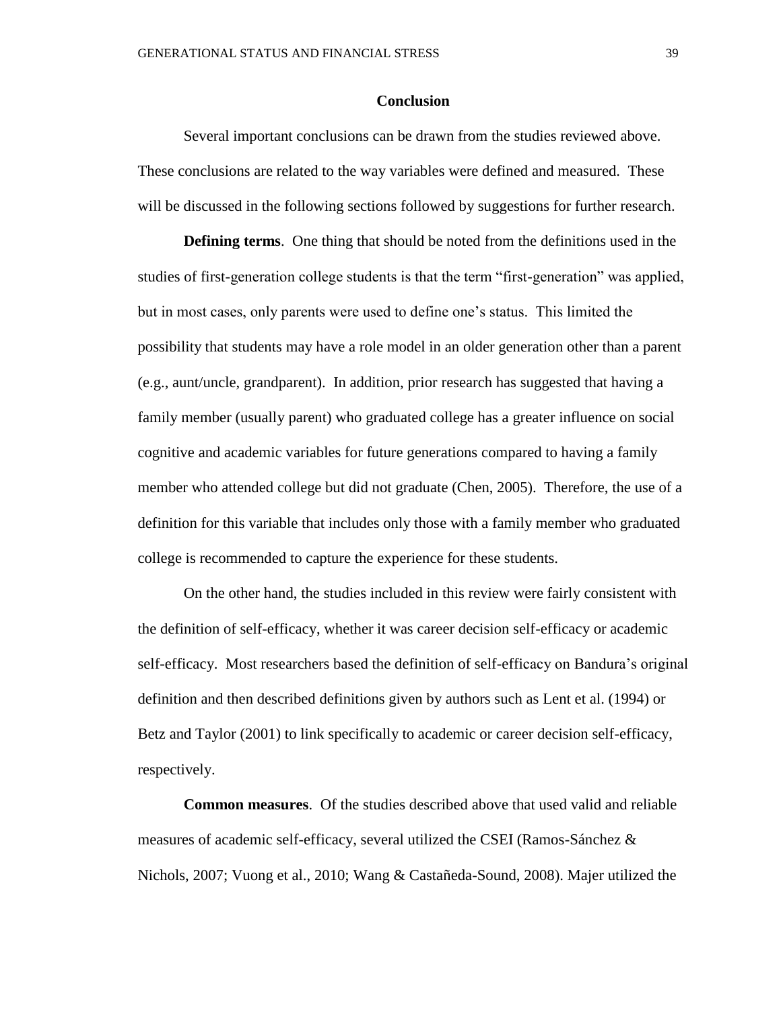#### **Conclusion**

Several important conclusions can be drawn from the studies reviewed above. These conclusions are related to the way variables were defined and measured. These will be discussed in the following sections followed by suggestions for further research.

**Defining terms**. One thing that should be noted from the definitions used in the studies of first-generation college students is that the term "first-generation" was applied, but in most cases, only parents were used to define one's status. This limited the possibility that students may have a role model in an older generation other than a parent (e.g., aunt/uncle, grandparent). In addition, prior research has suggested that having a family member (usually parent) who graduated college has a greater influence on social cognitive and academic variables for future generations compared to having a family member who attended college but did not graduate (Chen, 2005). Therefore, the use of a definition for this variable that includes only those with a family member who graduated college is recommended to capture the experience for these students.

On the other hand, the studies included in this review were fairly consistent with the definition of self-efficacy, whether it was career decision self-efficacy or academic self-efficacy. Most researchers based the definition of self-efficacy on Bandura's original definition and then described definitions given by authors such as Lent et al. (1994) or Betz and Taylor (2001) to link specifically to academic or career decision self-efficacy, respectively.

**Common measures**. Of the studies described above that used valid and reliable measures of academic self-efficacy, several utilized the CSEI (Ramos-Sánchez & Nichols, 2007; Vuong et al., 2010; Wang & Castañeda-Sound, 2008). Majer utilized the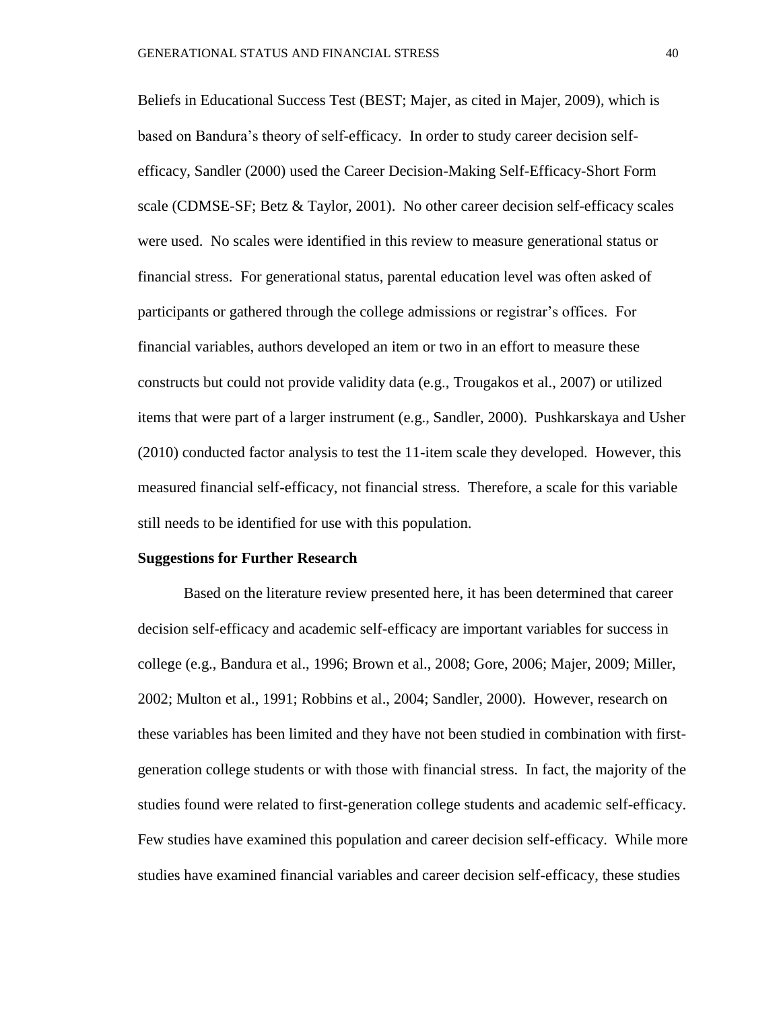Beliefs in Educational Success Test (BEST; Majer, as cited in Majer, 2009), which is based on Bandura's theory of self-efficacy. In order to study career decision selfefficacy, Sandler (2000) used the Career Decision-Making Self-Efficacy-Short Form scale (CDMSE-SF; Betz & Taylor, 2001). No other career decision self-efficacy scales were used. No scales were identified in this review to measure generational status or financial stress. For generational status, parental education level was often asked of participants or gathered through the college admissions or registrar's offices. For financial variables, authors developed an item or two in an effort to measure these constructs but could not provide validity data (e.g., Trougakos et al., 2007) or utilized items that were part of a larger instrument (e.g., Sandler, 2000). Pushkarskaya and Usher (2010) conducted factor analysis to test the 11-item scale they developed. However, this measured financial self-efficacy, not financial stress. Therefore, a scale for this variable still needs to be identified for use with this population.

#### **Suggestions for Further Research**

Based on the literature review presented here, it has been determined that career decision self-efficacy and academic self-efficacy are important variables for success in college (e.g., Bandura et al., 1996; Brown et al., 2008; Gore, 2006; Majer, 2009; Miller, 2002; Multon et al., 1991; Robbins et al., 2004; Sandler, 2000). However, research on these variables has been limited and they have not been studied in combination with firstgeneration college students or with those with financial stress. In fact, the majority of the studies found were related to first-generation college students and academic self-efficacy. Few studies have examined this population and career decision self-efficacy. While more studies have examined financial variables and career decision self-efficacy, these studies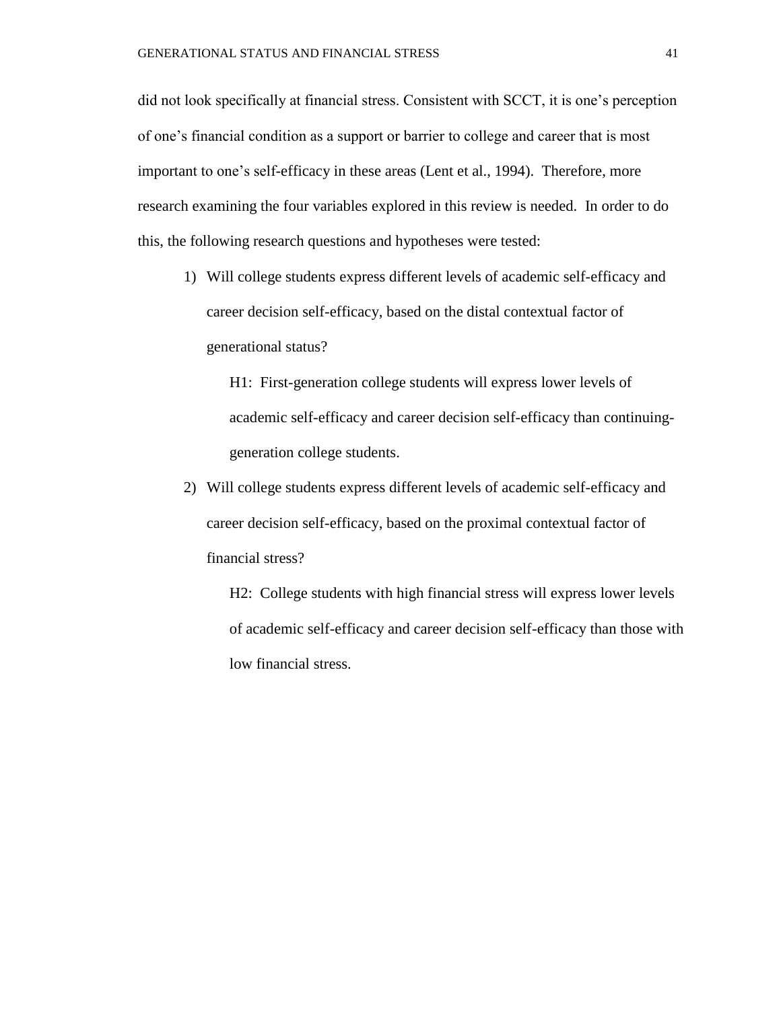did not look specifically at financial stress. Consistent with SCCT, it is one's perception of one's financial condition as a support or barrier to college and career that is most important to one's self-efficacy in these areas (Lent et al., 1994). Therefore, more research examining the four variables explored in this review is needed. In order to do this, the following research questions and hypotheses were tested:

1) Will college students express different levels of academic self-efficacy and career decision self-efficacy, based on the distal contextual factor of generational status?

H1: First-generation college students will express lower levels of academic self-efficacy and career decision self-efficacy than continuinggeneration college students.

2) Will college students express different levels of academic self-efficacy and career decision self-efficacy, based on the proximal contextual factor of financial stress?

H2: College students with high financial stress will express lower levels of academic self-efficacy and career decision self-efficacy than those with low financial stress.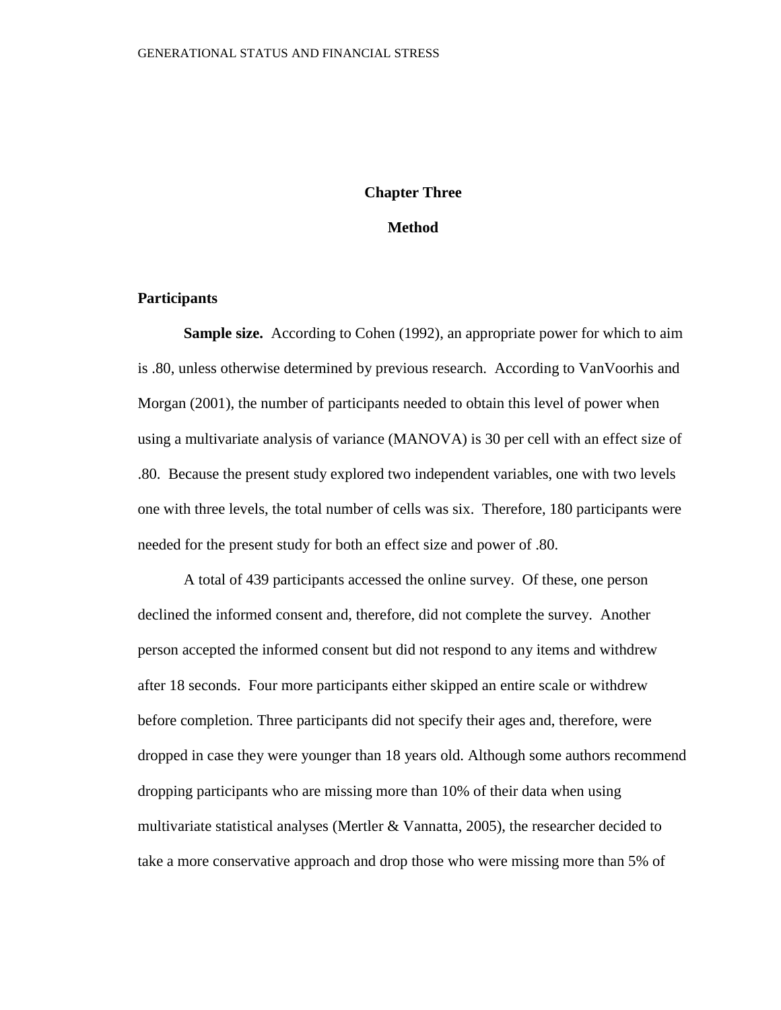#### **Chapter Three**

#### **Method**

#### **Participants**

**Sample size.** According to Cohen (1992), an appropriate power for which to aim is .80, unless otherwise determined by previous research. According to VanVoorhis and Morgan (2001), the number of participants needed to obtain this level of power when using a multivariate analysis of variance (MANOVA) is 30 per cell with an effect size of .80. Because the present study explored two independent variables, one with two levels one with three levels, the total number of cells was six. Therefore, 180 participants were needed for the present study for both an effect size and power of .80.

A total of 439 participants accessed the online survey. Of these, one person declined the informed consent and, therefore, did not complete the survey. Another person accepted the informed consent but did not respond to any items and withdrew after 18 seconds. Four more participants either skipped an entire scale or withdrew before completion. Three participants did not specify their ages and, therefore, were dropped in case they were younger than 18 years old. Although some authors recommend dropping participants who are missing more than 10% of their data when using multivariate statistical analyses (Mertler & Vannatta, 2005), the researcher decided to take a more conservative approach and drop those who were missing more than 5% of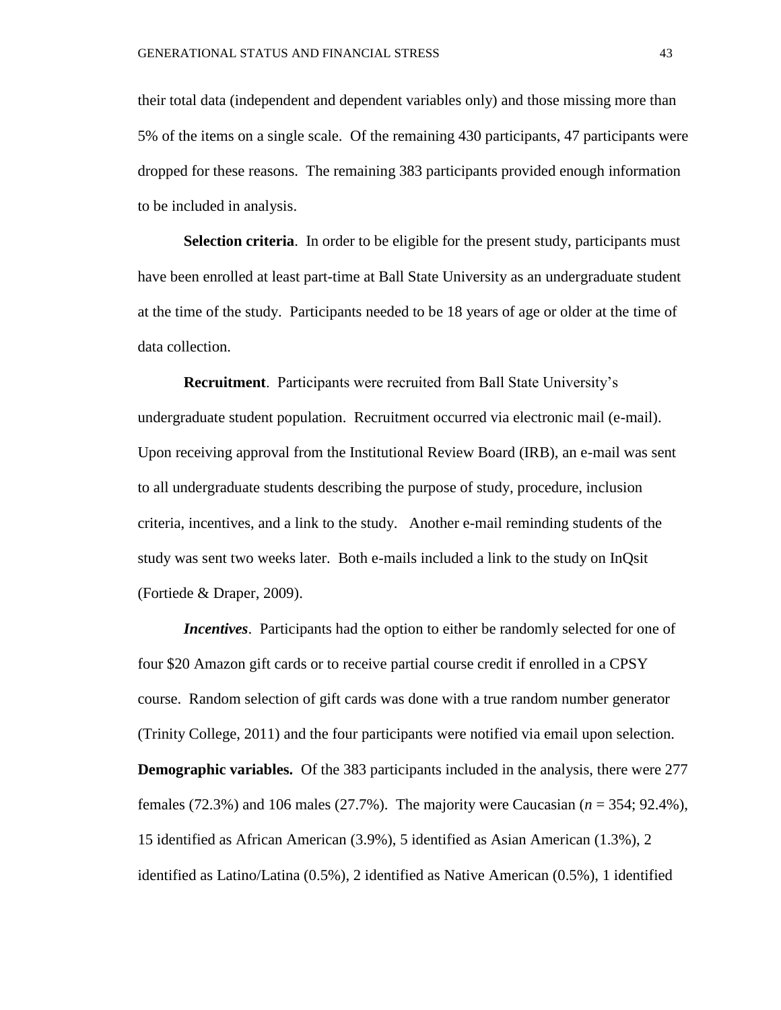their total data (independent and dependent variables only) and those missing more than 5% of the items on a single scale. Of the remaining 430 participants, 47 participants were dropped for these reasons. The remaining 383 participants provided enough information to be included in analysis.

**Selection criteria**. In order to be eligible for the present study, participants must have been enrolled at least part-time at Ball State University as an undergraduate student at the time of the study. Participants needed to be 18 years of age or older at the time of data collection.

**Recruitment**. Participants were recruited from Ball State University's undergraduate student population. Recruitment occurred via electronic mail (e-mail). Upon receiving approval from the Institutional Review Board (IRB), an e-mail was sent to all undergraduate students describing the purpose of study, procedure, inclusion criteria, incentives, and a link to the study. Another e-mail reminding students of the study was sent two weeks later. Both e-mails included a link to the study on InQsit (Fortiede & Draper, 2009).

*Incentives*. Participants had the option to either be randomly selected for one of four \$20 Amazon gift cards or to receive partial course credit if enrolled in a CPSY course. Random selection of gift cards was done with a true random number generator (Trinity College, 2011) and the four participants were notified via email upon selection. **Demographic variables.** Of the 383 participants included in the analysis, there were 277 females (72.3%) and 106 males (27.7%). The majority were Caucasian (*n* = 354; 92.4%), 15 identified as African American (3.9%), 5 identified as Asian American (1.3%), 2 identified as Latino/Latina (0.5%), 2 identified as Native American (0.5%), 1 identified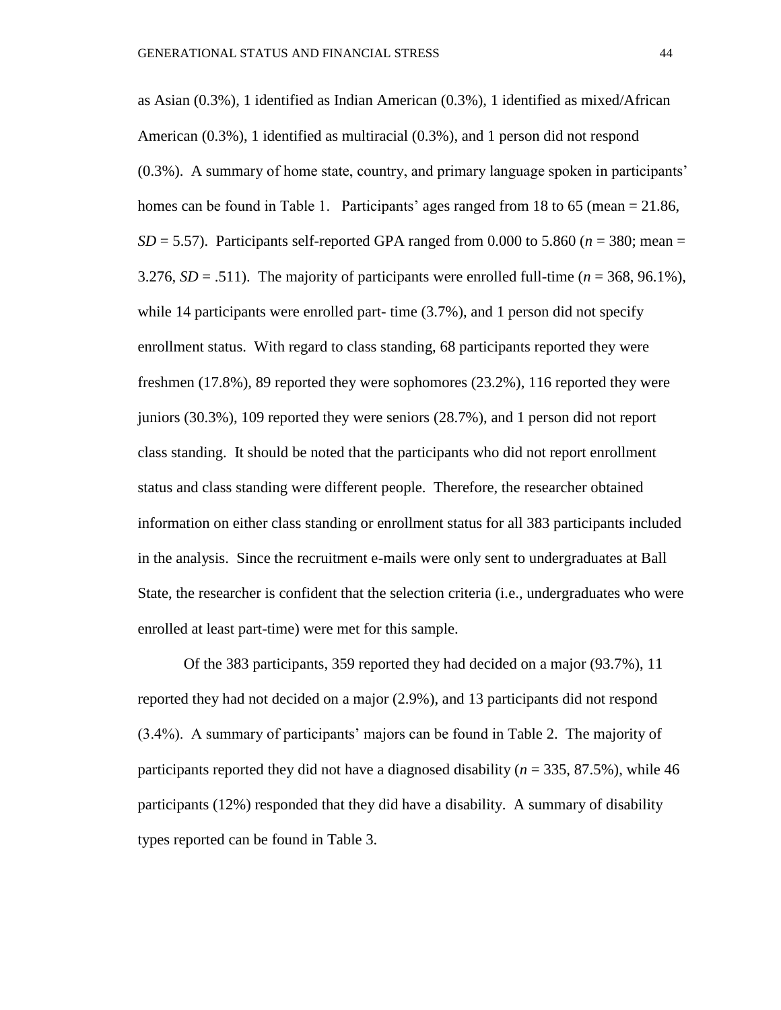as Asian (0.3%), 1 identified as Indian American (0.3%), 1 identified as mixed/African American (0.3%), 1 identified as multiracial (0.3%), and 1 person did not respond (0.3%). A summary of home state, country, and primary language spoken in participants' homes can be found in Table 1. Participants' ages ranged from 18 to 65 (mean = 21.86, *SD* = 5.57). Participants self-reported GPA ranged from 0.000 to 5.860 ( $n = 380$ ; mean = 3.276,  $SD = .511$ ). The majority of participants were enrolled full-time ( $n = 368, 96.1\%$ ), while 14 participants were enrolled part- time  $(3.7%)$ , and 1 person did not specify enrollment status. With regard to class standing, 68 participants reported they were freshmen (17.8%), 89 reported they were sophomores (23.2%), 116 reported they were juniors (30.3%), 109 reported they were seniors (28.7%), and 1 person did not report class standing. It should be noted that the participants who did not report enrollment status and class standing were different people. Therefore, the researcher obtained information on either class standing or enrollment status for all 383 participants included in the analysis. Since the recruitment e-mails were only sent to undergraduates at Ball State, the researcher is confident that the selection criteria (i.e., undergraduates who were enrolled at least part-time) were met for this sample.

Of the 383 participants, 359 reported they had decided on a major (93.7%), 11 reported they had not decided on a major (2.9%), and 13 participants did not respond (3.4%). A summary of participants' majors can be found in Table 2. The majority of participants reported they did not have a diagnosed disability (*n* = 335, 87.5%), while 46 participants (12%) responded that they did have a disability. A summary of disability types reported can be found in Table 3.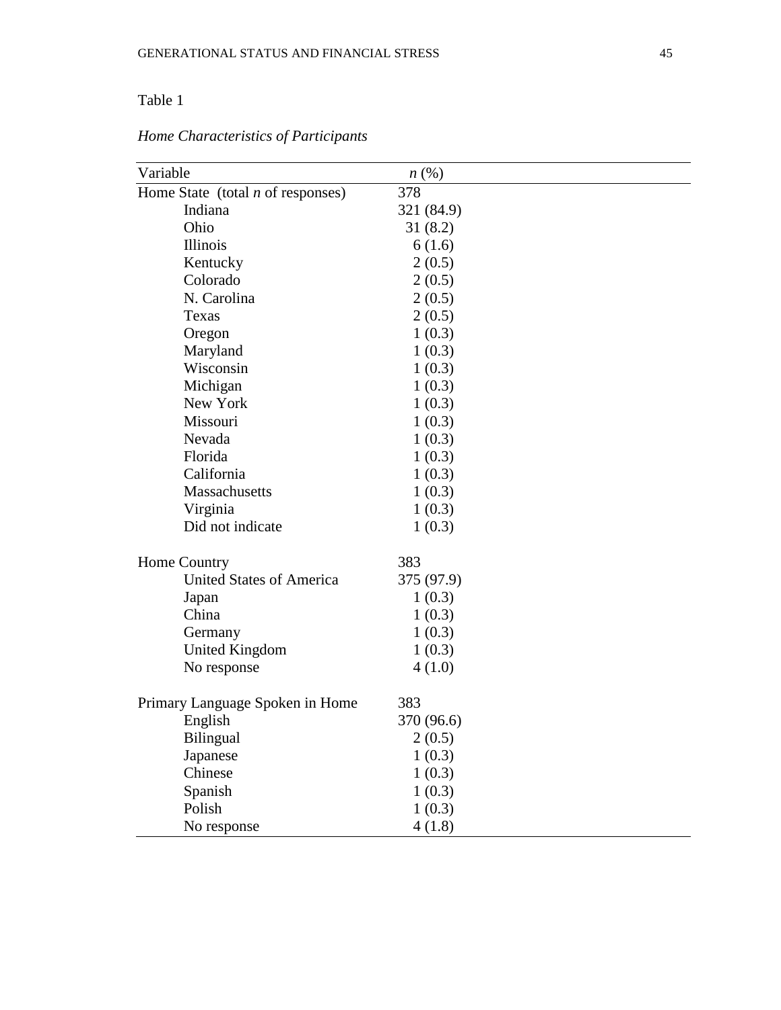### Table 1

| Variable                            | $n\left(\%\right)$ |  |
|-------------------------------------|--------------------|--|
| Home State (total $n$ of responses) | 378                |  |
| Indiana                             | 321 (84.9)         |  |
| Ohio                                | 31(8.2)            |  |
| Illinois                            | 6(1.6)             |  |
| Kentucky                            | 2(0.5)             |  |
| Colorado                            | 2(0.5)             |  |
| N. Carolina                         | 2(0.5)             |  |
| Texas                               | 2(0.5)             |  |
| Oregon                              | 1(0.3)             |  |
| Maryland                            | 1(0.3)             |  |
| Wisconsin                           | 1(0.3)             |  |
| Michigan                            | 1(0.3)             |  |
| New York                            | 1(0.3)             |  |
| Missouri                            | 1(0.3)             |  |
| Nevada                              | 1(0.3)             |  |
| Florida                             | 1(0.3)             |  |
| California                          | 1(0.3)             |  |
| Massachusetts                       | 1(0.3)             |  |
| Virginia                            | 1(0.3)             |  |
| Did not indicate                    | 1(0.3)             |  |
| Home Country                        | 383                |  |
| <b>United States of America</b>     | 375 (97.9)         |  |
| Japan                               | 1(0.3)             |  |
| China                               | 1(0.3)             |  |
| Germany                             | 1(0.3)             |  |
| <b>United Kingdom</b>               | 1(0.3)             |  |
| No response                         | 4(1.0)             |  |
|                                     |                    |  |
| Primary Language Spoken in Home     | 383                |  |
| English                             | 370 (96.6)         |  |
| <b>Bilingual</b>                    | 2(0.5)             |  |
| Japanese<br>Chinese                 | 1(0.3)             |  |
|                                     | 1(0.3)             |  |
| Spanish<br>Polish                   | 1(0.3)             |  |
|                                     | 1(0.3)             |  |
| No response                         | 4(1.8)             |  |

*Home Characteristics of Participants*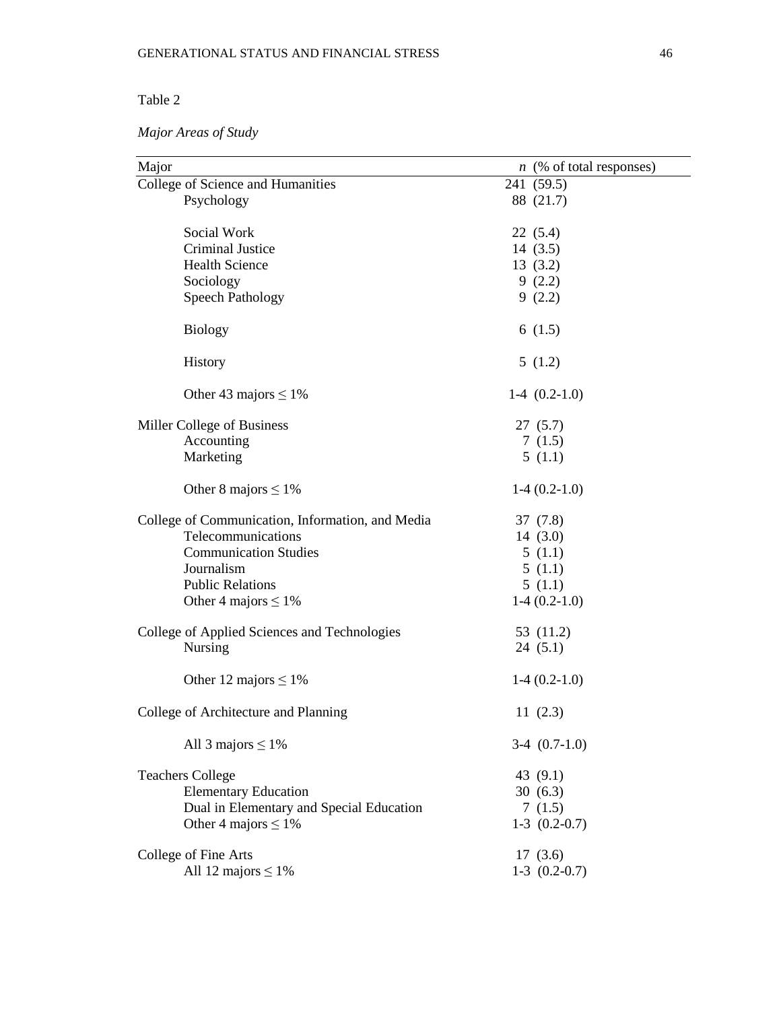### Table 2

### *Major Areas of Study*

| Major                                            | $n \ (\% \ of \ total \ responses)$ |
|--------------------------------------------------|-------------------------------------|
| College of Science and Humanities                | 241 (59.5)                          |
| Psychology                                       | 88 (21.7)                           |
|                                                  |                                     |
| Social Work                                      | 22(5.4)                             |
| Criminal Justice                                 | 14(3.5)                             |
| <b>Health Science</b>                            | 13(3.2)                             |
| Sociology                                        | 9(2.2)                              |
| <b>Speech Pathology</b>                          | 9(2.2)                              |
| <b>Biology</b>                                   | 6(1.5)                              |
| History                                          | 5(1.2)                              |
| Other 43 majors $\leq 1\%$                       | $1-4(0.2-1.0)$                      |
| Miller College of Business                       | 27(5.7)                             |
| Accounting                                       | 7(1.5)                              |
| Marketing                                        | 5(1.1)                              |
|                                                  |                                     |
| Other 8 majors $\leq 1\%$                        | $1-4(0.2-1.0)$                      |
| College of Communication, Information, and Media | 37(7.8)                             |
| Telecommunications                               | 14 $(3.0)$                          |
| <b>Communication Studies</b>                     | 5(1.1)                              |
| Journalism                                       | 5(1.1)                              |
| <b>Public Relations</b>                          | 5(1.1)                              |
|                                                  |                                     |
| Other 4 majors $\leq 1\%$                        | $1-4(0.2-1.0)$                      |
| College of Applied Sciences and Technologies     | 53 (11.2)                           |
| Nursing                                          | 24(5.1)                             |
|                                                  |                                     |
| Other 12 majors $\leq 1\%$                       | $1-4(0.2-1.0)$                      |
| College of Architecture and Planning             | 11 $(2.3)$                          |
| All 3 majors $\leq 1\%$                          | $3-4$ $(0.7-1.0)$                   |
| <b>Teachers College</b>                          | 43 (9.1)                            |
| <b>Elementary Education</b>                      | 30(6.3)                             |
| Dual in Elementary and Special Education         | 7(1.5)                              |
| Other 4 majors $\leq 1\%$                        | $1-3$ $(0.2-0.7)$                   |
|                                                  |                                     |
| College of Fine Arts                             | 17(3.6)                             |
| All 12 majors $\leq 1\%$                         | $1-3$ $(0.2-0.7)$                   |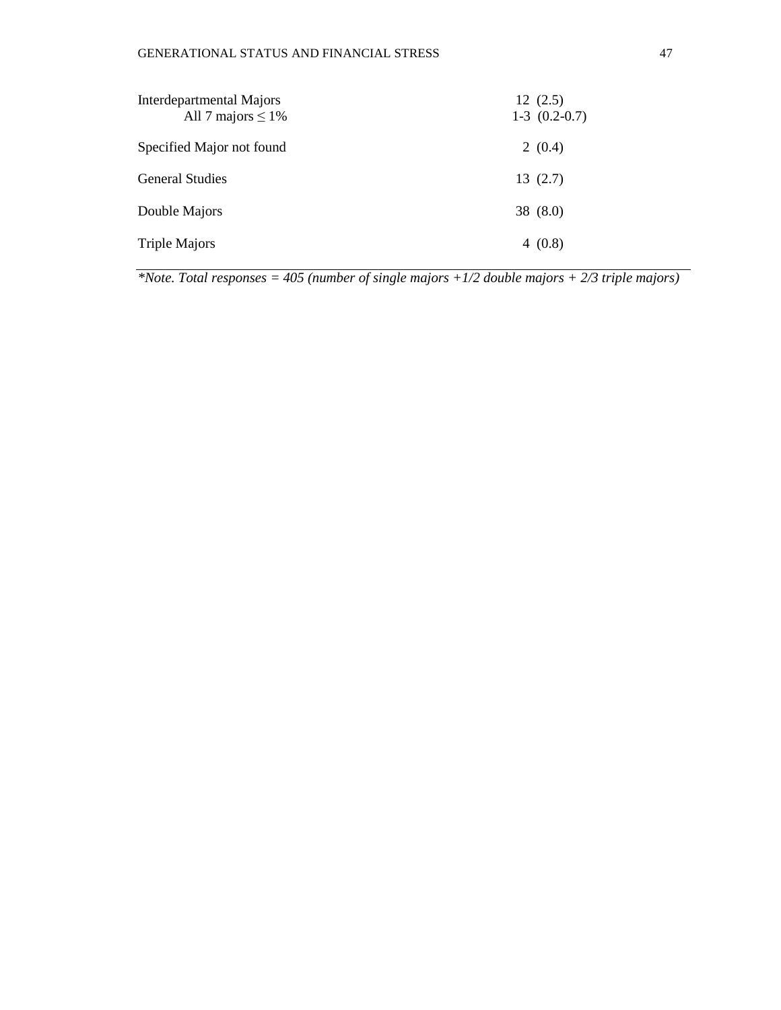| Interdepartmental Majors<br>All 7 majors $\leq 1\%$ | 12(2.5)<br>$1-3$ $(0.2-0.7)$ |
|-----------------------------------------------------|------------------------------|
| Specified Major not found                           | 2(0.4)                       |
| <b>General Studies</b>                              | 13(2.7)                      |
| Double Majors                                       | 38 $(8.0)$                   |
| <b>Triple Majors</b>                                | 4(0.8)                       |

*\*Note. Total responses = 405 (number of single majors +1/2 double majors + 2/3 triple majors)*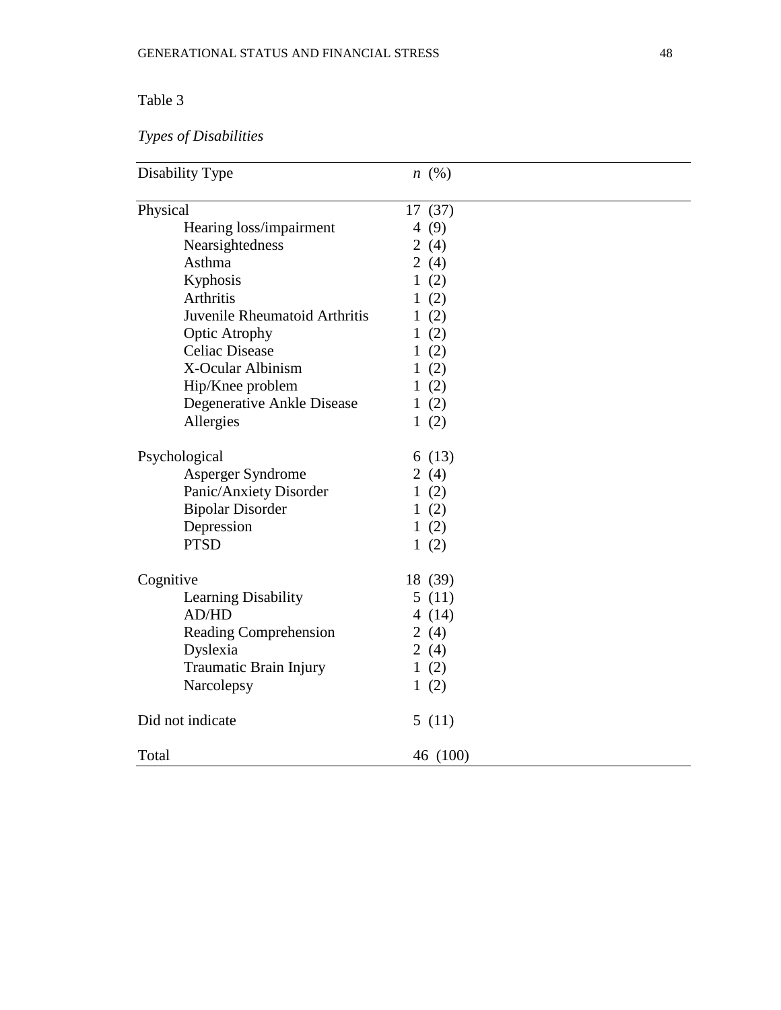### Table 3

# *Types of Disabilities*

| Disability Type               | $n \ (\%)$ |
|-------------------------------|------------|
| Physical                      | 17(37)     |
| Hearing loss/impairment       | 4 $(9)$    |
| Nearsightedness               | 2 $(4)$    |
| Asthma                        | 2(4)       |
| Kyphosis                      | 1(2)       |
| Arthritis                     | 1(2)       |
| Juvenile Rheumatoid Arthritis | 1(2)       |
| <b>Optic Atrophy</b>          | 1(2)       |
| <b>Celiac Disease</b>         | 1(2)       |
| X-Ocular Albinism             | 1(2)       |
| Hip/Knee problem              | 1(2)       |
| Degenerative Ankle Disease    | 1(2)       |
| Allergies                     | 1(2)       |
| Psychological                 | 6(13)      |
| Asperger Syndrome             | 2 $(4)$    |
| Panic/Anxiety Disorder        | 1(2)       |
| <b>Bipolar Disorder</b>       | 1(2)       |
| Depression                    | 1(2)       |
| <b>PTSD</b>                   | 1(2)       |
| Cognitive                     | 18 (39)    |
| Learning Disability           | 5(11)      |
| <b>AD/HD</b>                  | 4 $(14)$   |
| Reading Comprehension         | 2 $(4)$    |
| Dyslexia                      | 2 $(4)$    |
| Traumatic Brain Injury        | 1(2)       |
| Narcolepsy                    | 1(2)       |
| Did not indicate              | 5(11)      |
| Total                         | 46 (100)   |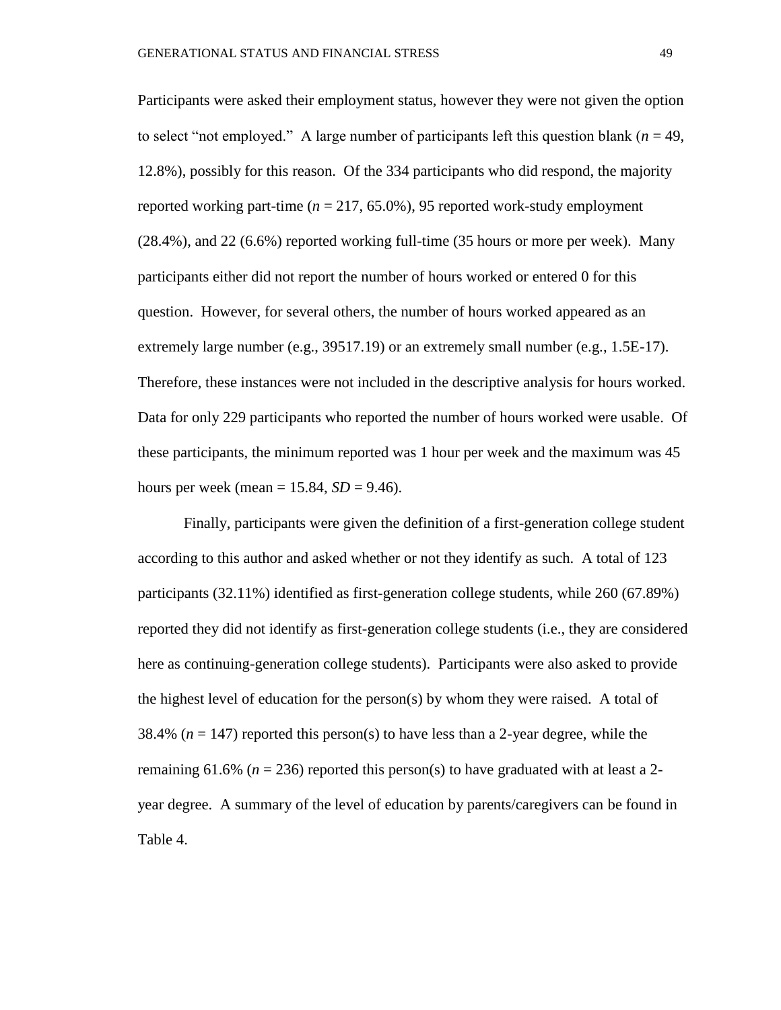Participants were asked their employment status, however they were not given the option to select "not employed." A large number of participants left this question blank ( $n = 49$ , 12.8%), possibly for this reason. Of the 334 participants who did respond, the majority reported working part-time  $(n = 217, 65.0\%)$ , 95 reported work-study employment (28.4%), and 22 (6.6%) reported working full-time (35 hours or more per week). Many participants either did not report the number of hours worked or entered 0 for this question. However, for several others, the number of hours worked appeared as an extremely large number (e.g., 39517.19) or an extremely small number (e.g., 1.5E-17). Therefore, these instances were not included in the descriptive analysis for hours worked. Data for only 229 participants who reported the number of hours worked were usable. Of these participants, the minimum reported was 1 hour per week and the maximum was 45 hours per week (mean  $= 15.84$ , *SD*  $= 9.46$ ).

Finally, participants were given the definition of a first-generation college student according to this author and asked whether or not they identify as such. A total of 123 participants (32.11%) identified as first-generation college students, while 260 (67.89%) reported they did not identify as first-generation college students (i.e., they are considered here as continuing-generation college students). Participants were also asked to provide the highest level of education for the person(s) by whom they were raised. A total of 38.4% ( $n = 147$ ) reported this person(s) to have less than a 2-year degree, while the remaining 61.6% ( $n = 236$ ) reported this person(s) to have graduated with at least a 2year degree. A summary of the level of education by parents/caregivers can be found in Table 4.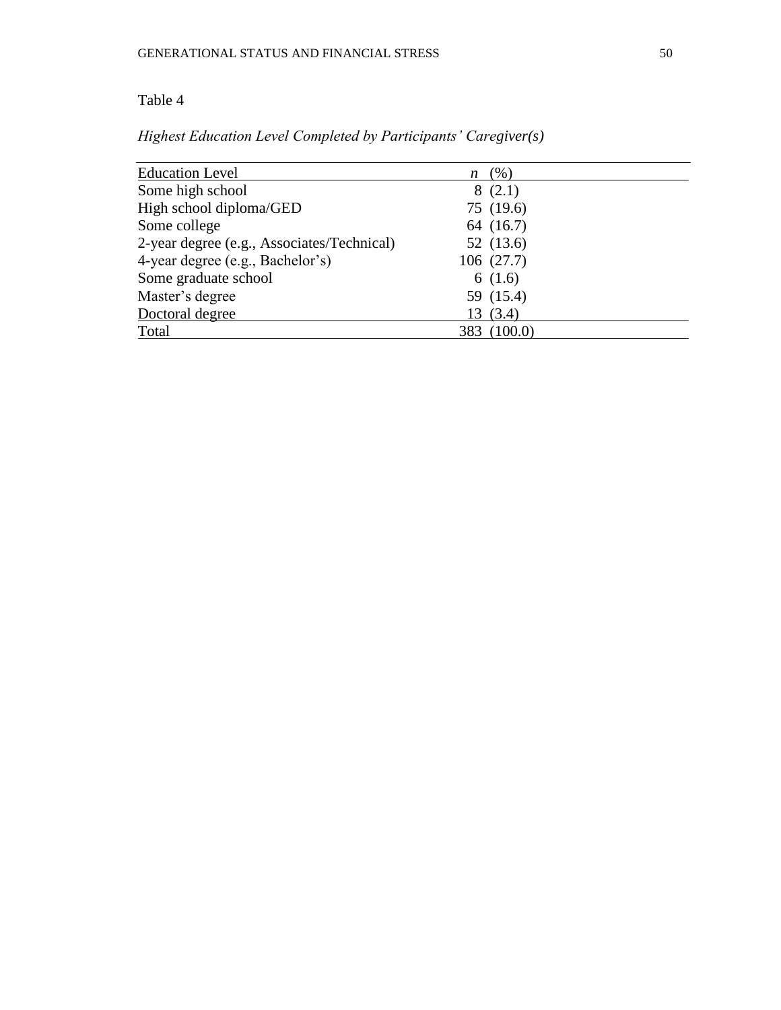### Table 4

| <b>Education Level</b>                     | $n \ (%)$   |  |
|--------------------------------------------|-------------|--|
| Some high school                           | 8(2.1)      |  |
| High school diploma/GED                    | 75 (19.6)   |  |
| Some college                               | 64 (16.7)   |  |
| 2-year degree (e.g., Associates/Technical) | 52 (13.6)   |  |
| 4-year degree (e.g., Bachelor's)           | 106(27.7)   |  |
| Some graduate school                       | 6(1.6)      |  |
| Master's degree                            | 59 (15.4)   |  |
| Doctoral degree                            | 13(3.4)     |  |
| Total                                      | 383 (100.0) |  |

*Highest Education Level Completed by Participants' Caregiver(s)*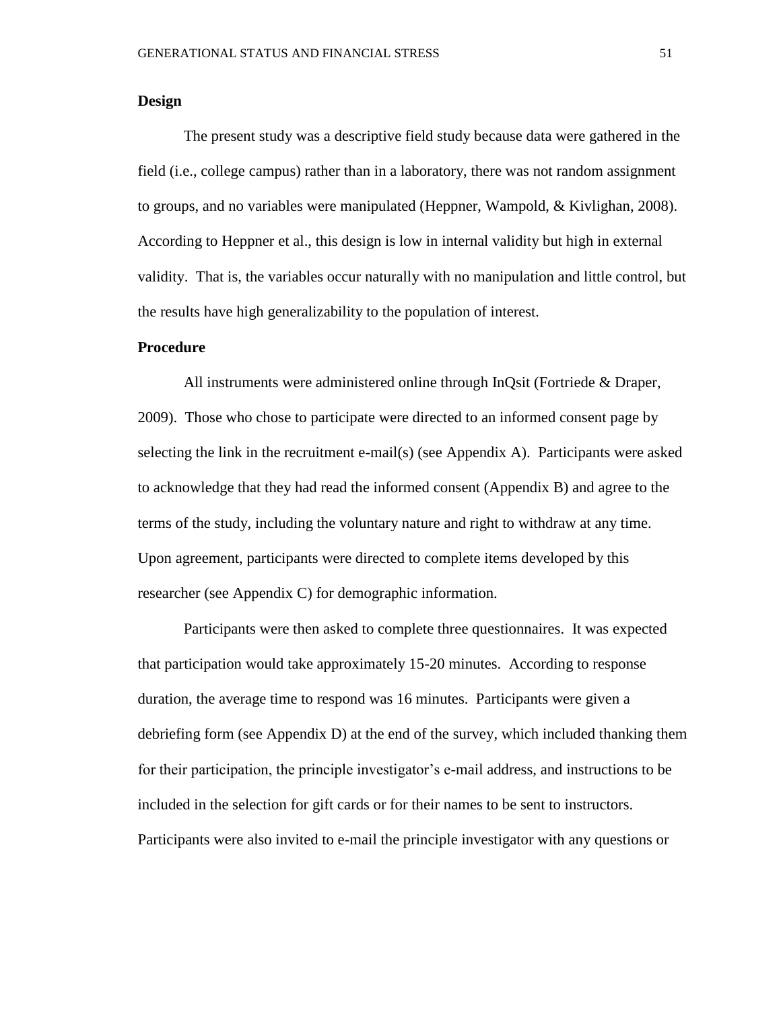#### **Design**

The present study was a descriptive field study because data were gathered in the field (i.e., college campus) rather than in a laboratory, there was not random assignment to groups, and no variables were manipulated (Heppner, Wampold, & Kivlighan, 2008). According to Heppner et al., this design is low in internal validity but high in external validity. That is, the variables occur naturally with no manipulation and little control, but the results have high generalizability to the population of interest.

#### **Procedure**

All instruments were administered online through InQsit (Fortriede & Draper, 2009). Those who chose to participate were directed to an informed consent page by selecting the link in the recruitment e-mail(s) (see Appendix A). Participants were asked to acknowledge that they had read the informed consent (Appendix B) and agree to the terms of the study, including the voluntary nature and right to withdraw at any time. Upon agreement, participants were directed to complete items developed by this researcher (see Appendix C) for demographic information.

Participants were then asked to complete three questionnaires. It was expected that participation would take approximately 15-20 minutes. According to response duration, the average time to respond was 16 minutes. Participants were given a debriefing form (see Appendix D) at the end of the survey, which included thanking them for their participation, the principle investigator's e-mail address, and instructions to be included in the selection for gift cards or for their names to be sent to instructors. Participants were also invited to e-mail the principle investigator with any questions or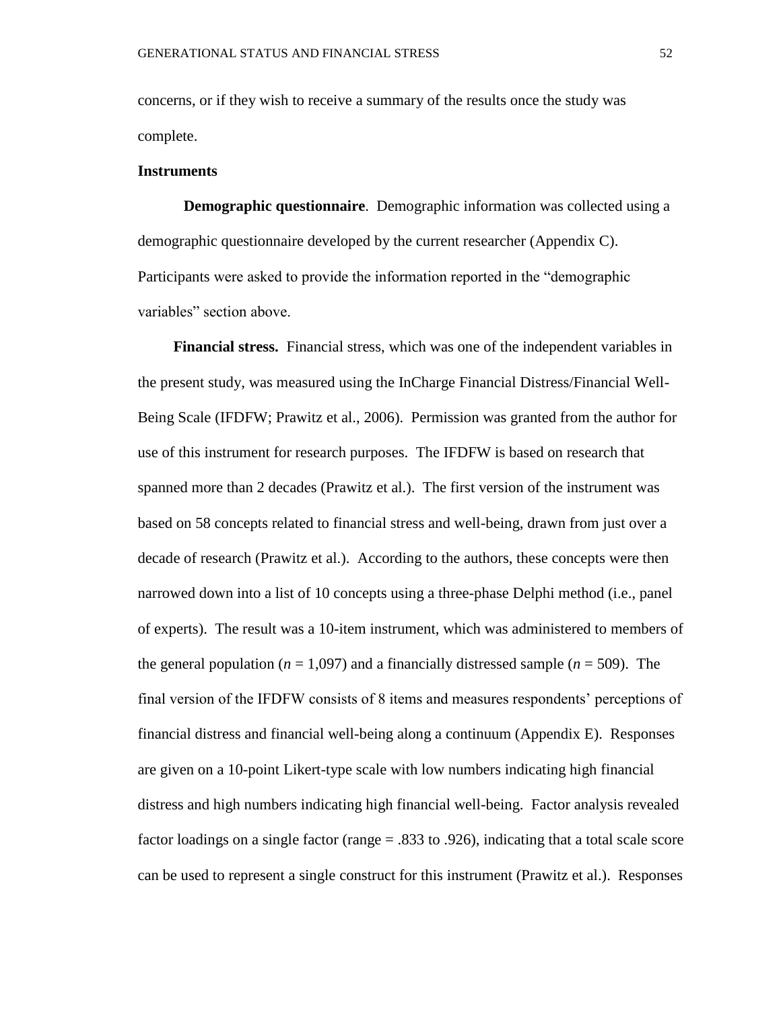concerns, or if they wish to receive a summary of the results once the study was complete.

#### **Instruments**

**Demographic questionnaire**. Demographic information was collected using a demographic questionnaire developed by the current researcher (Appendix C). Participants were asked to provide the information reported in the "demographic variables" section above.

**Financial stress.** Financial stress, which was one of the independent variables in the present study, was measured using the InCharge Financial Distress/Financial Well-Being Scale (IFDFW; Prawitz et al., 2006). Permission was granted from the author for use of this instrument for research purposes. The IFDFW is based on research that spanned more than 2 decades (Prawitz et al.). The first version of the instrument was based on 58 concepts related to financial stress and well-being, drawn from just over a decade of research (Prawitz et al.). According to the authors, these concepts were then narrowed down into a list of 10 concepts using a three-phase Delphi method (i.e., panel of experts). The result was a 10-item instrument, which was administered to members of the general population ( $n = 1,097$ ) and a financially distressed sample ( $n = 509$ ). The final version of the IFDFW consists of 8 items and measures respondents' perceptions of financial distress and financial well-being along a continuum (Appendix E). Responses are given on a 10-point Likert-type scale with low numbers indicating high financial distress and high numbers indicating high financial well-being. Factor analysis revealed factor loadings on a single factor (range = .833 to .926), indicating that a total scale score can be used to represent a single construct for this instrument (Prawitz et al.). Responses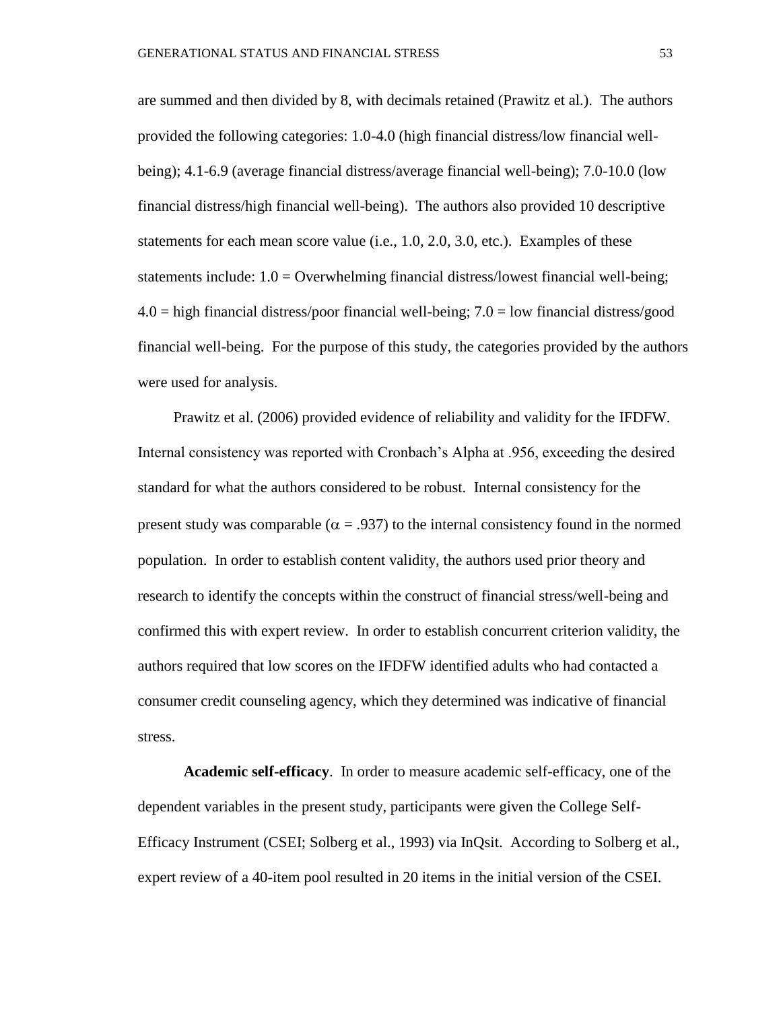are summed and then divided by 8, with decimals retained (Prawitz et al.). The authors provided the following categories: 1.0-4.0 (high financial distress/low financial wellbeing); 4.1-6.9 (average financial distress/average financial well-being); 7.0-10.0 (low financial distress/high financial well-being). The authors also provided 10 descriptive statements for each mean score value (i.e., 1.0, 2.0, 3.0, etc.). Examples of these statements include:  $1.0 =$  Overwhelming financial distress/lowest financial well-being;  $4.0 =$  high financial distress/poor financial well-being;  $7.0 =$  low financial distress/good financial well-being. For the purpose of this study, the categories provided by the authors were used for analysis.

Prawitz et al. (2006) provided evidence of reliability and validity for the IFDFW. Internal consistency was reported with Cronbach's Alpha at .956, exceeding the desired standard for what the authors considered to be robust. Internal consistency for the present study was comparable ( $\alpha$  = .937) to the internal consistency found in the normed population. In order to establish content validity, the authors used prior theory and research to identify the concepts within the construct of financial stress/well-being and confirmed this with expert review. In order to establish concurrent criterion validity, the authors required that low scores on the IFDFW identified adults who had contacted a consumer credit counseling agency, which they determined was indicative of financial stress.

**Academic self-efficacy**. In order to measure academic self-efficacy, one of the dependent variables in the present study, participants were given the College Self-Efficacy Instrument (CSEI; Solberg et al., 1993) via InQsit. According to Solberg et al., expert review of a 40-item pool resulted in 20 items in the initial version of the CSEI.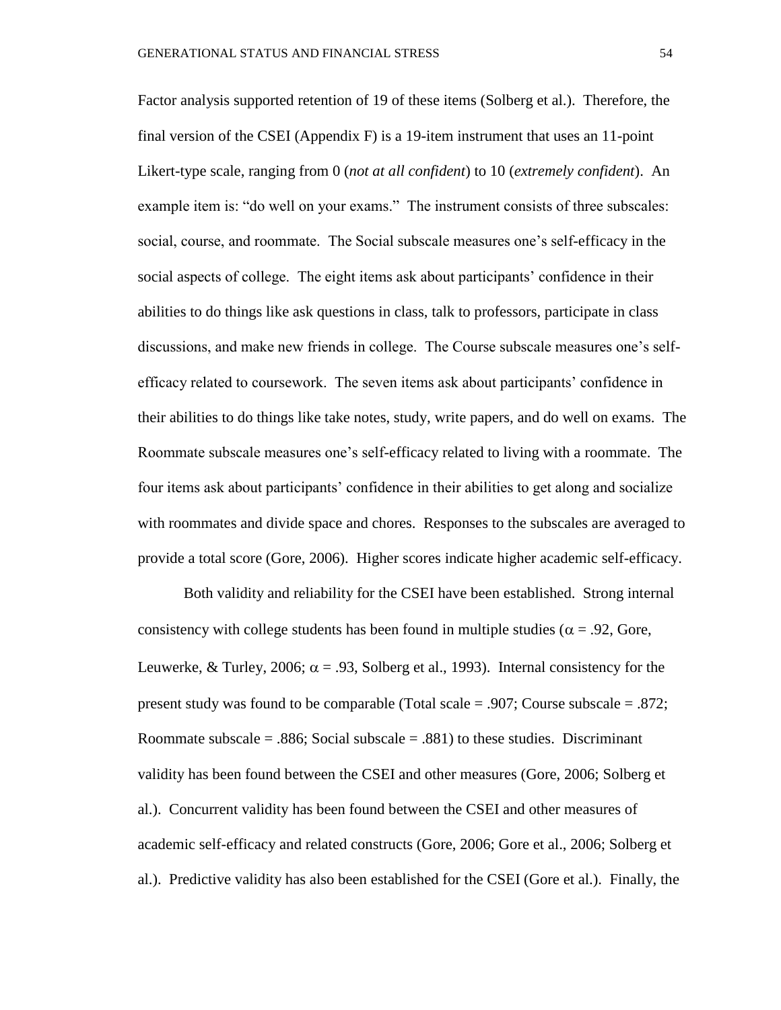Factor analysis supported retention of 19 of these items (Solberg et al.). Therefore, the final version of the CSEI (Appendix F) is a 19-item instrument that uses an 11-point Likert-type scale, ranging from 0 (*not at all confident*) to 10 (*extremely confident*). An example item is: "do well on your exams." The instrument consists of three subscales: social, course, and roommate. The Social subscale measures one's self-efficacy in the social aspects of college. The eight items ask about participants' confidence in their abilities to do things like ask questions in class, talk to professors, participate in class discussions, and make new friends in college. The Course subscale measures one's selfefficacy related to coursework. The seven items ask about participants' confidence in their abilities to do things like take notes, study, write papers, and do well on exams. The Roommate subscale measures one's self-efficacy related to living with a roommate. The four items ask about participants' confidence in their abilities to get along and socialize with roommates and divide space and chores. Responses to the subscales are averaged to provide a total score (Gore, 2006). Higher scores indicate higher academic self-efficacy.

Both validity and reliability for the CSEI have been established. Strong internal consistency with college students has been found in multiple studies ( $\alpha$  = .92, Gore, Leuwerke, & Turley, 2006;  $\alpha$  = .93, Solberg et al., 1993). Internal consistency for the present study was found to be comparable (Total scale = .907; Course subscale = .872; Roommate subscale  $= .886$ ; Social subscale  $= .881$ ) to these studies. Discriminant validity has been found between the CSEI and other measures (Gore, 2006; Solberg et al.). Concurrent validity has been found between the CSEI and other measures of academic self-efficacy and related constructs (Gore, 2006; Gore et al., 2006; Solberg et al.). Predictive validity has also been established for the CSEI (Gore et al.). Finally, the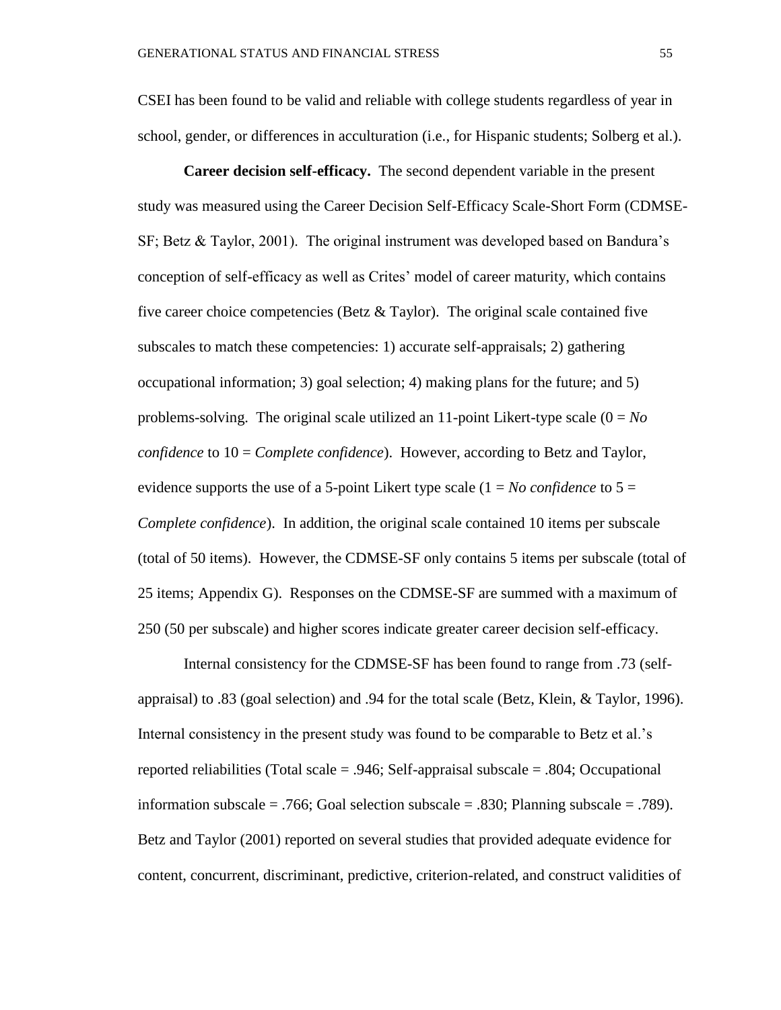CSEI has been found to be valid and reliable with college students regardless of year in school, gender, or differences in acculturation (i.e., for Hispanic students; Solberg et al.).

**Career decision self-efficacy.** The second dependent variable in the present study was measured using the Career Decision Self-Efficacy Scale-Short Form (CDMSE-SF; Betz & Taylor, 2001). The original instrument was developed based on Bandura's conception of self-efficacy as well as Crites' model of career maturity, which contains five career choice competencies (Betz  $& Taylor$ ). The original scale contained five subscales to match these competencies: 1) accurate self-appraisals; 2) gathering occupational information; 3) goal selection; 4) making plans for the future; and 5) problems-solving. The original scale utilized an 11-point Likert-type scale  $(0 = No$ *confidence* to 10 = *Complete confidence*). However, according to Betz and Taylor, evidence supports the use of a 5-point Likert type scale  $(1 = No \ confidence$  to  $5 =$ *Complete confidence*). In addition, the original scale contained 10 items per subscale (total of 50 items). However, the CDMSE-SF only contains 5 items per subscale (total of 25 items; Appendix G). Responses on the CDMSE-SF are summed with a maximum of 250 (50 per subscale) and higher scores indicate greater career decision self-efficacy.

Internal consistency for the CDMSE-SF has been found to range from .73 (selfappraisal) to .83 (goal selection) and .94 for the total scale (Betz, Klein, & Taylor, 1996). Internal consistency in the present study was found to be comparable to Betz et al.'s reported reliabilities (Total scale = .946; Self-appraisal subscale = .804; Occupational information subscale = .766; Goal selection subscale = .830; Planning subscale = .789). Betz and Taylor (2001) reported on several studies that provided adequate evidence for content, concurrent, discriminant, predictive, criterion-related, and construct validities of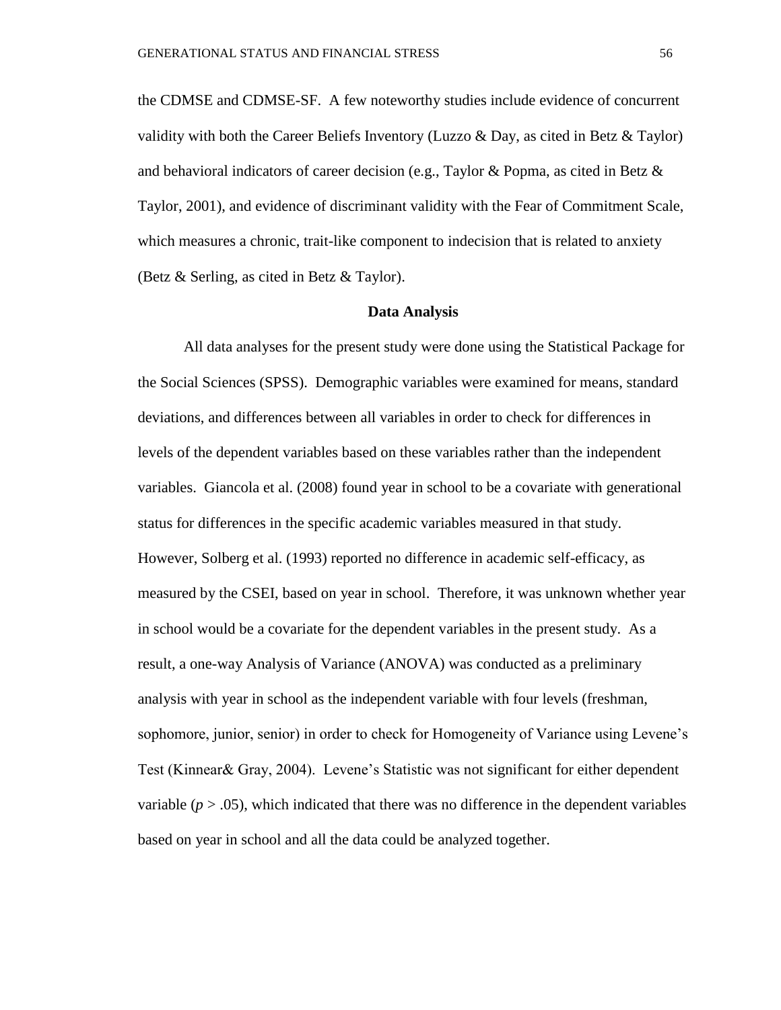the CDMSE and CDMSE-SF. A few noteworthy studies include evidence of concurrent validity with both the Career Beliefs Inventory (Luzzo & Day, as cited in Betz & Taylor) and behavioral indicators of career decision (e.g., Taylor & Popma, as cited in Betz  $\&$ Taylor, 2001), and evidence of discriminant validity with the Fear of Commitment Scale, which measures a chronic, trait-like component to indecision that is related to anxiety (Betz & Serling, as cited in Betz & Taylor).

#### **Data Analysis**

All data analyses for the present study were done using the Statistical Package for the Social Sciences (SPSS). Demographic variables were examined for means, standard deviations, and differences between all variables in order to check for differences in levels of the dependent variables based on these variables rather than the independent variables. Giancola et al. (2008) found year in school to be a covariate with generational status for differences in the specific academic variables measured in that study. However, Solberg et al. (1993) reported no difference in academic self-efficacy, as measured by the CSEI, based on year in school. Therefore, it was unknown whether year in school would be a covariate for the dependent variables in the present study. As a result, a one-way Analysis of Variance (ANOVA) was conducted as a preliminary analysis with year in school as the independent variable with four levels (freshman, sophomore, junior, senior) in order to check for Homogeneity of Variance using Levene's Test (Kinnear& Gray, 2004). Levene's Statistic was not significant for either dependent variable  $(p > .05)$ , which indicated that there was no difference in the dependent variables based on year in school and all the data could be analyzed together.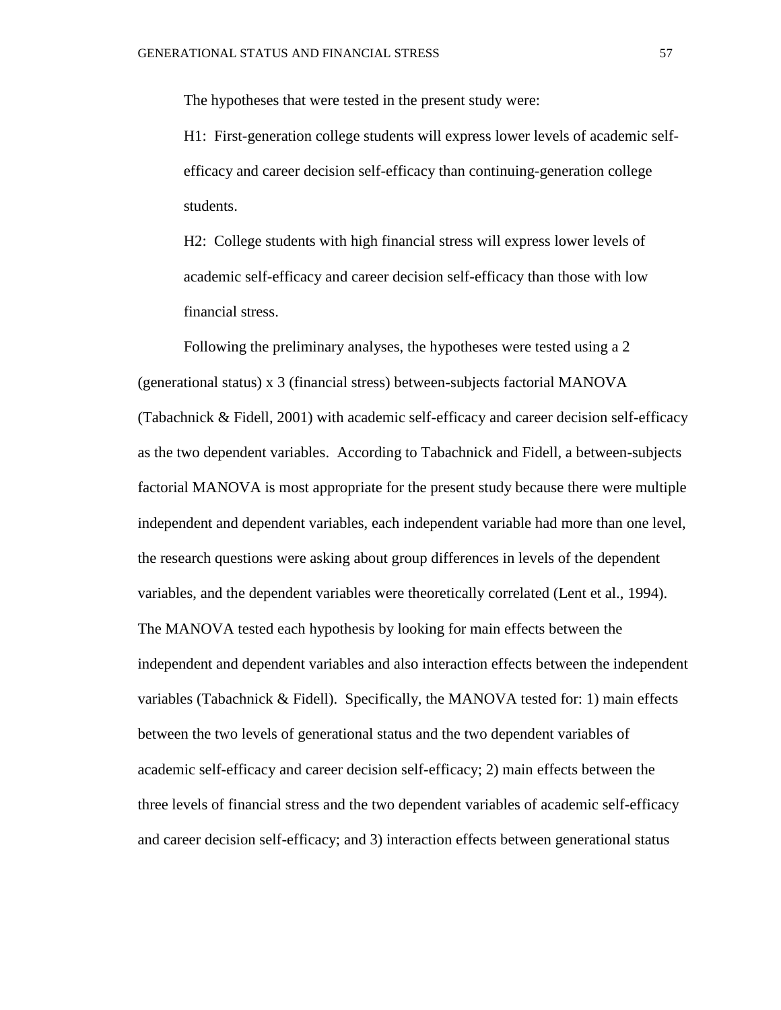The hypotheses that were tested in the present study were:

H1: First-generation college students will express lower levels of academic selfefficacy and career decision self-efficacy than continuing-generation college students.

H2: College students with high financial stress will express lower levels of academic self-efficacy and career decision self-efficacy than those with low financial stress.

Following the preliminary analyses, the hypotheses were tested using a 2 (generational status) x 3 (financial stress) between-subjects factorial MANOVA (Tabachnick & Fidell, 2001) with academic self-efficacy and career decision self-efficacy as the two dependent variables. According to Tabachnick and Fidell, a between-subjects factorial MANOVA is most appropriate for the present study because there were multiple independent and dependent variables, each independent variable had more than one level, the research questions were asking about group differences in levels of the dependent variables, and the dependent variables were theoretically correlated (Lent et al., 1994). The MANOVA tested each hypothesis by looking for main effects between the independent and dependent variables and also interaction effects between the independent variables (Tabachnick & Fidell). Specifically, the MANOVA tested for: 1) main effects between the two levels of generational status and the two dependent variables of academic self-efficacy and career decision self-efficacy; 2) main effects between the three levels of financial stress and the two dependent variables of academic self-efficacy and career decision self-efficacy; and 3) interaction effects between generational status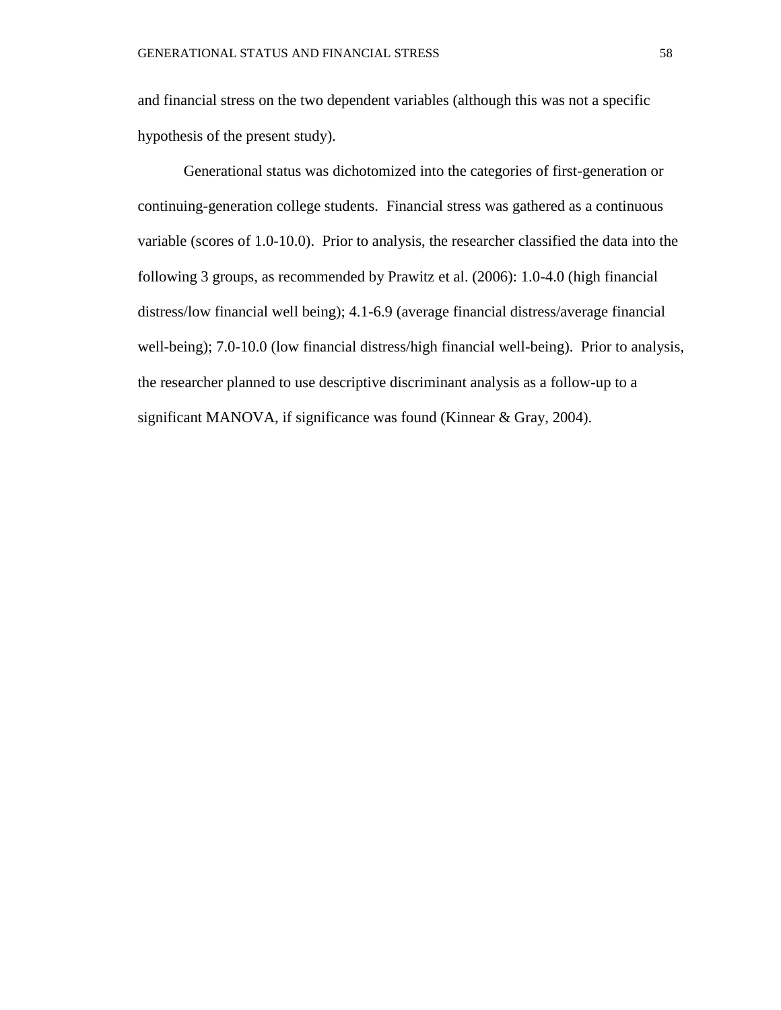and financial stress on the two dependent variables (although this was not a specific hypothesis of the present study).

Generational status was dichotomized into the categories of first-generation or continuing-generation college students. Financial stress was gathered as a continuous variable (scores of 1.0-10.0). Prior to analysis, the researcher classified the data into the following 3 groups, as recommended by Prawitz et al. (2006): 1.0-4.0 (high financial distress/low financial well being); 4.1-6.9 (average financial distress/average financial well-being); 7.0-10.0 (low financial distress/high financial well-being). Prior to analysis, the researcher planned to use descriptive discriminant analysis as a follow-up to a significant MANOVA, if significance was found (Kinnear & Gray, 2004).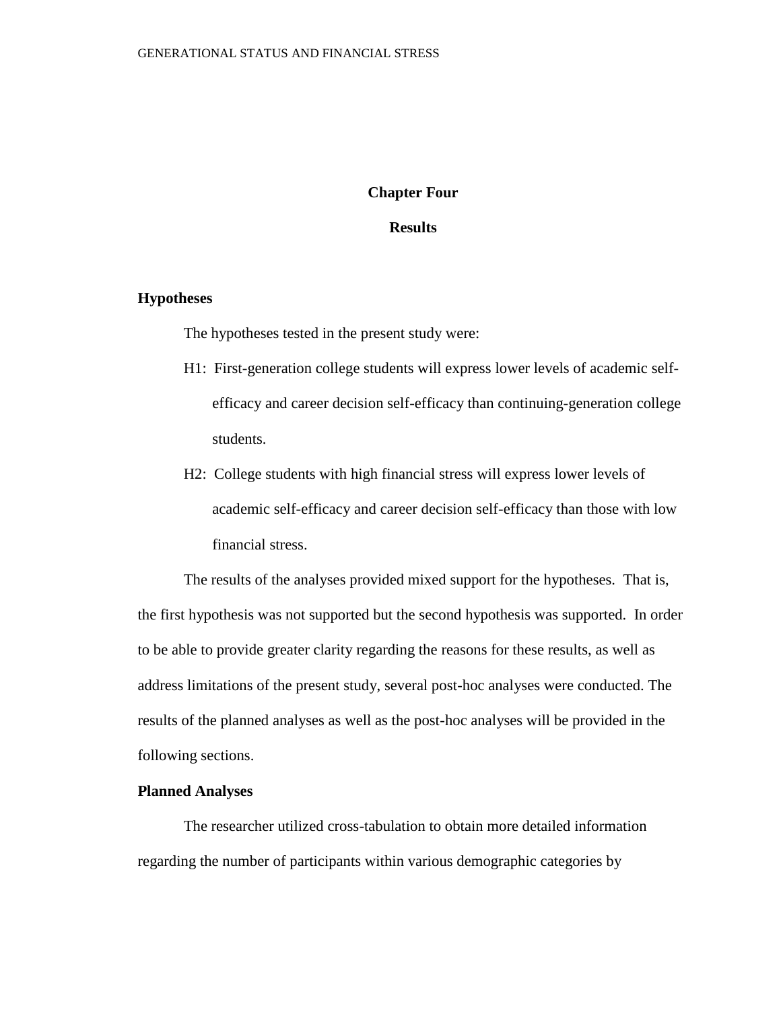#### **Chapter Four**

#### **Results**

#### **Hypotheses**

The hypotheses tested in the present study were:

- H1: First-generation college students will express lower levels of academic selfefficacy and career decision self-efficacy than continuing-generation college students.
- H2: College students with high financial stress will express lower levels of academic self-efficacy and career decision self-efficacy than those with low financial stress.

The results of the analyses provided mixed support for the hypotheses. That is, the first hypothesis was not supported but the second hypothesis was supported. In order to be able to provide greater clarity regarding the reasons for these results, as well as address limitations of the present study, several post-hoc analyses were conducted. The results of the planned analyses as well as the post-hoc analyses will be provided in the following sections.

#### **Planned Analyses**

The researcher utilized cross-tabulation to obtain more detailed information regarding the number of participants within various demographic categories by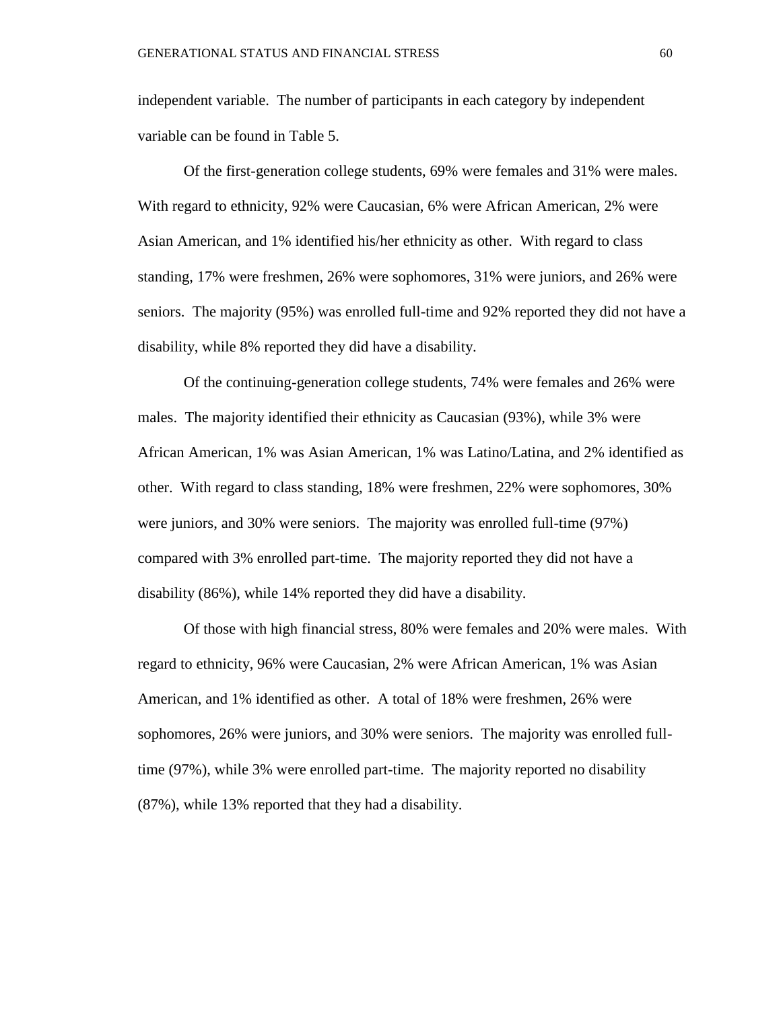independent variable. The number of participants in each category by independent variable can be found in Table 5.

Of the first-generation college students, 69% were females and 31% were males. With regard to ethnicity, 92% were Caucasian, 6% were African American, 2% were Asian American, and 1% identified his/her ethnicity as other. With regard to class standing, 17% were freshmen, 26% were sophomores, 31% were juniors, and 26% were seniors. The majority (95%) was enrolled full-time and 92% reported they did not have a disability, while 8% reported they did have a disability.

Of the continuing-generation college students, 74% were females and 26% were males. The majority identified their ethnicity as Caucasian (93%), while 3% were African American, 1% was Asian American, 1% was Latino/Latina, and 2% identified as other. With regard to class standing, 18% were freshmen, 22% were sophomores, 30% were juniors, and 30% were seniors. The majority was enrolled full-time (97%) compared with 3% enrolled part-time. The majority reported they did not have a disability (86%), while 14% reported they did have a disability.

Of those with high financial stress, 80% were females and 20% were males. With regard to ethnicity, 96% were Caucasian, 2% were African American, 1% was Asian American, and 1% identified as other. A total of 18% were freshmen, 26% were sophomores, 26% were juniors, and 30% were seniors. The majority was enrolled fulltime (97%), while 3% were enrolled part-time. The majority reported no disability (87%), while 13% reported that they had a disability.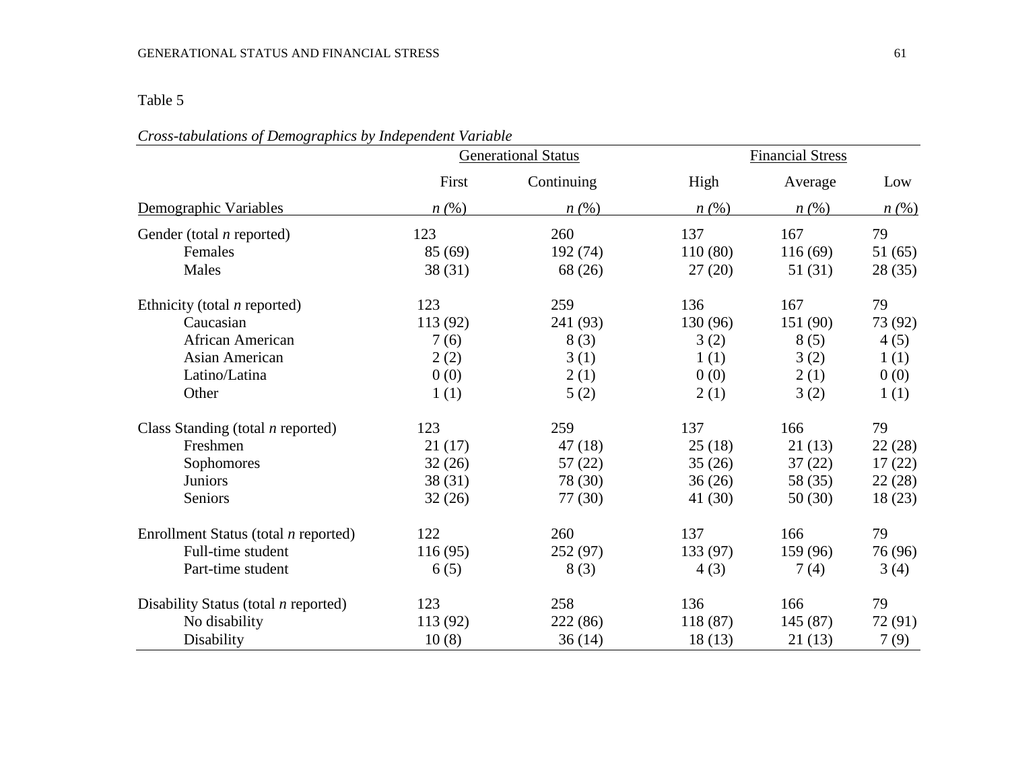### Table 5

|                                             | <b>Generational Status</b> |            | <b>Financial Stress</b> |          |         |
|---------------------------------------------|----------------------------|------------|-------------------------|----------|---------|
|                                             | First                      | Continuing | High                    | Average  | Low     |
| Demographic Variables                       | n(%)                       | n(%)       | n(%)                    | n(%)     | n(%)    |
| Gender (total $n$ reported)                 | 123                        | 260        | 137                     | 167      | 79      |
| Females                                     | 85 (69)                    | 192 (74)   | 110(80)                 | 116(69)  | 51(65)  |
| Males                                       | 38(31)                     | 68 (26)    | 27(20)                  | 51(31)   | 28(35)  |
| Ethnicity (total $n$ reported)              | 123                        | 259        | 136                     | 167      | 79      |
| Caucasian                                   | 113 (92)                   | 241 (93)   | 130 (96)                | 151 (90) | 73 (92) |
| African American                            | 7(6)                       | 8(3)       | 3(2)                    | 8(5)     | 4(5)    |
| Asian American                              | 2(2)                       | 3(1)       | 1(1)                    | 3(2)     | 1(1)    |
| Latino/Latina                               | 0(0)                       | 2(1)       | 0(0)                    | 2(1)     | 0(0)    |
| Other                                       | 1(1)                       | 5(2)       | 2(1)                    | 3(2)     | 1(1)    |
| Class Standing (total $n$ reported)         | 123                        | 259        | 137                     | 166      | 79      |
| Freshmen                                    | 21(17)                     | 47(18)     | 25(18)                  | 21(13)   | 22(28)  |
| Sophomores                                  | 32(26)                     | 57(22)     | 35(26)                  | 37(22)   | 17(22)  |
| Juniors                                     | 38(31)                     | 78 (30)    | 36(26)                  | 58 (35)  | 22(28)  |
| Seniors                                     | 32(26)                     | 77 (30)    | 41 (30)                 | 50(30)   | 18(23)  |
| Enrollment Status (total <i>n</i> reported) | 122                        | 260        | 137                     | 166      | 79      |
| Full-time student                           | 116(95)                    | 252 (97)   | 133 (97)                | 159 (96) | 76 (96) |
| Part-time student                           | 6(5)                       | 8(3)       | 4(3)                    | 7(4)     | 3(4)    |
| Disability Status (total $n$ reported)      | 123                        | 258        | 136                     | 166      | 79      |
| No disability                               | 113 (92)                   | 222 (86)   | 118 (87)                | 145(87)  | 72 (91) |
| Disability                                  | 10(8)                      | 36(14)     | 18(13)                  | 21(13)   | 7(9)    |

### *Cross-tabulations of Demographics by Independent Variable*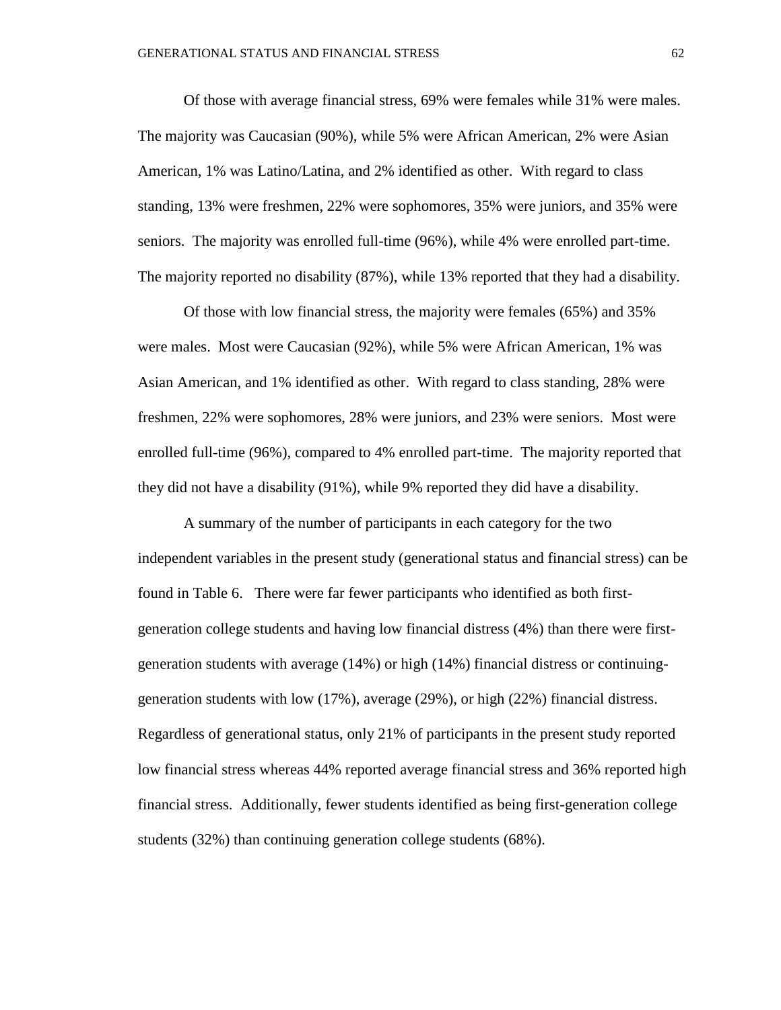Of those with average financial stress, 69% were females while 31% were males. The majority was Caucasian (90%), while 5% were African American, 2% were Asian American, 1% was Latino/Latina, and 2% identified as other. With regard to class standing, 13% were freshmen, 22% were sophomores, 35% were juniors, and 35% were seniors. The majority was enrolled full-time (96%), while 4% were enrolled part-time. The majority reported no disability (87%), while 13% reported that they had a disability.

Of those with low financial stress, the majority were females (65%) and 35% were males. Most were Caucasian (92%), while 5% were African American, 1% was Asian American, and 1% identified as other. With regard to class standing, 28% were freshmen, 22% were sophomores, 28% were juniors, and 23% were seniors. Most were enrolled full-time (96%), compared to 4% enrolled part-time. The majority reported that they did not have a disability (91%), while 9% reported they did have a disability.

A summary of the number of participants in each category for the two independent variables in the present study (generational status and financial stress) can be found in Table 6. There were far fewer participants who identified as both firstgeneration college students and having low financial distress (4%) than there were firstgeneration students with average (14%) or high (14%) financial distress or continuinggeneration students with low (17%), average (29%), or high (22%) financial distress. Regardless of generational status, only 21% of participants in the present study reported low financial stress whereas 44% reported average financial stress and 36% reported high financial stress. Additionally, fewer students identified as being first-generation college students (32%) than continuing generation college students (68%).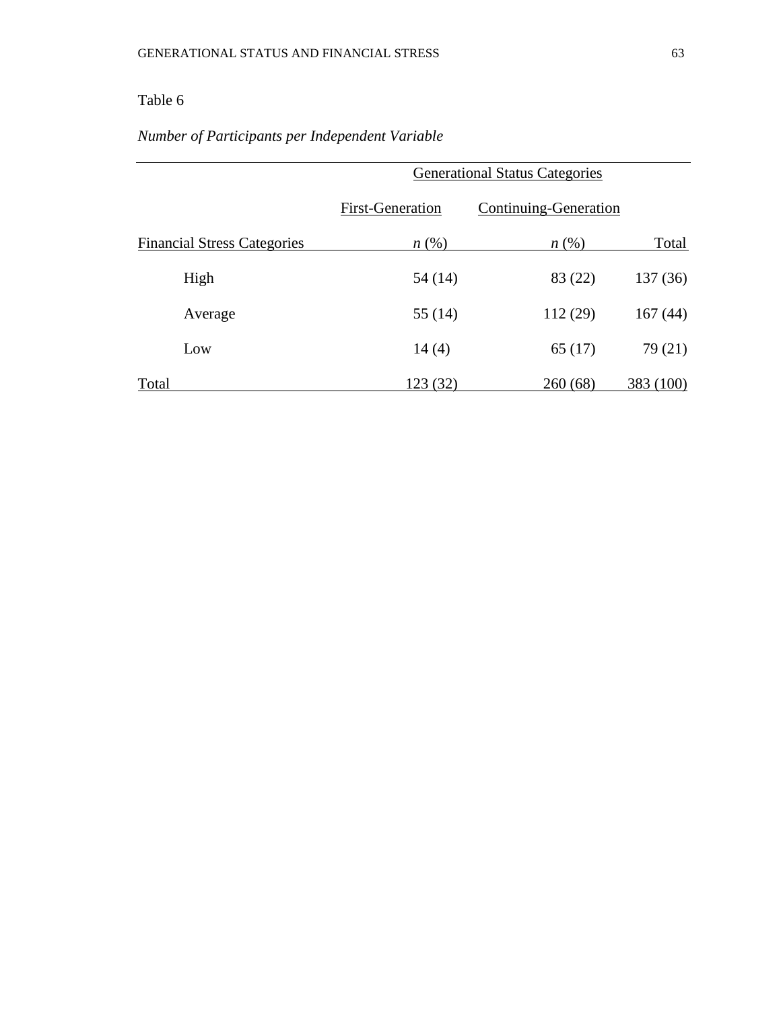### Table 6

# *Number of Participants per Independent Variable*

|                                    |                         | <b>Generational Status Categories</b> |           |  |
|------------------------------------|-------------------------|---------------------------------------|-----------|--|
|                                    | <b>First-Generation</b> | Continuing-Generation                 |           |  |
| <b>Financial Stress Categories</b> | $n\left(\%\right)$      | $n\left(\%\right)$                    | Total     |  |
| High                               | 54 (14)                 | 83 (22)                               | 137(36)   |  |
| Average                            | 55 $(14)$               | 112(29)                               | 167(44)   |  |
| Low                                | 14(4)                   | 65(17)                                | 79 (21)   |  |
| Total                              | 123 (32)                | 260(68)                               | 383 (100) |  |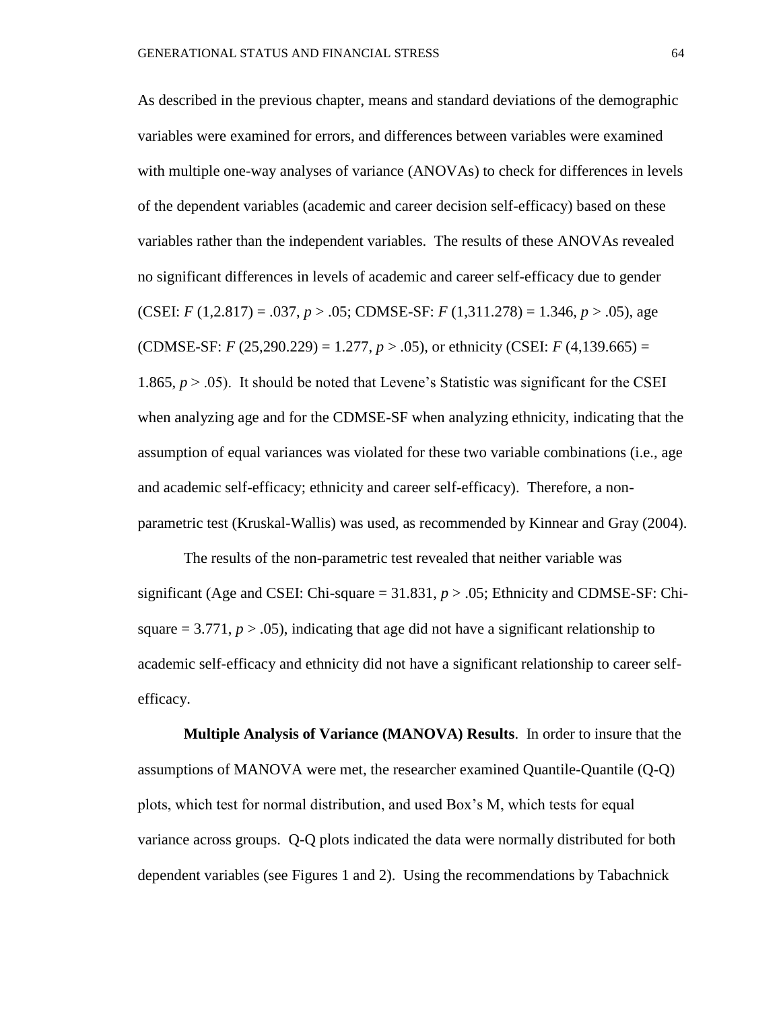As described in the previous chapter, means and standard deviations of the demographic variables were examined for errors, and differences between variables were examined with multiple one-way analyses of variance (ANOVAs) to check for differences in levels of the dependent variables (academic and career decision self-efficacy) based on these variables rather than the independent variables. The results of these ANOVAs revealed no significant differences in levels of academic and career self-efficacy due to gender (CSEI: *F* (1,2.817) = .037, *p* > .05; CDMSE-SF: *F* (1,311.278) = 1.346, *p* > .05), age (CDMSE-SF: *F* (25,290.229) = 1.277, *p* > .05), or ethnicity (CSEI: *F* (4,139.665) = 1.865,  $p > .05$ ). It should be noted that Levene's Statistic was significant for the CSEI when analyzing age and for the CDMSE-SF when analyzing ethnicity, indicating that the assumption of equal variances was violated for these two variable combinations (i.e., age and academic self-efficacy; ethnicity and career self-efficacy). Therefore, a nonparametric test (Kruskal-Wallis) was used, as recommended by Kinnear and Gray (2004).

The results of the non-parametric test revealed that neither variable was significant (Age and CSEI: Chi-square  $= 31.831$ ,  $p > .05$ ; Ethnicity and CDMSE-SF: Chisquare  $= 3.771$ ,  $p > .05$ ), indicating that age did not have a significant relationship to academic self-efficacy and ethnicity did not have a significant relationship to career selfefficacy.

**Multiple Analysis of Variance (MANOVA) Results**. In order to insure that the assumptions of MANOVA were met, the researcher examined Quantile-Quantile (Q-Q) plots, which test for normal distribution, and used Box's M, which tests for equal variance across groups. Q-Q plots indicated the data were normally distributed for both dependent variables (see Figures 1 and 2). Using the recommendations by Tabachnick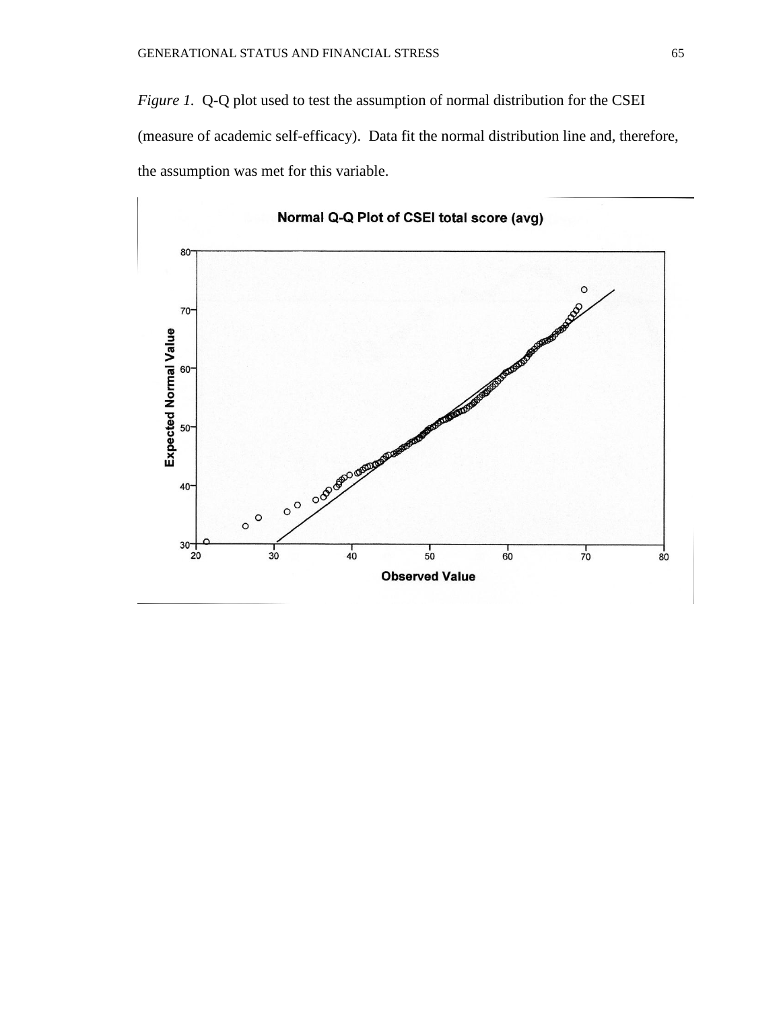*Figure 1.* Q-Q plot used to test the assumption of normal distribution for the CSEI (measure of academic self-efficacy). Data fit the normal distribution line and, therefore, the assumption was met for this variable.

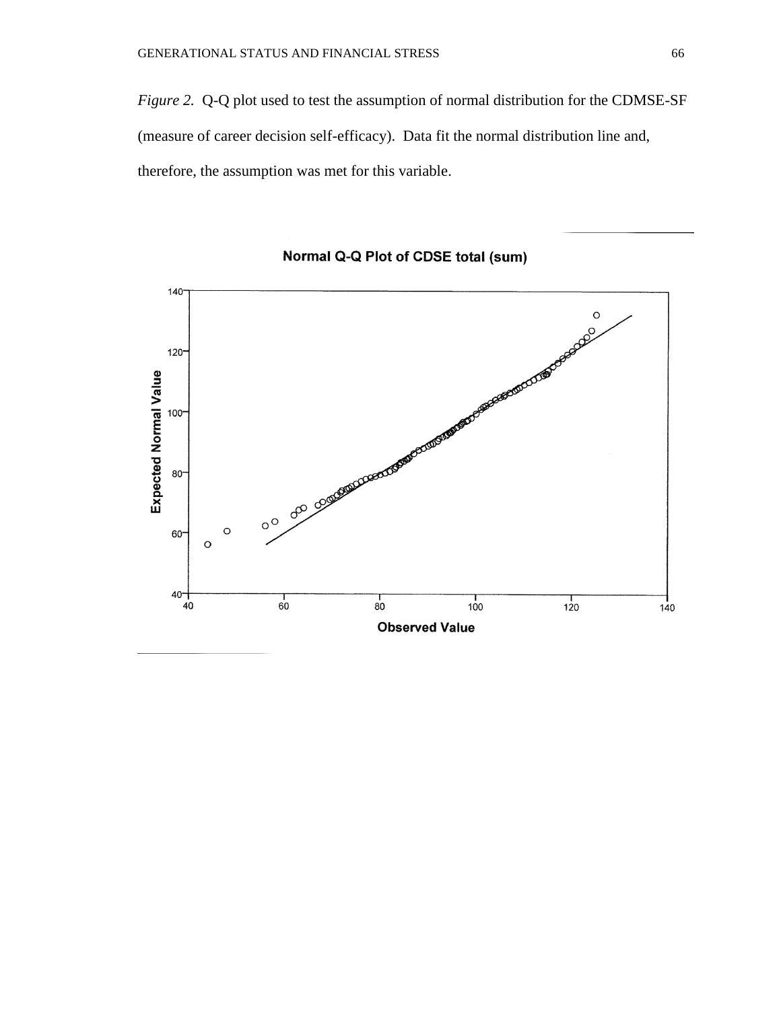*Figure 2.* Q-Q plot used to test the assumption of normal distribution for the CDMSE-SF (measure of career decision self-efficacy). Data fit the normal distribution line and, therefore, the assumption was met for this variable.



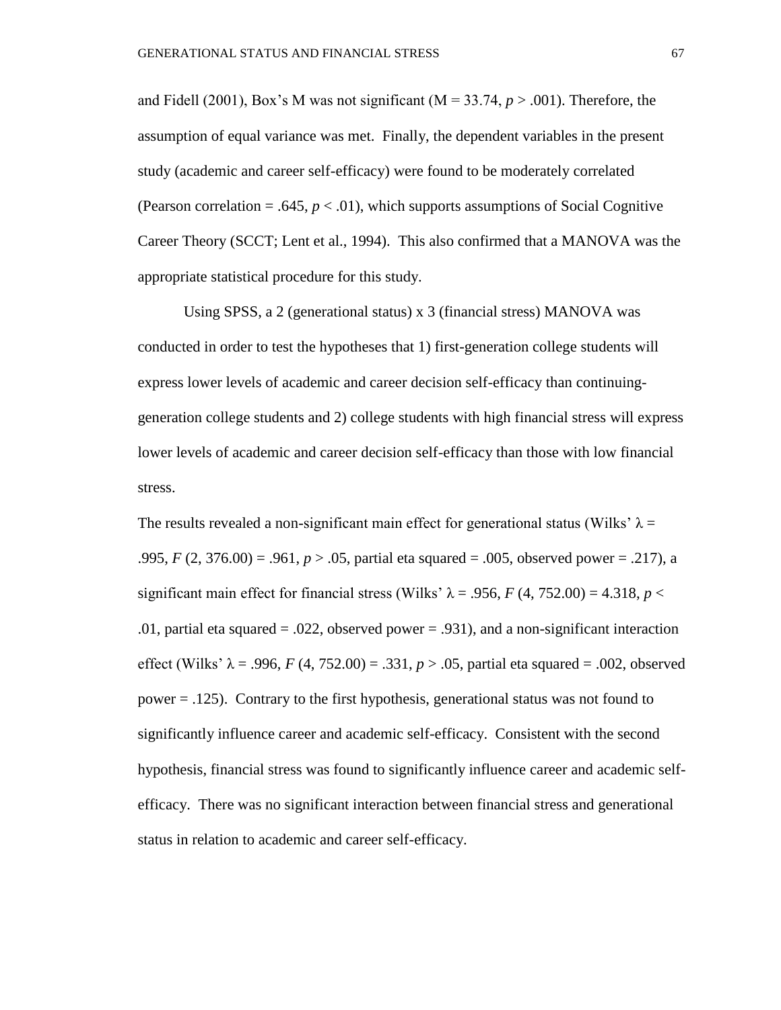and Fidell (2001), Box's M was not significant  $(M = 33.74, p > .001)$ . Therefore, the assumption of equal variance was met. Finally, the dependent variables in the present study (academic and career self-efficacy) were found to be moderately correlated (Pearson correlation  $= .645, p < .01$ ), which supports assumptions of Social Cognitive Career Theory (SCCT; Lent et al., 1994). This also confirmed that a MANOVA was the appropriate statistical procedure for this study.

Using SPSS, a 2 (generational status) x 3 (financial stress) MANOVA was conducted in order to test the hypotheses that 1) first-generation college students will express lower levels of academic and career decision self-efficacy than continuinggeneration college students and 2) college students with high financial stress will express lower levels of academic and career decision self-efficacy than those with low financial stress.

The results revealed a non-significant main effect for generational status (Wilks'  $\lambda =$ .995, *F* (2, 376.00) = .961, *p* > .05, partial eta squared = .005, observed power = .217), a significant main effect for financial stress (Wilks'  $\lambda = .956$ , *F* (4, 752.00) = 4.318, *p* < .01, partial eta squared = .022, observed power = .931), and a non-significant interaction effect (Wilks'  $\lambda = .996$ , *F* (4, 752.00) = .331, *p* > .05, partial eta squared = .002, observed power = .125). Contrary to the first hypothesis, generational status was not found to significantly influence career and academic self-efficacy. Consistent with the second hypothesis, financial stress was found to significantly influence career and academic selfefficacy. There was no significant interaction between financial stress and generational status in relation to academic and career self-efficacy.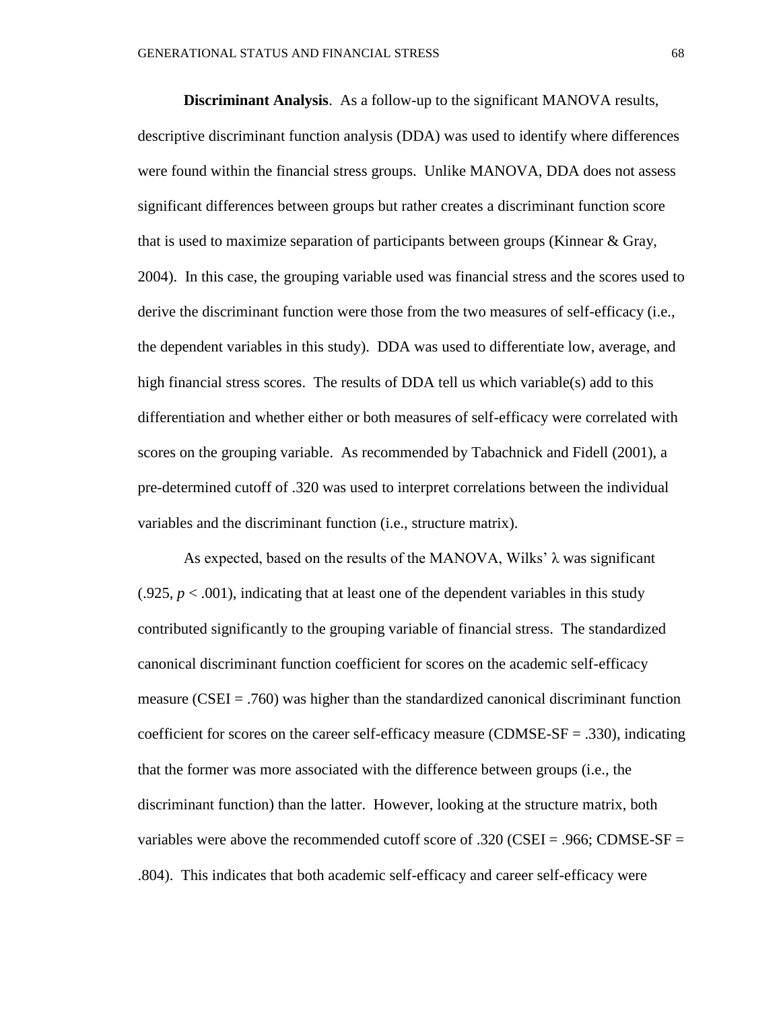**Discriminant Analysis**. As a follow-up to the significant MANOVA results, descriptive discriminant function analysis (DDA) was used to identify where differences were found within the financial stress groups. Unlike MANOVA, DDA does not assess significant differences between groups but rather creates a discriminant function score that is used to maximize separation of participants between groups (Kinnear & Gray, 2004). In this case, the grouping variable used was financial stress and the scores used to derive the discriminant function were those from the two measures of self-efficacy (i.e., the dependent variables in this study). DDA was used to differentiate low, average, and high financial stress scores. The results of DDA tell us which variable(s) add to this differentiation and whether either or both measures of self-efficacy were correlated with scores on the grouping variable. As recommended by Tabachnick and Fidell (2001), a pre-determined cutoff of .320 was used to interpret correlations between the individual variables and the discriminant function (i.e., structure matrix).

As expected, based on the results of the MANOVA, Wilks'  $\lambda$  was significant  $(0.925, p < 0.001)$ , indicating that at least one of the dependent variables in this study contributed significantly to the grouping variable of financial stress. The standardized canonical discriminant function coefficient for scores on the academic self-efficacy measure ( $CSEI = .760$ ) was higher than the standardized canonical discriminant function coefficient for scores on the career self-efficacy measure (CDMSE-SF = .330), indicating that the former was more associated with the difference between groups (i.e., the discriminant function) than the latter. However, looking at the structure matrix, both variables were above the recommended cutoff score of .320 (CSEI = .966; CDMSE-SF = .804). This indicates that both academic self-efficacy and career self-efficacy were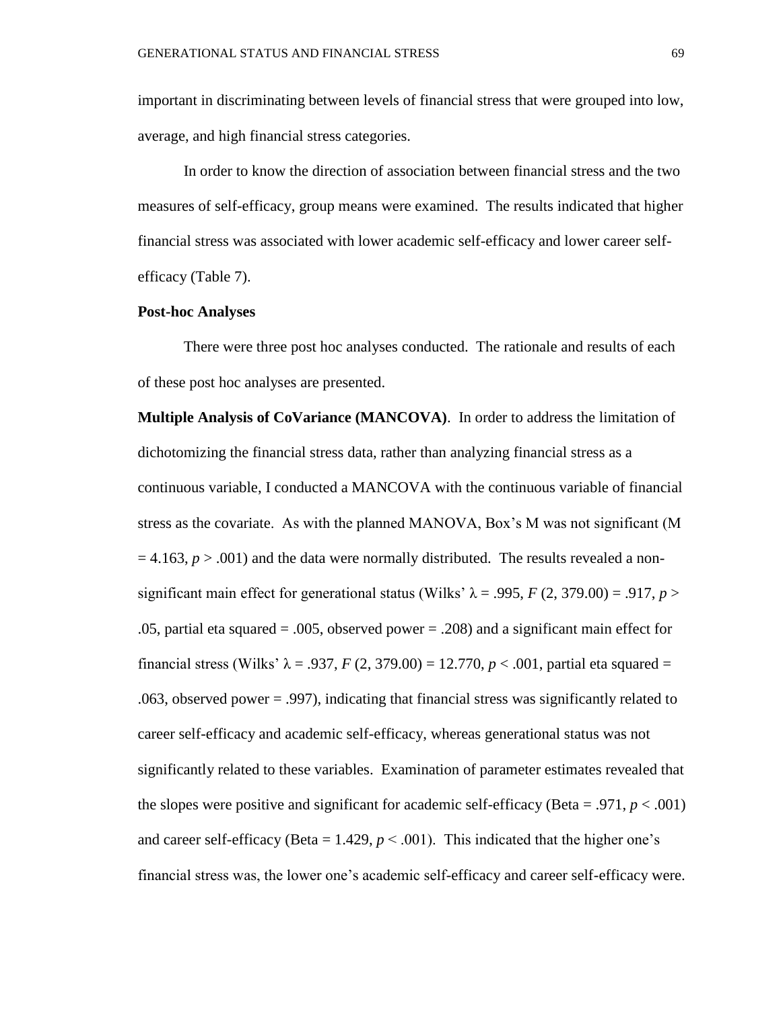important in discriminating between levels of financial stress that were grouped into low, average, and high financial stress categories.

In order to know the direction of association between financial stress and the two measures of self-efficacy, group means were examined. The results indicated that higher financial stress was associated with lower academic self-efficacy and lower career selfefficacy (Table 7).

#### **Post-hoc Analyses**

 There were three post hoc analyses conducted. The rationale and results of each of these post hoc analyses are presented.

**Multiple Analysis of CoVariance (MANCOVA)**. In order to address the limitation of dichotomizing the financial stress data, rather than analyzing financial stress as a continuous variable, I conducted a MANCOVA with the continuous variable of financial stress as the covariate. As with the planned MANOVA, Box's M was not significant (M  $= 4.163$ ,  $p > .001$ ) and the data were normally distributed. The results revealed a nonsignificant main effect for generational status (Wilks'  $\lambda$  = .995, *F* (2, 379.00) = .917, *p* > .05, partial eta squared = .005, observed power = .208) and a significant main effect for financial stress (Wilks'  $\lambda = .937$ , *F* (2, 379.00) = 12.770, *p* < .001, partial eta squared = .063, observed power = .997), indicating that financial stress was significantly related to career self-efficacy and academic self-efficacy, whereas generational status was not significantly related to these variables. Examination of parameter estimates revealed that the slopes were positive and significant for academic self-efficacy (Beta = .971,  $p < .001$ ) and career self-efficacy (Beta =  $1.429$ ,  $p < .001$ ). This indicated that the higher one's financial stress was, the lower one's academic self-efficacy and career self-efficacy were.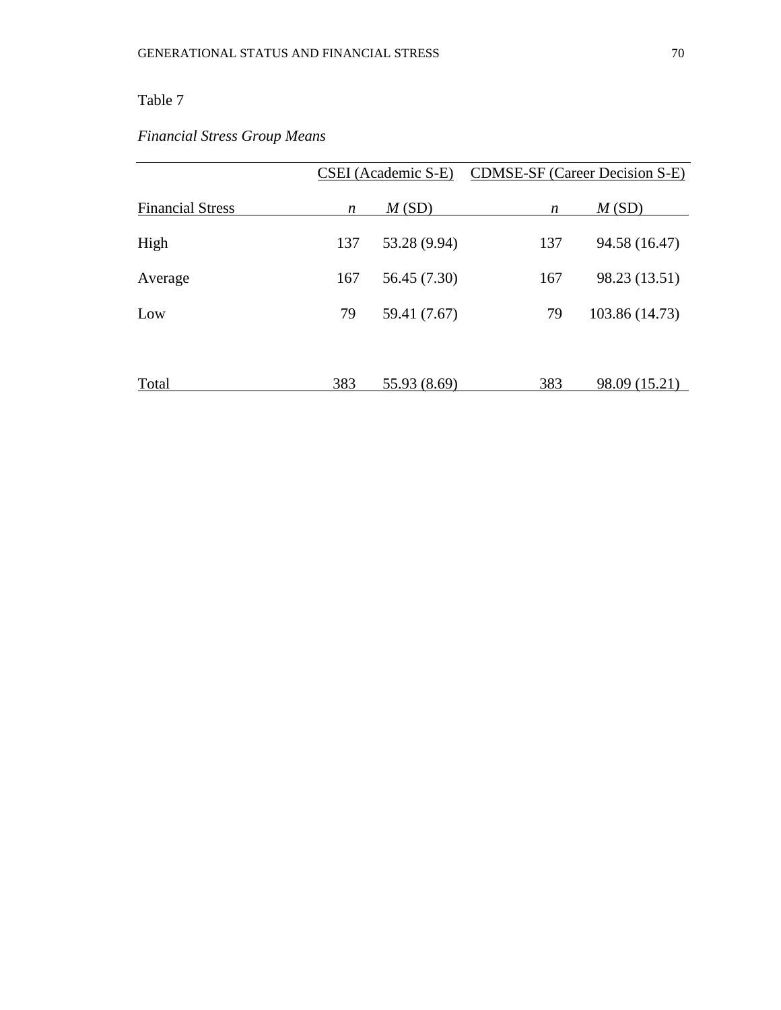### Table 7

# *Financial Stress Group Means*

|                         |     | CSEI (Academic S-E) |                  | <b>CDMSE-SF</b> (Career Decision S-E) |
|-------------------------|-----|---------------------|------------------|---------------------------------------|
| <b>Financial Stress</b> | n   | M(SD)               | $\boldsymbol{n}$ | M(SD)                                 |
| High                    | 137 | 53.28 (9.94)        | 137              | 94.58 (16.47)                         |
| Average                 | 167 | 56.45 (7.30)        | 167              | 98.23 (13.51)                         |
| Low                     | 79  | 59.41 (7.67)        | 79               | 103.86 (14.73)                        |
|                         |     |                     |                  |                                       |
| Total                   | 383 | 55.93 (8.69)        | 383              | 98.09 (15.21)                         |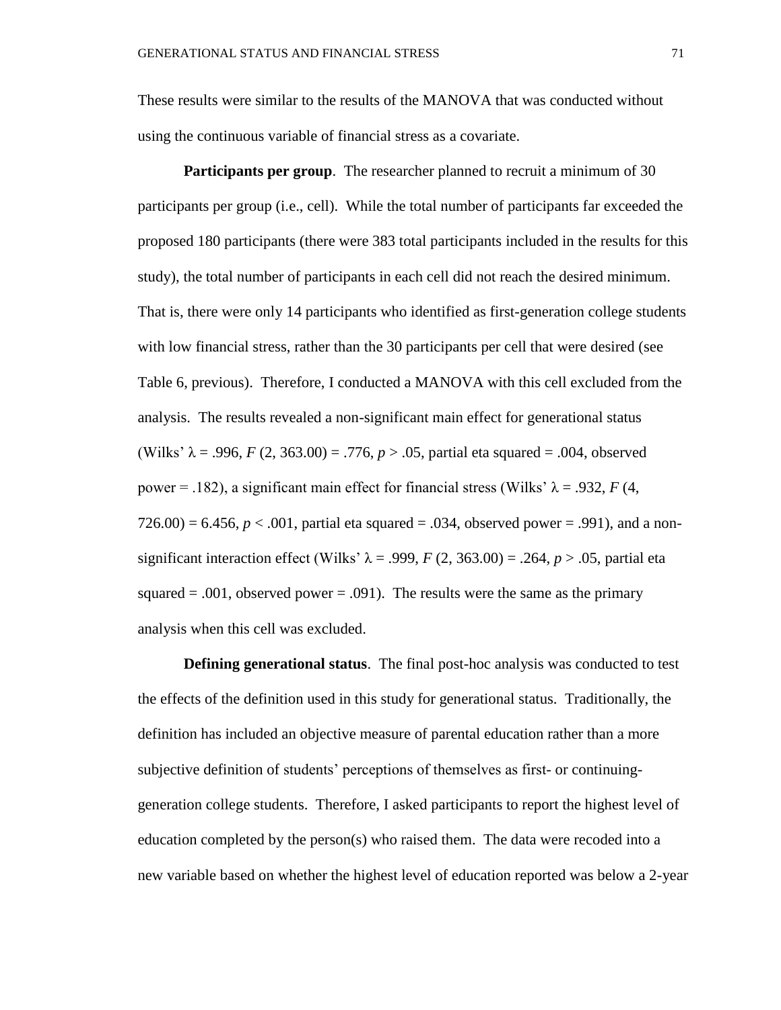These results were similar to the results of the MANOVA that was conducted without using the continuous variable of financial stress as a covariate.

**Participants per group.** The researcher planned to recruit a minimum of 30 participants per group (i.e., cell). While the total number of participants far exceeded the proposed 180 participants (there were 383 total participants included in the results for this study), the total number of participants in each cell did not reach the desired minimum. That is, there were only 14 participants who identified as first-generation college students with low financial stress, rather than the 30 participants per cell that were desired (see Table 6, previous). Therefore, I conducted a MANOVA with this cell excluded from the analysis. The results revealed a non-significant main effect for generational status (Wilks'  $\lambda = .996$ ,  $F(2, 363.00) = .776$ ,  $p > .05$ , partial eta squared = .004, observed power = .182), a significant main effect for financial stress (Wilks'  $λ = .932$ , *F* (4,  $726.00$  = 6.456,  $p < .001$ , partial eta squared = .034, observed power = .991), and a nonsignificant interaction effect (Wilks'  $\lambda = .999$ ,  $F(2, 363.00) = .264$ ,  $p > .05$ , partial eta squared  $= .001$ , observed power  $= .091$ ). The results were the same as the primary analysis when this cell was excluded.

**Defining generational status**. The final post-hoc analysis was conducted to test the effects of the definition used in this study for generational status. Traditionally, the definition has included an objective measure of parental education rather than a more subjective definition of students' perceptions of themselves as first- or continuinggeneration college students. Therefore, I asked participants to report the highest level of education completed by the person(s) who raised them. The data were recoded into a new variable based on whether the highest level of education reported was below a 2-year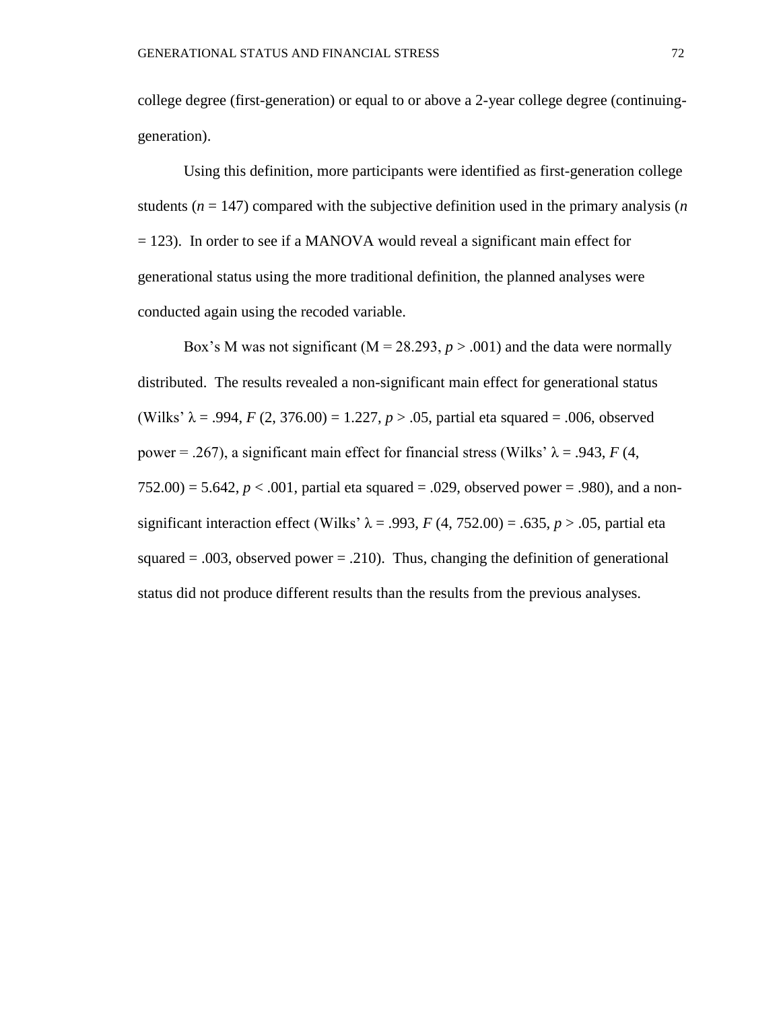college degree (first-generation) or equal to or above a 2-year college degree (continuinggeneration).

Using this definition, more participants were identified as first-generation college students  $(n = 147)$  compared with the subjective definition used in the primary analysis  $(n)$ = 123). In order to see if a MANOVA would reveal a significant main effect for generational status using the more traditional definition, the planned analyses were conducted again using the recoded variable.

Box's M was not significant ( $M = 28.293$ ,  $p > .001$ ) and the data were normally distributed. The results revealed a non-significant main effect for generational status (Wilks'  $\lambda = .994$ , *F* (2, 376.00) = 1.227, *p* > .05, partial eta squared = .006, observed power = .267), a significant main effect for financial stress (Wilks'  $λ = .943, F(4, )$  $752.00$ ) = 5.642,  $p < .001$ , partial eta squared = .029, observed power = .980), and a nonsignificant interaction effect (Wilks'  $\lambda$  = .993, *F* (4, 752.00) = .635, *p* > .05, partial eta squared  $= .003$ , observed power  $= .210$ ). Thus, changing the definition of generational status did not produce different results than the results from the previous analyses.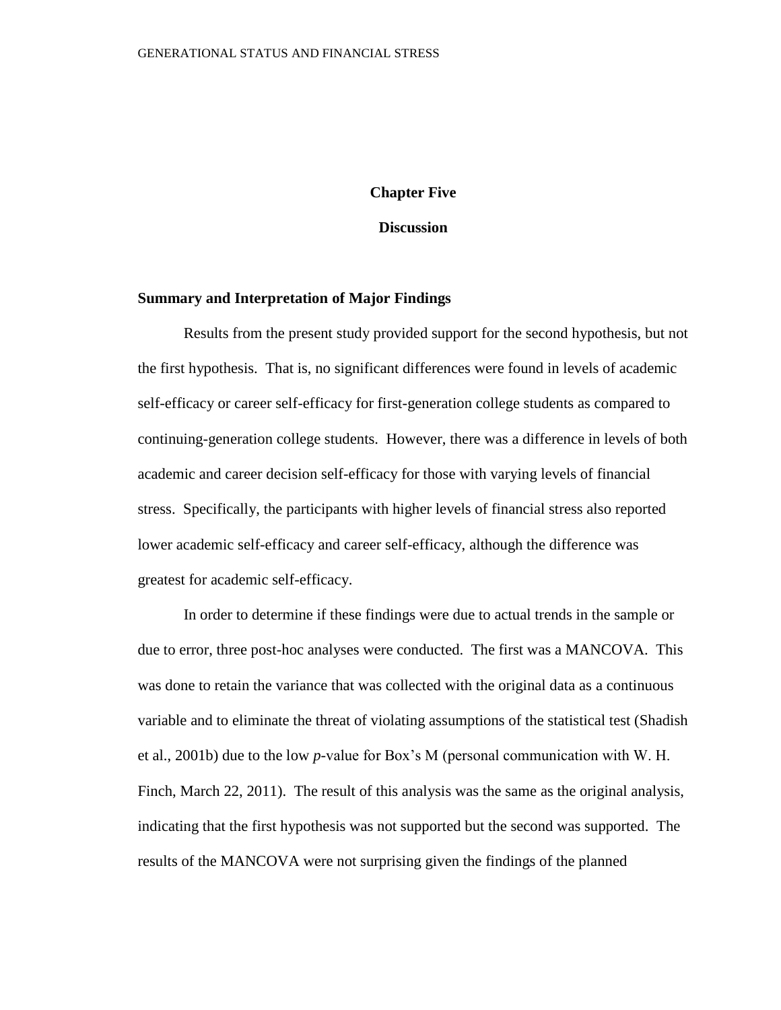#### **Chapter Five**

**Discussion**

#### **Summary and Interpretation of Major Findings**

Results from the present study provided support for the second hypothesis, but not the first hypothesis. That is, no significant differences were found in levels of academic self-efficacy or career self-efficacy for first-generation college students as compared to continuing-generation college students. However, there was a difference in levels of both academic and career decision self-efficacy for those with varying levels of financial stress. Specifically, the participants with higher levels of financial stress also reported lower academic self-efficacy and career self-efficacy, although the difference was greatest for academic self-efficacy.

In order to determine if these findings were due to actual trends in the sample or due to error, three post-hoc analyses were conducted. The first was a MANCOVA. This was done to retain the variance that was collected with the original data as a continuous variable and to eliminate the threat of violating assumptions of the statistical test (Shadish et al., 2001b) due to the low *p*-value for Box's M (personal communication with W. H. Finch, March 22, 2011). The result of this analysis was the same as the original analysis, indicating that the first hypothesis was not supported but the second was supported. The results of the MANCOVA were not surprising given the findings of the planned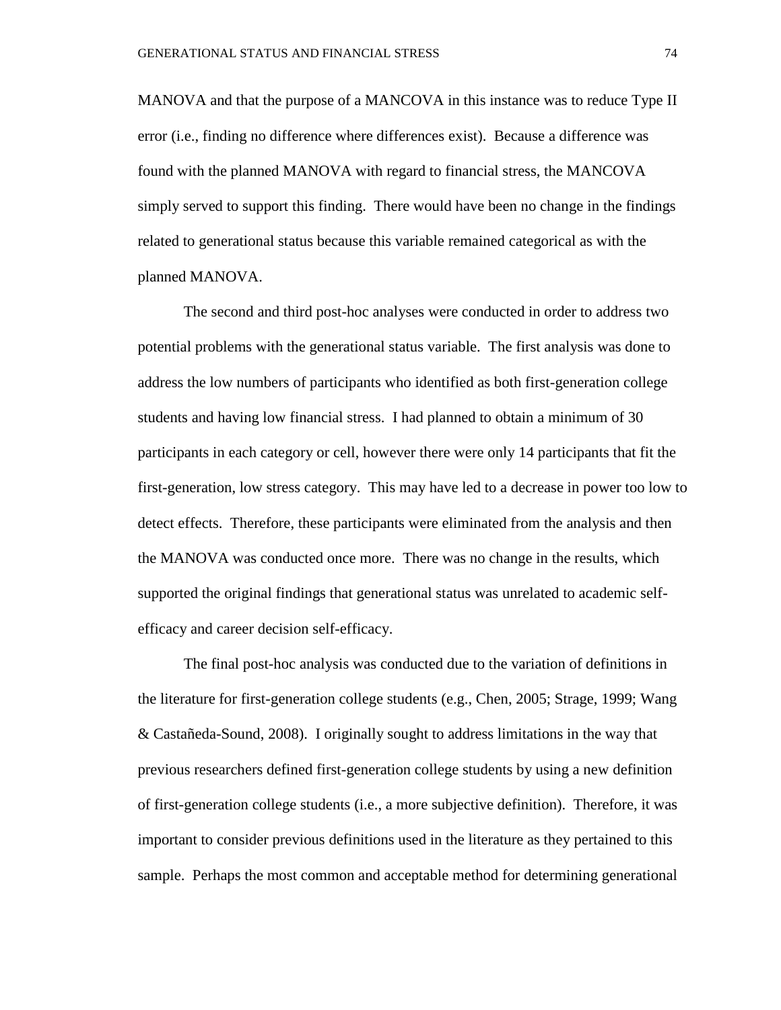MANOVA and that the purpose of a MANCOVA in this instance was to reduce Type II error (i.e., finding no difference where differences exist). Because a difference was found with the planned MANOVA with regard to financial stress, the MANCOVA simply served to support this finding. There would have been no change in the findings related to generational status because this variable remained categorical as with the planned MANOVA.

The second and third post-hoc analyses were conducted in order to address two potential problems with the generational status variable. The first analysis was done to address the low numbers of participants who identified as both first-generation college students and having low financial stress. I had planned to obtain a minimum of 30 participants in each category or cell, however there were only 14 participants that fit the first-generation, low stress category. This may have led to a decrease in power too low to detect effects. Therefore, these participants were eliminated from the analysis and then the MANOVA was conducted once more. There was no change in the results, which supported the original findings that generational status was unrelated to academic selfefficacy and career decision self-efficacy.

The final post-hoc analysis was conducted due to the variation of definitions in the literature for first-generation college students (e.g., Chen, 2005; Strage, 1999; Wang & Castañeda-Sound, 2008). I originally sought to address limitations in the way that previous researchers defined first-generation college students by using a new definition of first-generation college students (i.e., a more subjective definition). Therefore, it was important to consider previous definitions used in the literature as they pertained to this sample. Perhaps the most common and acceptable method for determining generational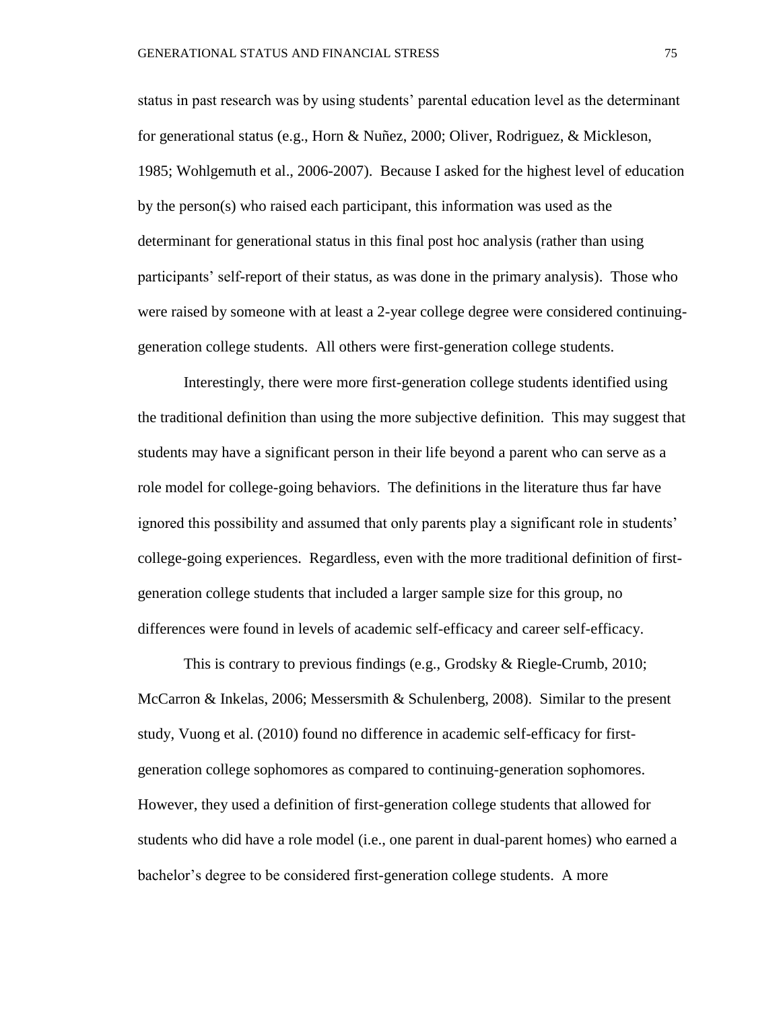status in past research was by using students' parental education level as the determinant for generational status (e.g., Horn & Nuñez, 2000; Oliver, Rodriguez, & Mickleson, 1985; Wohlgemuth et al., 2006-2007). Because I asked for the highest level of education by the person(s) who raised each participant, this information was used as the determinant for generational status in this final post hoc analysis (rather than using participants' self-report of their status, as was done in the primary analysis). Those who were raised by someone with at least a 2-year college degree were considered continuinggeneration college students. All others were first-generation college students.

Interestingly, there were more first-generation college students identified using the traditional definition than using the more subjective definition. This may suggest that students may have a significant person in their life beyond a parent who can serve as a role model for college-going behaviors. The definitions in the literature thus far have ignored this possibility and assumed that only parents play a significant role in students' college-going experiences. Regardless, even with the more traditional definition of firstgeneration college students that included a larger sample size for this group, no differences were found in levels of academic self-efficacy and career self-efficacy.

This is contrary to previous findings (e.g., Grodsky & Riegle-Crumb, 2010; McCarron & Inkelas, 2006; Messersmith & Schulenberg, 2008). Similar to the present study, Vuong et al. (2010) found no difference in academic self-efficacy for firstgeneration college sophomores as compared to continuing-generation sophomores. However, they used a definition of first-generation college students that allowed for students who did have a role model (i.e., one parent in dual-parent homes) who earned a bachelor's degree to be considered first-generation college students. A more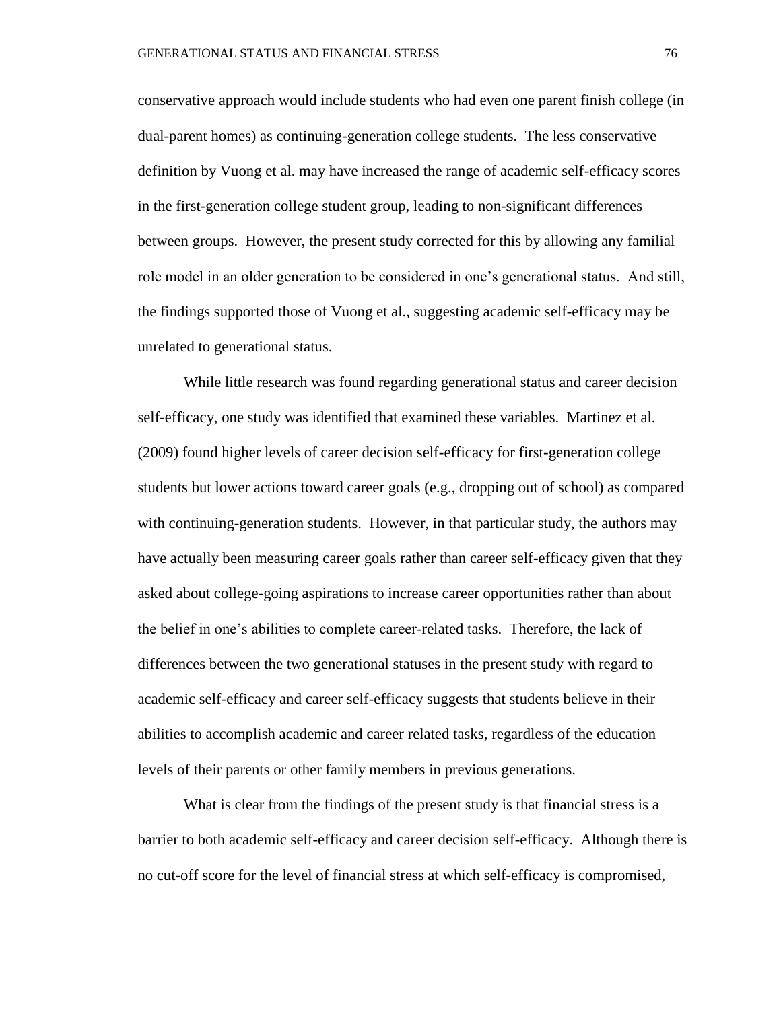conservative approach would include students who had even one parent finish college (in dual-parent homes) as continuing-generation college students. The less conservative definition by Vuong et al. may have increased the range of academic self-efficacy scores in the first-generation college student group, leading to non-significant differences between groups. However, the present study corrected for this by allowing any familial role model in an older generation to be considered in one's generational status. And still, the findings supported those of Vuong et al., suggesting academic self-efficacy may be unrelated to generational status.

While little research was found regarding generational status and career decision self-efficacy, one study was identified that examined these variables. Martinez et al. (2009) found higher levels of career decision self-efficacy for first-generation college students but lower actions toward career goals (e.g., dropping out of school) as compared with continuing-generation students. However, in that particular study, the authors may have actually been measuring career goals rather than career self-efficacy given that they asked about college-going aspirations to increase career opportunities rather than about the belief in one's abilities to complete career-related tasks. Therefore, the lack of differences between the two generational statuses in the present study with regard to academic self-efficacy and career self-efficacy suggests that students believe in their abilities to accomplish academic and career related tasks, regardless of the education levels of their parents or other family members in previous generations.

What is clear from the findings of the present study is that financial stress is a barrier to both academic self-efficacy and career decision self-efficacy. Although there is no cut-off score for the level of financial stress at which self-efficacy is compromised,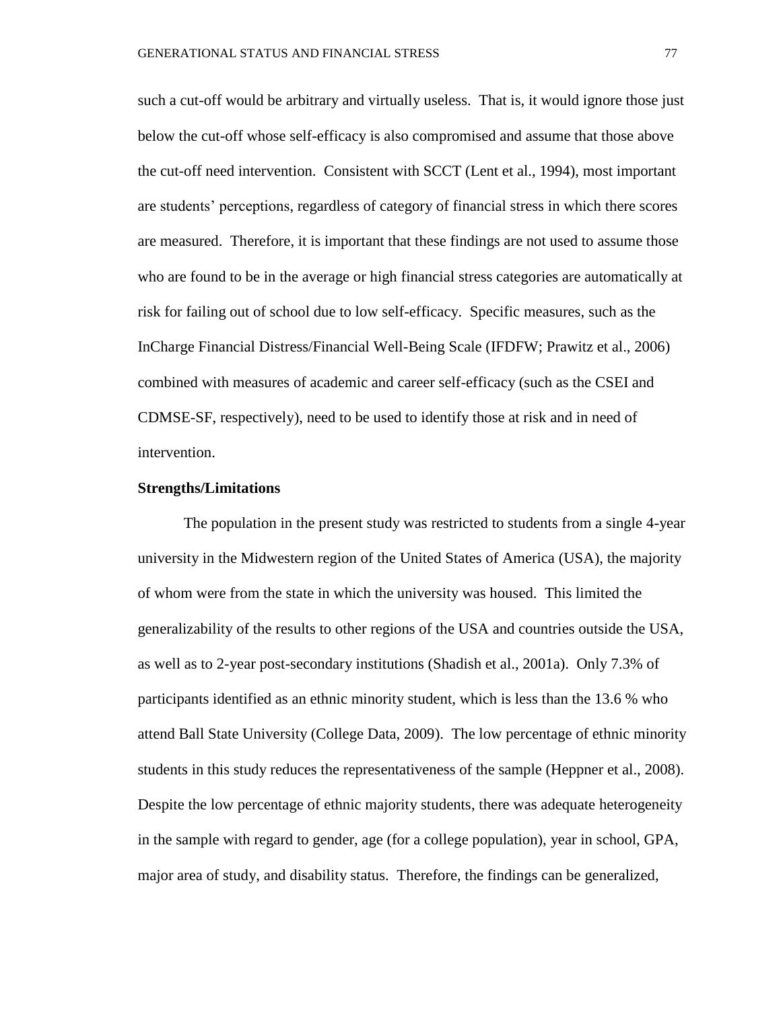such a cut-off would be arbitrary and virtually useless. That is, it would ignore those just below the cut-off whose self-efficacy is also compromised and assume that those above the cut-off need intervention. Consistent with SCCT (Lent et al., 1994), most important are students' perceptions, regardless of category of financial stress in which there scores are measured. Therefore, it is important that these findings are not used to assume those who are found to be in the average or high financial stress categories are automatically at risk for failing out of school due to low self-efficacy. Specific measures, such as the InCharge Financial Distress/Financial Well-Being Scale (IFDFW; Prawitz et al., 2006) combined with measures of academic and career self-efficacy (such as the CSEI and CDMSE-SF, respectively), need to be used to identify those at risk and in need of intervention.

#### **Strengths/Limitations**

The population in the present study was restricted to students from a single 4-year university in the Midwestern region of the United States of America (USA), the majority of whom were from the state in which the university was housed. This limited the generalizability of the results to other regions of the USA and countries outside the USA, as well as to 2-year post-secondary institutions (Shadish et al., 2001a). Only 7.3% of participants identified as an ethnic minority student, which is less than the 13.6 % who attend Ball State University (College Data, 2009). The low percentage of ethnic minority students in this study reduces the representativeness of the sample (Heppner et al., 2008). Despite the low percentage of ethnic majority students, there was adequate heterogeneity in the sample with regard to gender, age (for a college population), year in school, GPA, major area of study, and disability status. Therefore, the findings can be generalized,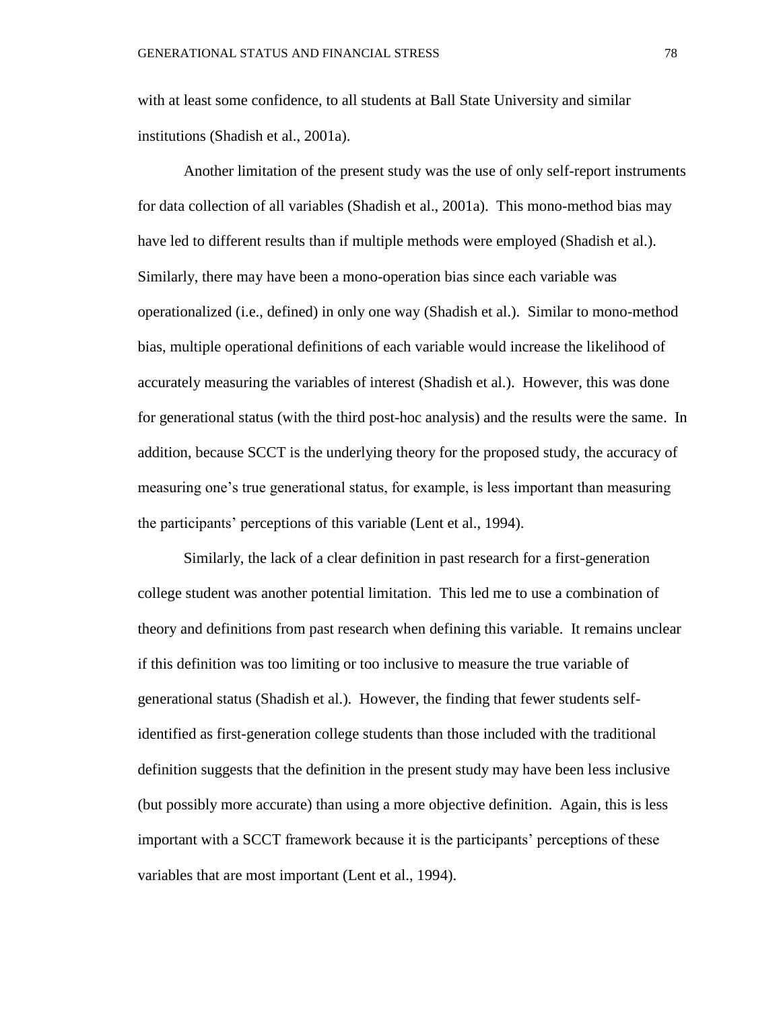with at least some confidence, to all students at Ball State University and similar institutions (Shadish et al., 2001a).

Another limitation of the present study was the use of only self-report instruments for data collection of all variables (Shadish et al., 2001a). This mono-method bias may have led to different results than if multiple methods were employed (Shadish et al.). Similarly, there may have been a mono-operation bias since each variable was operationalized (i.e., defined) in only one way (Shadish et al.). Similar to mono-method bias, multiple operational definitions of each variable would increase the likelihood of accurately measuring the variables of interest (Shadish et al.). However, this was done for generational status (with the third post-hoc analysis) and the results were the same. In addition, because SCCT is the underlying theory for the proposed study, the accuracy of measuring one's true generational status, for example, is less important than measuring the participants' perceptions of this variable (Lent et al., 1994).

Similarly, the lack of a clear definition in past research for a first-generation college student was another potential limitation. This led me to use a combination of theory and definitions from past research when defining this variable. It remains unclear if this definition was too limiting or too inclusive to measure the true variable of generational status (Shadish et al.). However, the finding that fewer students selfidentified as first-generation college students than those included with the traditional definition suggests that the definition in the present study may have been less inclusive (but possibly more accurate) than using a more objective definition. Again, this is less important with a SCCT framework because it is the participants' perceptions of these variables that are most important (Lent et al., 1994).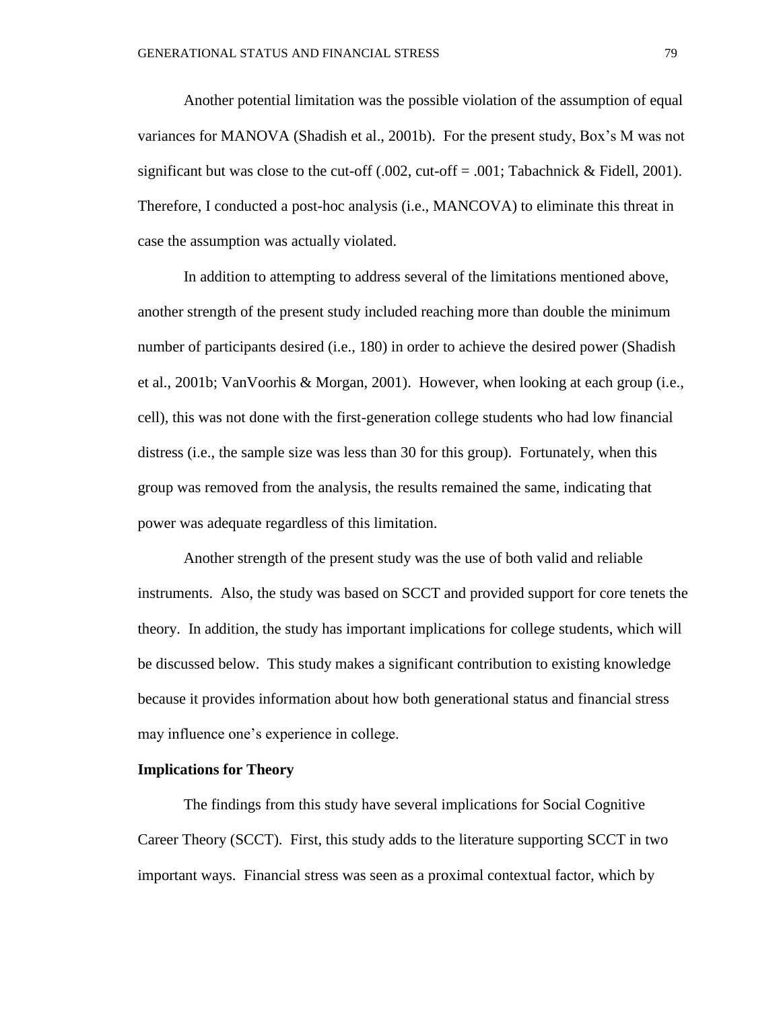Another potential limitation was the possible violation of the assumption of equal variances for MANOVA (Shadish et al., 2001b). For the present study, Box's M was not significant but was close to the cut-off  $(.002, cut-off = .001; Tabachnick & Fieldl, 2001)$ . Therefore, I conducted a post-hoc analysis (i.e., MANCOVA) to eliminate this threat in case the assumption was actually violated.

In addition to attempting to address several of the limitations mentioned above, another strength of the present study included reaching more than double the minimum number of participants desired (i.e., 180) in order to achieve the desired power (Shadish et al., 2001b; VanVoorhis & Morgan, 2001). However, when looking at each group (i.e., cell), this was not done with the first-generation college students who had low financial distress (i.e., the sample size was less than 30 for this group). Fortunately, when this group was removed from the analysis, the results remained the same, indicating that power was adequate regardless of this limitation.

Another strength of the present study was the use of both valid and reliable instruments. Also, the study was based on SCCT and provided support for core tenets the theory. In addition, the study has important implications for college students, which will be discussed below. This study makes a significant contribution to existing knowledge because it provides information about how both generational status and financial stress may influence one's experience in college.

#### **Implications for Theory**

The findings from this study have several implications for Social Cognitive Career Theory (SCCT). First, this study adds to the literature supporting SCCT in two important ways. Financial stress was seen as a proximal contextual factor, which by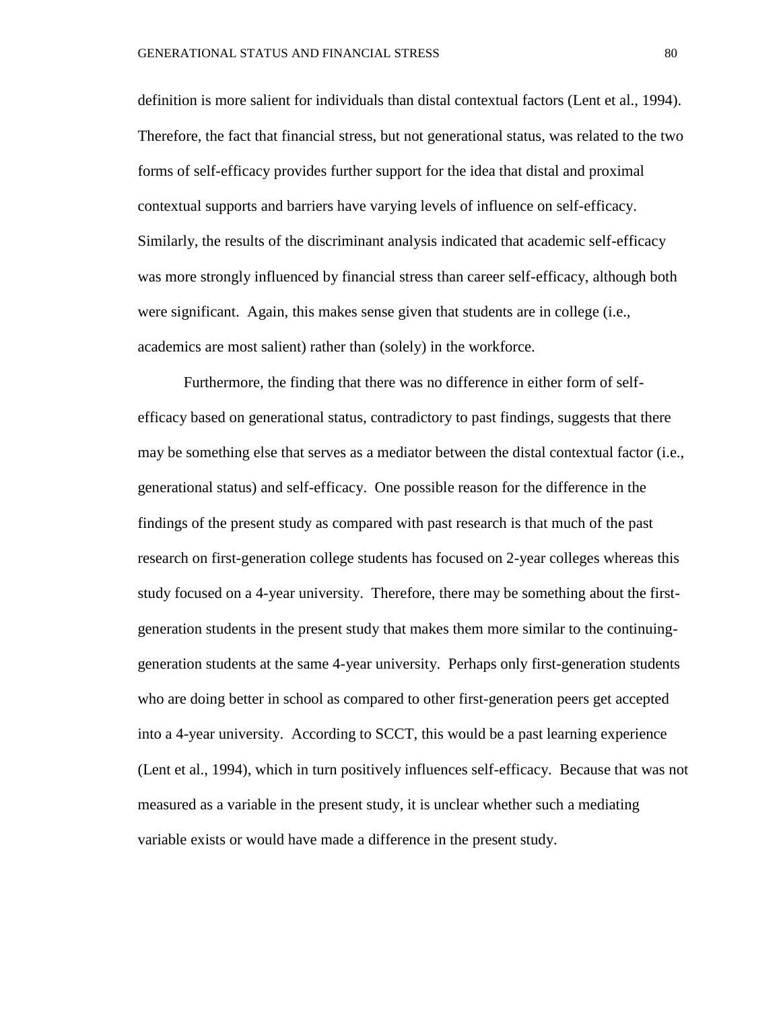definition is more salient for individuals than distal contextual factors (Lent et al., 1994). Therefore, the fact that financial stress, but not generational status, was related to the two forms of self-efficacy provides further support for the idea that distal and proximal contextual supports and barriers have varying levels of influence on self-efficacy. Similarly, the results of the discriminant analysis indicated that academic self-efficacy was more strongly influenced by financial stress than career self-efficacy, although both were significant. Again, this makes sense given that students are in college (i.e., academics are most salient) rather than (solely) in the workforce.

Furthermore, the finding that there was no difference in either form of selfefficacy based on generational status, contradictory to past findings, suggests that there may be something else that serves as a mediator between the distal contextual factor (i.e., generational status) and self-efficacy. One possible reason for the difference in the findings of the present study as compared with past research is that much of the past research on first-generation college students has focused on 2-year colleges whereas this study focused on a 4-year university. Therefore, there may be something about the firstgeneration students in the present study that makes them more similar to the continuinggeneration students at the same 4-year university. Perhaps only first-generation students who are doing better in school as compared to other first-generation peers get accepted into a 4-year university. According to SCCT, this would be a past learning experience (Lent et al., 1994), which in turn positively influences self-efficacy. Because that was not measured as a variable in the present study, it is unclear whether such a mediating variable exists or would have made a difference in the present study.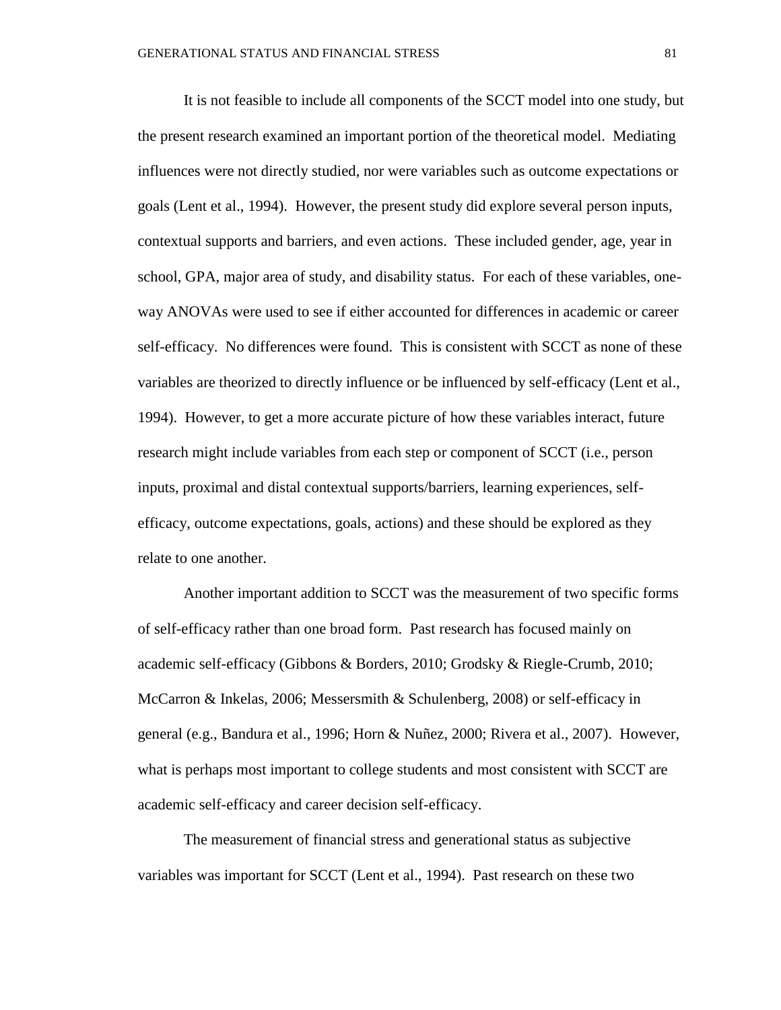It is not feasible to include all components of the SCCT model into one study, but the present research examined an important portion of the theoretical model. Mediating influences were not directly studied, nor were variables such as outcome expectations or goals (Lent et al., 1994). However, the present study did explore several person inputs, contextual supports and barriers, and even actions. These included gender, age, year in school, GPA, major area of study, and disability status. For each of these variables, oneway ANOVAs were used to see if either accounted for differences in academic or career self-efficacy. No differences were found. This is consistent with SCCT as none of these variables are theorized to directly influence or be influenced by self-efficacy (Lent et al., 1994). However, to get a more accurate picture of how these variables interact, future research might include variables from each step or component of SCCT (i.e., person inputs, proximal and distal contextual supports/barriers, learning experiences, selfefficacy, outcome expectations, goals, actions) and these should be explored as they relate to one another.

Another important addition to SCCT was the measurement of two specific forms of self-efficacy rather than one broad form. Past research has focused mainly on academic self-efficacy (Gibbons & Borders, 2010; Grodsky & Riegle-Crumb, 2010; McCarron & Inkelas, 2006; Messersmith & Schulenberg, 2008) or self-efficacy in general (e.g., Bandura et al., 1996; Horn & Nuñez, 2000; Rivera et al., 2007). However, what is perhaps most important to college students and most consistent with SCCT are academic self-efficacy and career decision self-efficacy.

The measurement of financial stress and generational status as subjective variables was important for SCCT (Lent et al., 1994). Past research on these two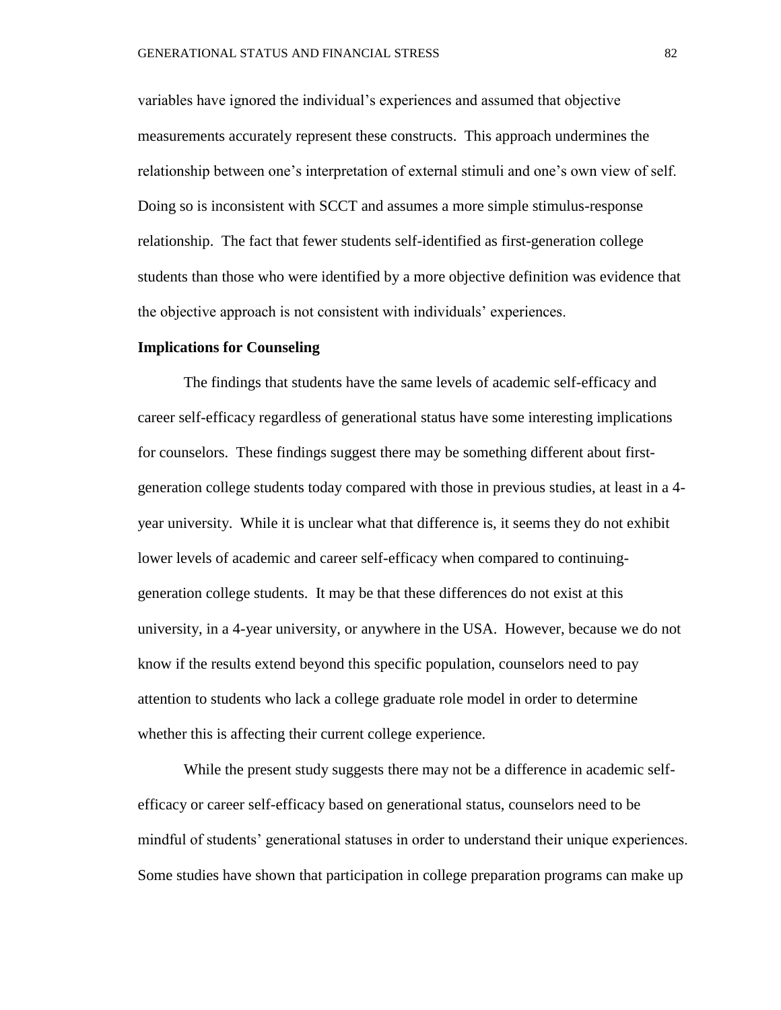variables have ignored the individual's experiences and assumed that objective measurements accurately represent these constructs. This approach undermines the relationship between one's interpretation of external stimuli and one's own view of self. Doing so is inconsistent with SCCT and assumes a more simple stimulus-response relationship. The fact that fewer students self-identified as first-generation college students than those who were identified by a more objective definition was evidence that the objective approach is not consistent with individuals' experiences.

#### **Implications for Counseling**

The findings that students have the same levels of academic self-efficacy and career self-efficacy regardless of generational status have some interesting implications for counselors. These findings suggest there may be something different about firstgeneration college students today compared with those in previous studies, at least in a 4 year university. While it is unclear what that difference is, it seems they do not exhibit lower levels of academic and career self-efficacy when compared to continuinggeneration college students. It may be that these differences do not exist at this university, in a 4-year university, or anywhere in the USA. However, because we do not know if the results extend beyond this specific population, counselors need to pay attention to students who lack a college graduate role model in order to determine whether this is affecting their current college experience.

While the present study suggests there may not be a difference in academic selfefficacy or career self-efficacy based on generational status, counselors need to be mindful of students' generational statuses in order to understand their unique experiences. Some studies have shown that participation in college preparation programs can make up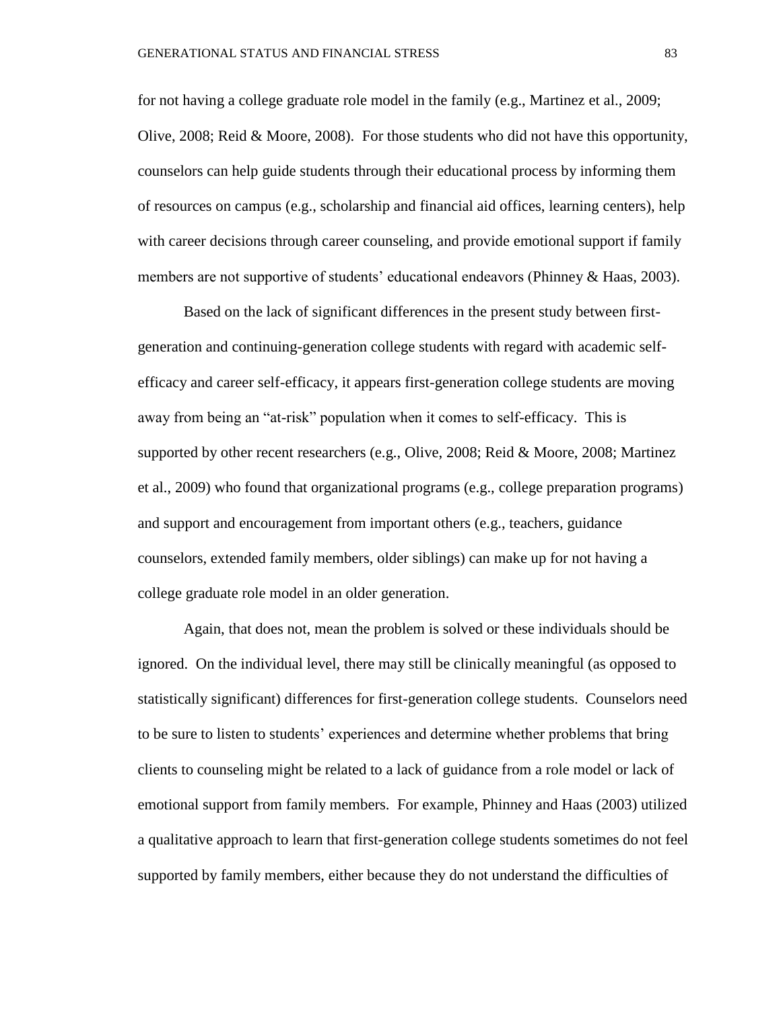for not having a college graduate role model in the family (e.g., Martinez et al., 2009; Olive, 2008; Reid & Moore, 2008). For those students who did not have this opportunity, counselors can help guide students through their educational process by informing them of resources on campus (e.g., scholarship and financial aid offices, learning centers), help with career decisions through career counseling, and provide emotional support if family members are not supportive of students' educational endeavors (Phinney & Haas, 2003).

Based on the lack of significant differences in the present study between firstgeneration and continuing-generation college students with regard with academic selfefficacy and career self-efficacy, it appears first-generation college students are moving away from being an "at-risk" population when it comes to self-efficacy. This is supported by other recent researchers (e.g., Olive, 2008; Reid & Moore, 2008; Martinez et al., 2009) who found that organizational programs (e.g., college preparation programs) and support and encouragement from important others (e.g., teachers, guidance counselors, extended family members, older siblings) can make up for not having a college graduate role model in an older generation.

Again, that does not, mean the problem is solved or these individuals should be ignored. On the individual level, there may still be clinically meaningful (as opposed to statistically significant) differences for first-generation college students. Counselors need to be sure to listen to students' experiences and determine whether problems that bring clients to counseling might be related to a lack of guidance from a role model or lack of emotional support from family members. For example, Phinney and Haas (2003) utilized a qualitative approach to learn that first-generation college students sometimes do not feel supported by family members, either because they do not understand the difficulties of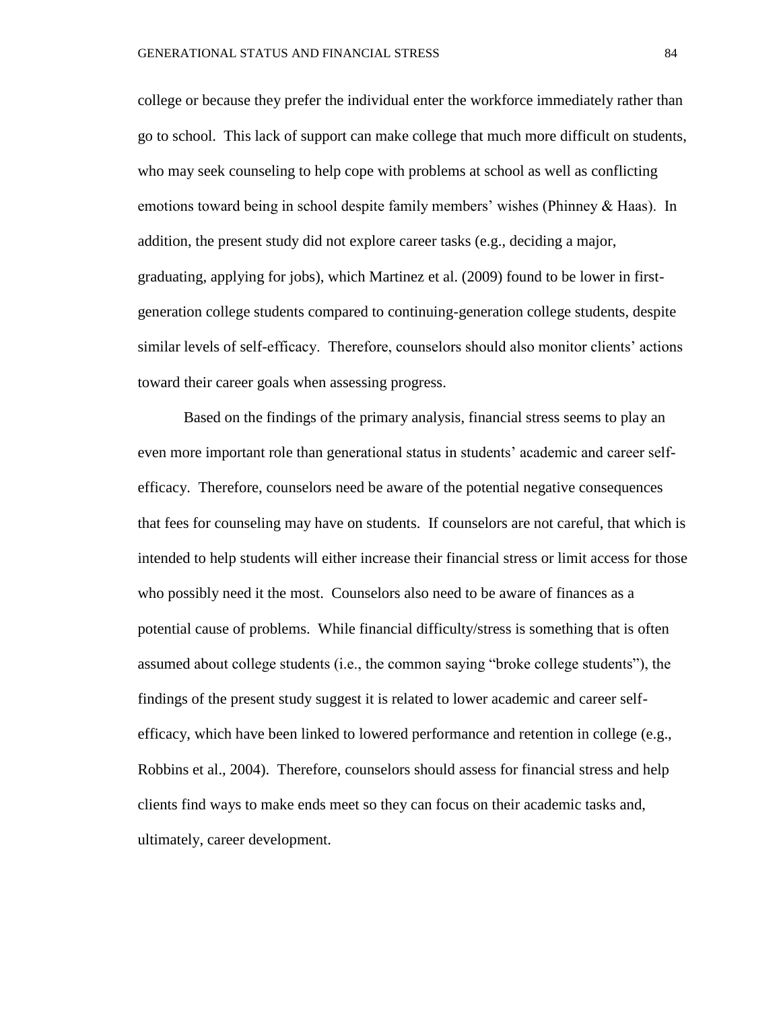college or because they prefer the individual enter the workforce immediately rather than go to school. This lack of support can make college that much more difficult on students, who may seek counseling to help cope with problems at school as well as conflicting emotions toward being in school despite family members' wishes (Phinney & Haas). In addition, the present study did not explore career tasks (e.g., deciding a major, graduating, applying for jobs), which Martinez et al. (2009) found to be lower in firstgeneration college students compared to continuing-generation college students, despite similar levels of self-efficacy. Therefore, counselors should also monitor clients' actions toward their career goals when assessing progress.

Based on the findings of the primary analysis, financial stress seems to play an even more important role than generational status in students' academic and career selfefficacy. Therefore, counselors need be aware of the potential negative consequences that fees for counseling may have on students. If counselors are not careful, that which is intended to help students will either increase their financial stress or limit access for those who possibly need it the most. Counselors also need to be aware of finances as a potential cause of problems. While financial difficulty/stress is something that is often assumed about college students (i.e., the common saying "broke college students"), the findings of the present study suggest it is related to lower academic and career selfefficacy, which have been linked to lowered performance and retention in college (e.g., Robbins et al., 2004). Therefore, counselors should assess for financial stress and help clients find ways to make ends meet so they can focus on their academic tasks and, ultimately, career development.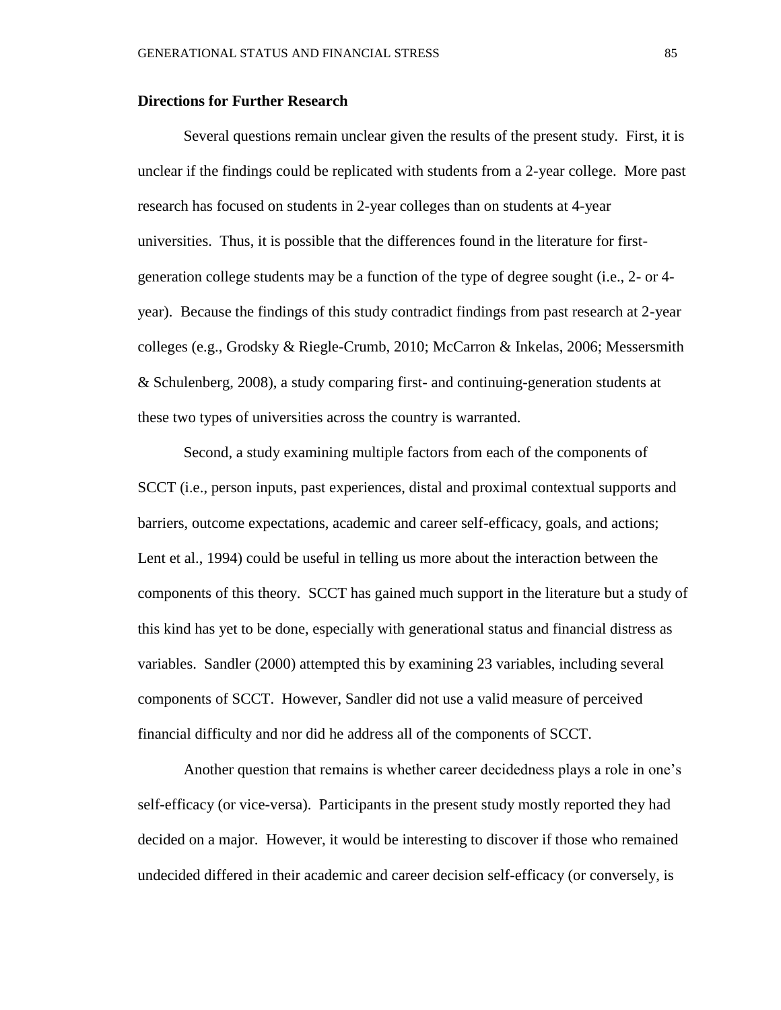#### **Directions for Further Research**

Several questions remain unclear given the results of the present study. First, it is unclear if the findings could be replicated with students from a 2-year college. More past research has focused on students in 2-year colleges than on students at 4-year universities. Thus, it is possible that the differences found in the literature for firstgeneration college students may be a function of the type of degree sought (i.e., 2- or 4 year). Because the findings of this study contradict findings from past research at 2-year colleges (e.g., Grodsky & Riegle-Crumb, 2010; McCarron & Inkelas, 2006; Messersmith & Schulenberg, 2008), a study comparing first- and continuing-generation students at these two types of universities across the country is warranted.

Second, a study examining multiple factors from each of the components of SCCT (i.e., person inputs, past experiences, distal and proximal contextual supports and barriers, outcome expectations, academic and career self-efficacy, goals, and actions; Lent et al., 1994) could be useful in telling us more about the interaction between the components of this theory. SCCT has gained much support in the literature but a study of this kind has yet to be done, especially with generational status and financial distress as variables. Sandler (2000) attempted this by examining 23 variables, including several components of SCCT. However, Sandler did not use a valid measure of perceived financial difficulty and nor did he address all of the components of SCCT.

Another question that remains is whether career decidedness plays a role in one's self-efficacy (or vice-versa). Participants in the present study mostly reported they had decided on a major. However, it would be interesting to discover if those who remained undecided differed in their academic and career decision self-efficacy (or conversely, is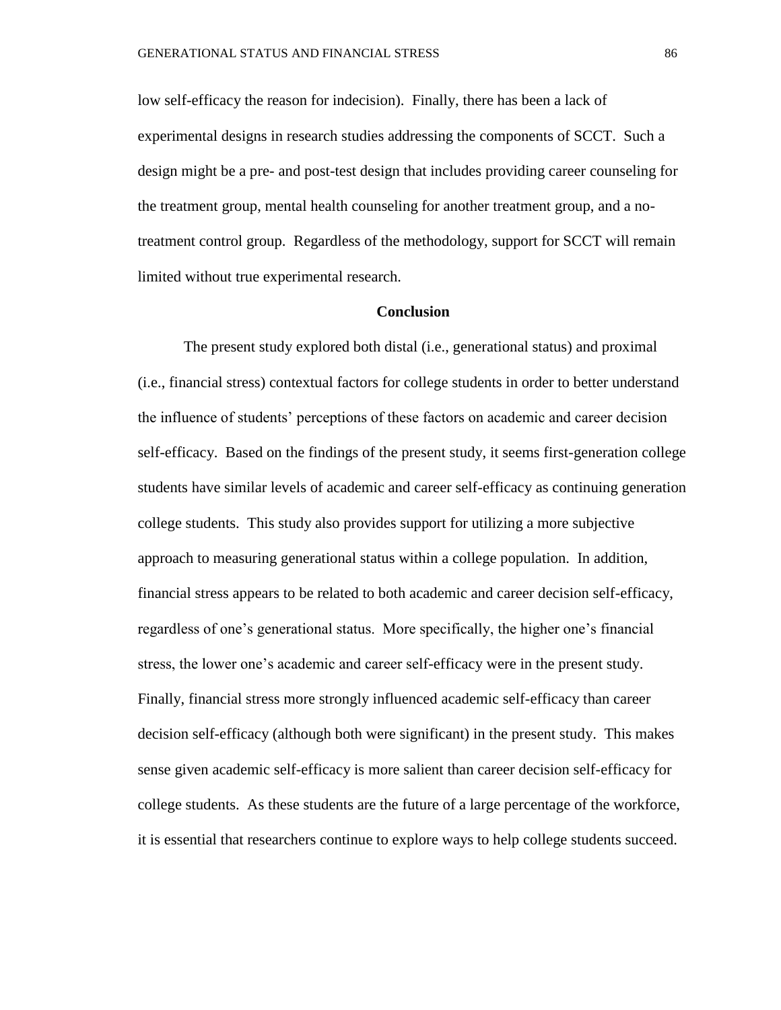low self-efficacy the reason for indecision). Finally, there has been a lack of experimental designs in research studies addressing the components of SCCT. Such a design might be a pre- and post-test design that includes providing career counseling for the treatment group, mental health counseling for another treatment group, and a notreatment control group. Regardless of the methodology, support for SCCT will remain limited without true experimental research.

#### **Conclusion**

The present study explored both distal (i.e., generational status) and proximal (i.e., financial stress) contextual factors for college students in order to better understand the influence of students' perceptions of these factors on academic and career decision self-efficacy. Based on the findings of the present study, it seems first-generation college students have similar levels of academic and career self-efficacy as continuing generation college students. This study also provides support for utilizing a more subjective approach to measuring generational status within a college population. In addition, financial stress appears to be related to both academic and career decision self-efficacy, regardless of one's generational status. More specifically, the higher one's financial stress, the lower one's academic and career self-efficacy were in the present study. Finally, financial stress more strongly influenced academic self-efficacy than career decision self-efficacy (although both were significant) in the present study. This makes sense given academic self-efficacy is more salient than career decision self-efficacy for college students. As these students are the future of a large percentage of the workforce, it is essential that researchers continue to explore ways to help college students succeed.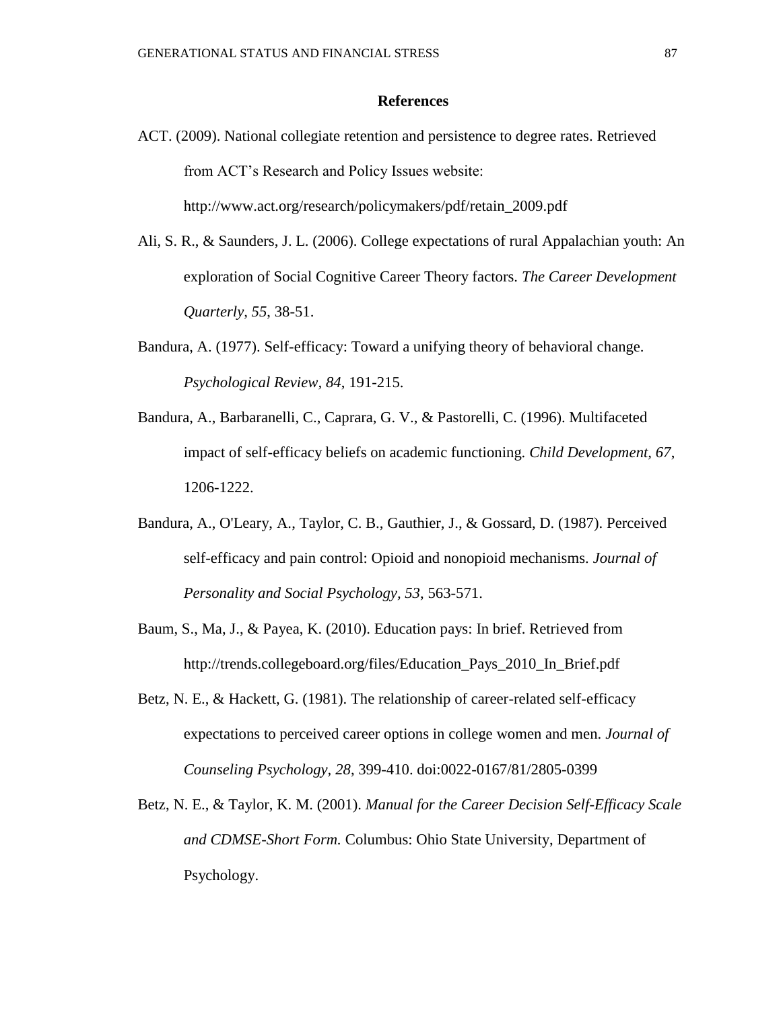#### **References**

ACT. (2009). National collegiate retention and persistence to degree rates. Retrieved from ACT's Research and Policy Issues website:

http://www.act.org/research/policymakers/pdf/retain\_2009.pdf

- Ali, S. R., & Saunders, J. L. (2006). College expectations of rural Appalachian youth: An exploration of Social Cognitive Career Theory factors. *The Career Development Quarterly, 55*, 38-51.
- Bandura, A. (1977). Self-efficacy: Toward a unifying theory of behavioral change. *Psychological Review, 84*, 191-215.
- Bandura, A., Barbaranelli, C., Caprara, G. V., & Pastorelli, C. (1996). Multifaceted impact of self-efficacy beliefs on academic functioning. *Child Development, 67*, 1206-1222.
- Bandura, A., O'Leary, A., Taylor, C. B., Gauthier, J., & Gossard, D. (1987). Perceived self-efficacy and pain control: Opioid and nonopioid mechanisms. *Journal of Personality and Social Psychology, 53*, 563-571.
- Baum, S., Ma, J., & Payea, K. (2010). Education pays: In brief. Retrieved from http://trends.collegeboard.org/files/Education\_Pays\_2010\_In\_Brief.pdf
- Betz, N. E., & Hackett, G. (1981). The relationship of career-related self-efficacy expectations to perceived career options in college women and men. *Journal of Counseling Psychology, 28*, 399-410. doi:0022-0167/81/2805-0399
- Betz, N. E., & Taylor, K. M. (2001). *Manual for the Career Decision Self-Efficacy Scale and CDMSE-Short Form.* Columbus: Ohio State University, Department of Psychology.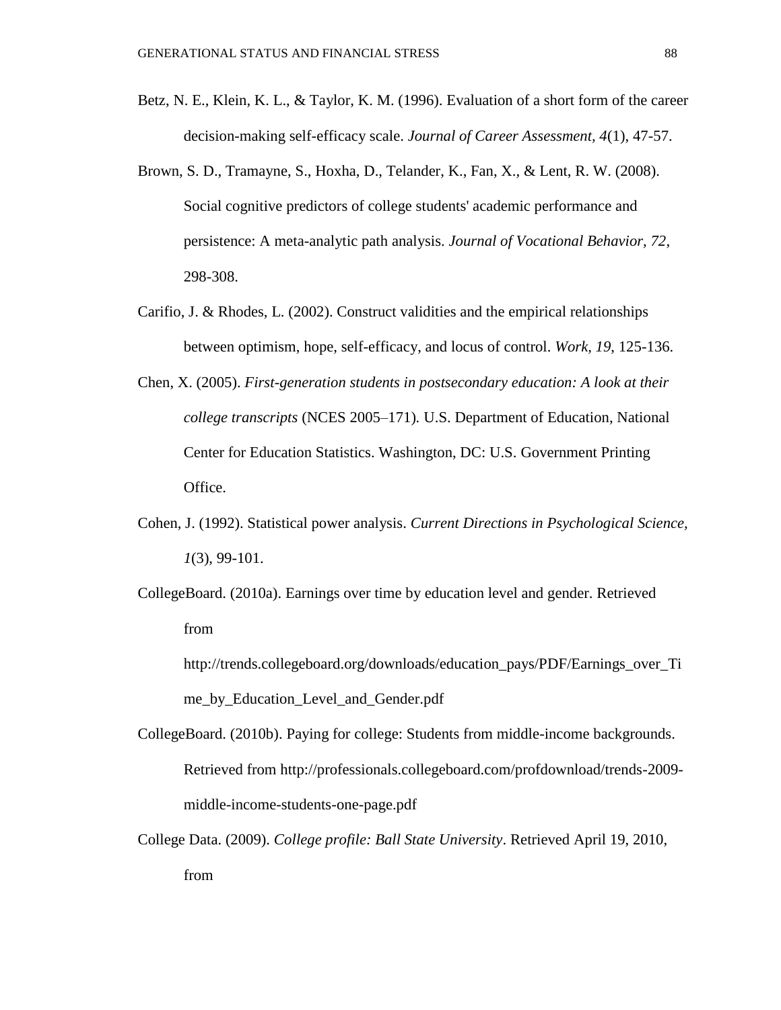- Betz, N. E., Klein, K. L., & Taylor, K. M. (1996). Evaluation of a short form of the career decision-making self-efficacy scale. *Journal of Career Assessment, 4*(1), 47-57.
- Brown, S. D., Tramayne, S., Hoxha, D., Telander, K., Fan, X., & Lent, R. W. (2008). Social cognitive predictors of college students' academic performance and persistence: A meta-analytic path analysis. *Journal of Vocational Behavior, 72*, 298-308.
- Carifio, J. & Rhodes, L. (2002). Construct validities and the empirical relationships between optimism, hope, self-efficacy, and locus of control. *Work, 19*, 125-136.
- Chen, X. (2005). *First-generation students in postsecondary education: A look at their college transcripts* (NCES 2005–171)*.* U.S. Department of Education, National Center for Education Statistics. Washington, DC: U.S. Government Printing Office.
- Cohen, J. (1992). Statistical power analysis. *Current Directions in Psychological Science, 1*(3), 99-101.
- CollegeBoard. (2010a). Earnings over time by education level and gender. Retrieved from
	- http://trends.collegeboard.org/downloads/education\_pays/PDF/Earnings\_over\_Ti me\_by\_Education\_Level\_and\_Gender.pdf
- CollegeBoard. (2010b). Paying for college: Students from middle-income backgrounds. Retrieved from http://professionals.collegeboard.com/profdownload/trends-2009 middle-income-students-one-page.pdf
- College Data. (2009). *College profile: Ball State University*. Retrieved April 19, 2010, from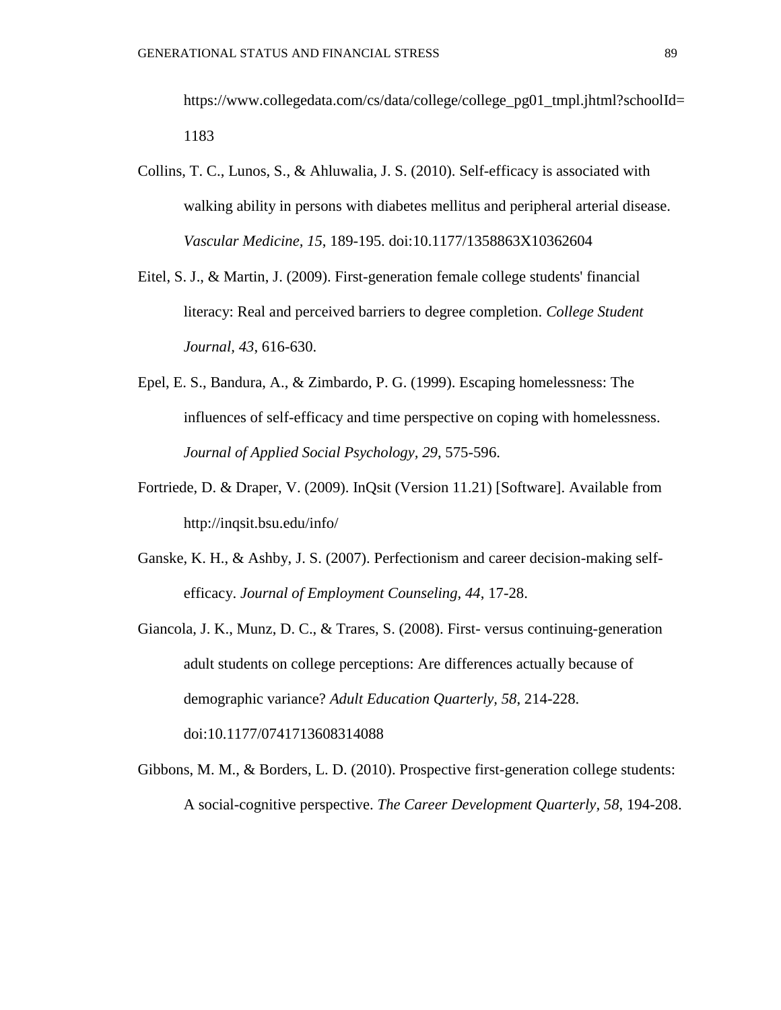https://www.collegedata.com/cs/data/college/college\_pg01\_tmpl.jhtml?schoolId= 1183

- Collins, T. C., Lunos, S., & Ahluwalia, J. S. (2010). Self-efficacy is associated with walking ability in persons with diabetes mellitus and peripheral arterial disease. *Vascular Medicine, 15*, 189-195. doi:10.1177/1358863X10362604
- Eitel, S. J., & Martin, J. (2009). First-generation female college students' financial literacy: Real and perceived barriers to degree completion. *College Student Journal, 43*, 616-630.
- Epel, E. S., Bandura, A., & Zimbardo, P. G. (1999). Escaping homelessness: The influences of self-efficacy and time perspective on coping with homelessness. *Journal of Applied Social Psychology, 29*, 575-596.
- Fortriede, D. & Draper, V. (2009). InQsit (Version 11.21) [Software]. Available from http://inqsit.bsu.edu/info/
- Ganske, K. H., & Ashby, J. S. (2007). Perfectionism and career decision-making selfefficacy. *Journal of Employment Counseling, 44*, 17-28.
- Giancola, J. K., Munz, D. C., & Trares, S. (2008). First- versus continuing-generation adult students on college perceptions: Are differences actually because of demographic variance? *Adult Education Quarterly, 58*, 214-228. doi:10.1177/0741713608314088
- Gibbons, M. M., & Borders, L. D. (2010). Prospective first-generation college students: A social-cognitive perspective. *The Career Development Quarterly, 58*, 194-208.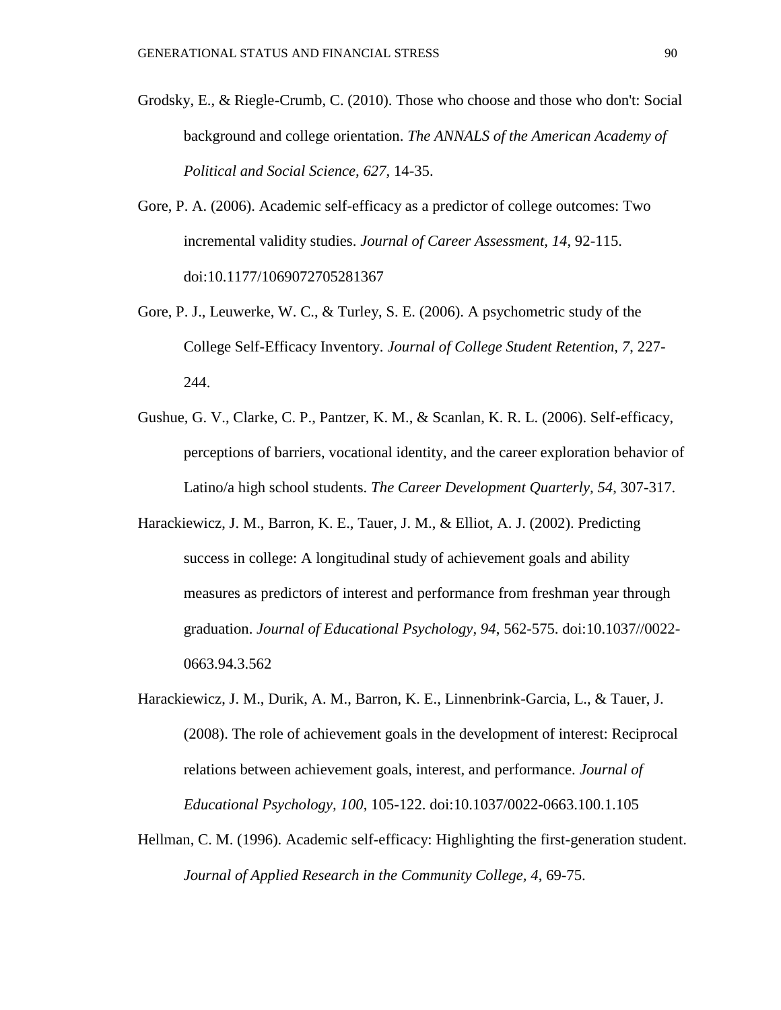- Grodsky, E., & Riegle-Crumb, C. (2010). Those who choose and those who don't: Social background and college orientation. *The ANNALS of the American Academy of Political and Social Science, 627,* 14-35.
- Gore, P. A. (2006). Academic self-efficacy as a predictor of college outcomes: Two incremental validity studies. *Journal of Career Assessment, 14*, 92-115. doi:10.1177/1069072705281367
- Gore, P. J., Leuwerke, W. C., & Turley, S. E. (2006). A psychometric study of the College Self-Efficacy Inventory. *Journal of College Student Retention, 7*, 227- 244.
- Gushue, G. V., Clarke, C. P., Pantzer, K. M., & Scanlan, K. R. L. (2006). Self-efficacy, perceptions of barriers, vocational identity, and the career exploration behavior of Latino/a high school students. *The Career Development Quarterly, 54*, 307-317.
- Harackiewicz, J. M., Barron, K. E., Tauer, J. M., & Elliot, A. J. (2002). Predicting success in college: A longitudinal study of achievement goals and ability measures as predictors of interest and performance from freshman year through graduation. *Journal of Educational Psychology, 94*, 562-575. doi:10.1037//0022- 0663.94.3.562
- Harackiewicz, J. M., Durik, A. M., Barron, K. E., Linnenbrink-Garcia, L., & Tauer, J. (2008). The role of achievement goals in the development of interest: Reciprocal relations between achievement goals, interest, and performance. *Journal of Educational Psychology, 100*, 105-122. doi:10.1037/0022-0663.100.1.105
- Hellman, C. M. (1996). Academic self-efficacy: Highlighting the first-generation student. *Journal of Applied Research in the Community College, 4*, 69-75.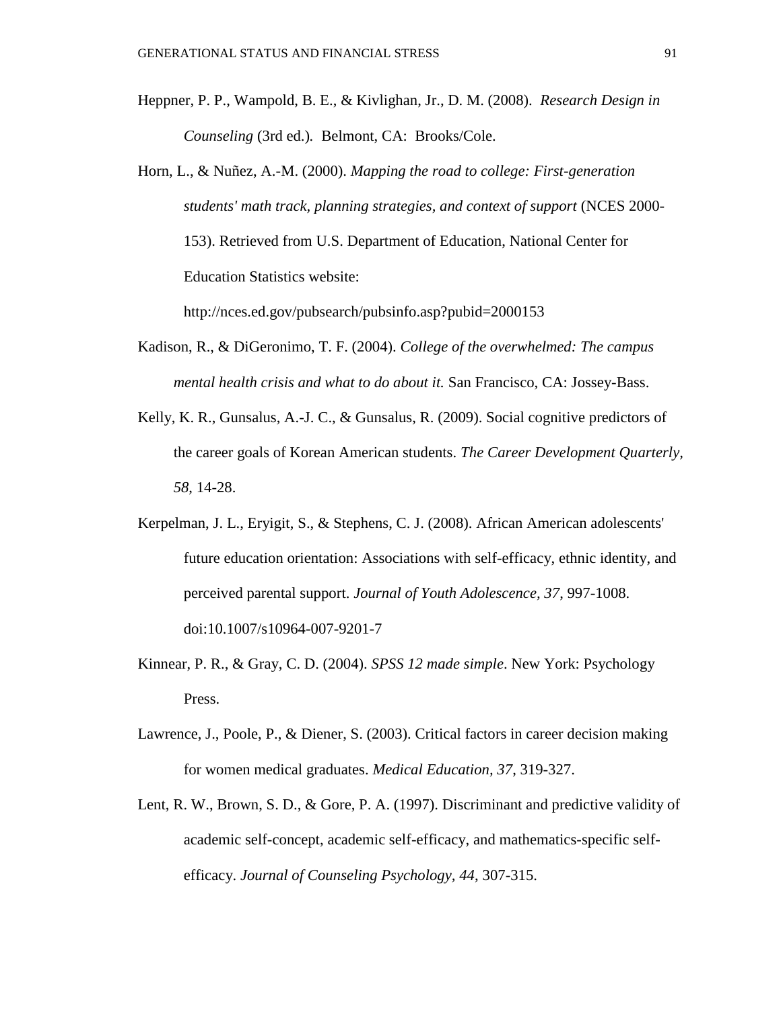- Heppner, P. P., Wampold, B. E., & Kivlighan, Jr., D. M. (2008). *Research Design in Counseling* (3rd ed.)*.* Belmont, CA: Brooks/Cole.
- Horn, L., & Nuñez, A.-M. (2000). *Mapping the road to college: First-generation students' math track, planning strategies, and context of support* (NCES 2000- 153). Retrieved from U.S. Department of Education, National Center for Education Statistics website: http://nces.ed.gov/pubsearch/pubsinfo.asp?pubid=2000153
	-
- Kadison, R., & DiGeronimo, T. F. (2004). *College of the overwhelmed: The campus mental health crisis and what to do about it.* San Francisco, CA: Jossey-Bass.
- Kelly, K. R., Gunsalus, A.-J. C., & Gunsalus, R. (2009). Social cognitive predictors of the career goals of Korean American students. *The Career Development Quarterly, 58*, 14-28.
- Kerpelman, J. L., Eryigit, S., & Stephens, C. J. (2008). African American adolescents' future education orientation: Associations with self-efficacy, ethnic identity, and perceived parental support. *Journal of Youth Adolescence, 37*, 997-1008. doi:10.1007/s10964-007-9201-7
- Kinnear, P. R., & Gray, C. D. (2004). *SPSS 12 made simple*. New York: Psychology Press.
- Lawrence, J., Poole, P., & Diener, S. (2003). Critical factors in career decision making for women medical graduates. *Medical Education, 37*, 319-327.
- Lent, R. W., Brown, S. D., & Gore, P. A. (1997). Discriminant and predictive validity of academic self-concept, academic self-efficacy, and mathematics-specific selfefficacy. *Journal of Counseling Psychology, 44*, 307-315.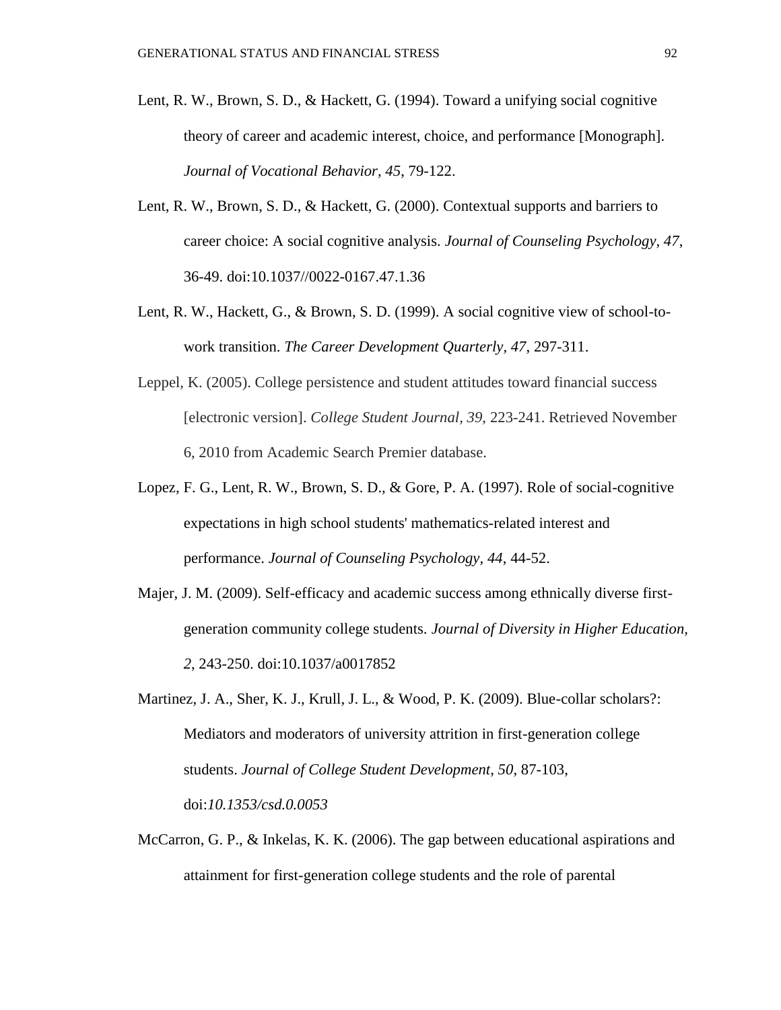- Lent, R. W., Brown, S. D., & Hackett, G. (1994). Toward a unifying social cognitive theory of career and academic interest, choice, and performance [Monograph]. *Journal of Vocational Behavior, 45*, 79-122.
- Lent, R. W., Brown, S. D., & Hackett, G. (2000). Contextual supports and barriers to career choice: A social cognitive analysis. *Journal of Counseling Psychology, 47*, 36-49. doi:10.1037//0022-0167.47.1.36
- Lent, R. W., Hackett, G., & Brown, S. D. (1999). A social cognitive view of school-towork transition. *The Career Development Quarterly, 47*, 297-311.
- Leppel, K. (2005). College persistence and student attitudes toward financial success [electronic version]. *College Student Journal, 39*, 223-241. Retrieved November 6, 2010 from Academic Search Premier database.
- Lopez, F. G., Lent, R. W., Brown, S. D., & Gore, P. A. (1997). Role of social-cognitive expectations in high school students' mathematics-related interest and performance. *Journal of Counseling Psychology, 44*, 44-52.
- Majer, J. M. (2009). Self-efficacy and academic success among ethnically diverse firstgeneration community college students. *Journal of Diversity in Higher Education, 2*, 243-250. doi:10.1037/a0017852
- Martinez, J. A., Sher, K. J., Krull, J. L., & Wood, P. K. (2009). Blue-collar scholars?: Mediators and moderators of university attrition in first-generation college students. *Journal of College Student Development, 50*, 87-103, doi:*10.1353/csd.0.0053*
- McCarron, G. P., & Inkelas, K. K. (2006). The gap between educational aspirations and attainment for first-generation college students and the role of parental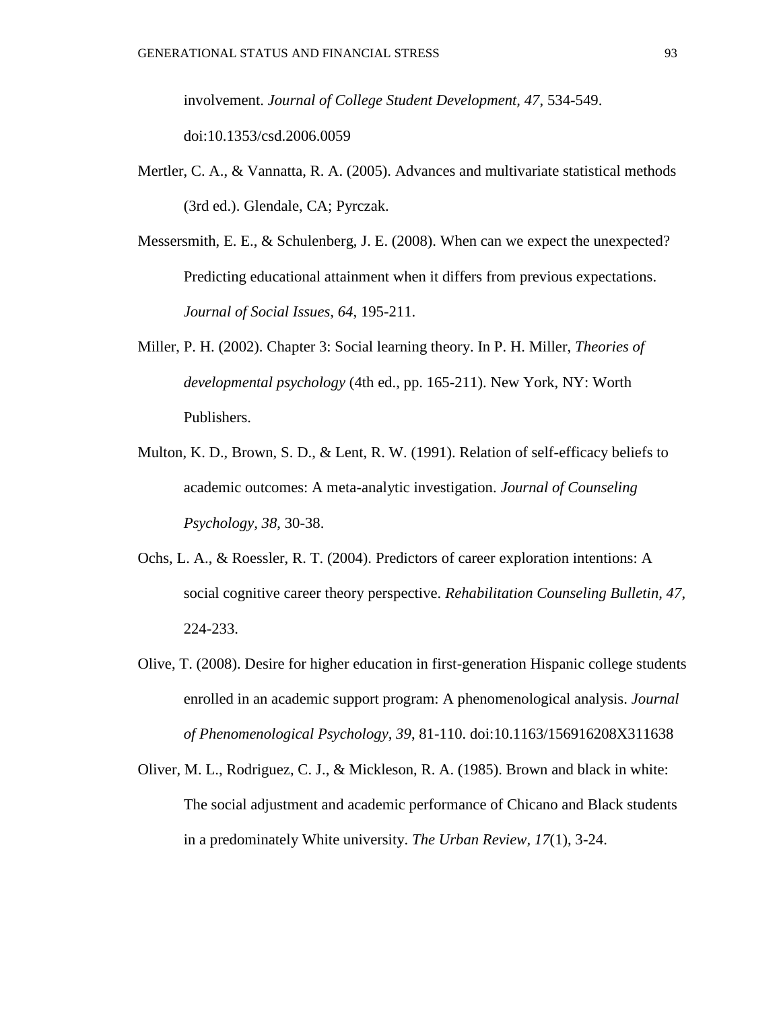involvement. *Journal of College Student Development, 47*, 534-549. doi:10.1353/csd.2006.0059

- Mertler, C. A., & Vannatta, R. A. (2005). Advances and multivariate statistical methods (3rd ed.). Glendale, CA; Pyrczak.
- Messersmith, E. E., & Schulenberg, J. E. (2008). When can we expect the unexpected? Predicting educational attainment when it differs from previous expectations. *Journal of Social Issues, 64*, 195-211.
- Miller, P. H. (2002). Chapter 3: Social learning theory. In P. H. Miller, *Theories of developmental psychology* (4th ed., pp. 165-211). New York, NY: Worth Publishers.
- Multon, K. D., Brown, S. D., & Lent, R. W. (1991). Relation of self-efficacy beliefs to academic outcomes: A meta-analytic investigation. *Journal of Counseling Psychology, 38*, 30-38.
- Ochs, L. A., & Roessler, R. T. (2004). Predictors of career exploration intentions: A social cognitive career theory perspective. *Rehabilitation Counseling Bulletin, 47*, 224-233.
- Olive, T. (2008). Desire for higher education in first-generation Hispanic college students enrolled in an academic support program: A phenomenological analysis. *Journal of Phenomenological Psychology, 39*, 81-110. doi:10.1163/156916208X311638
- Oliver, M. L., Rodriguez, C. J., & Mickleson, R. A. (1985). Brown and black in white: The social adjustment and academic performance of Chicano and Black students in a predominately White university. *The Urban Review, 17*(1), 3-24.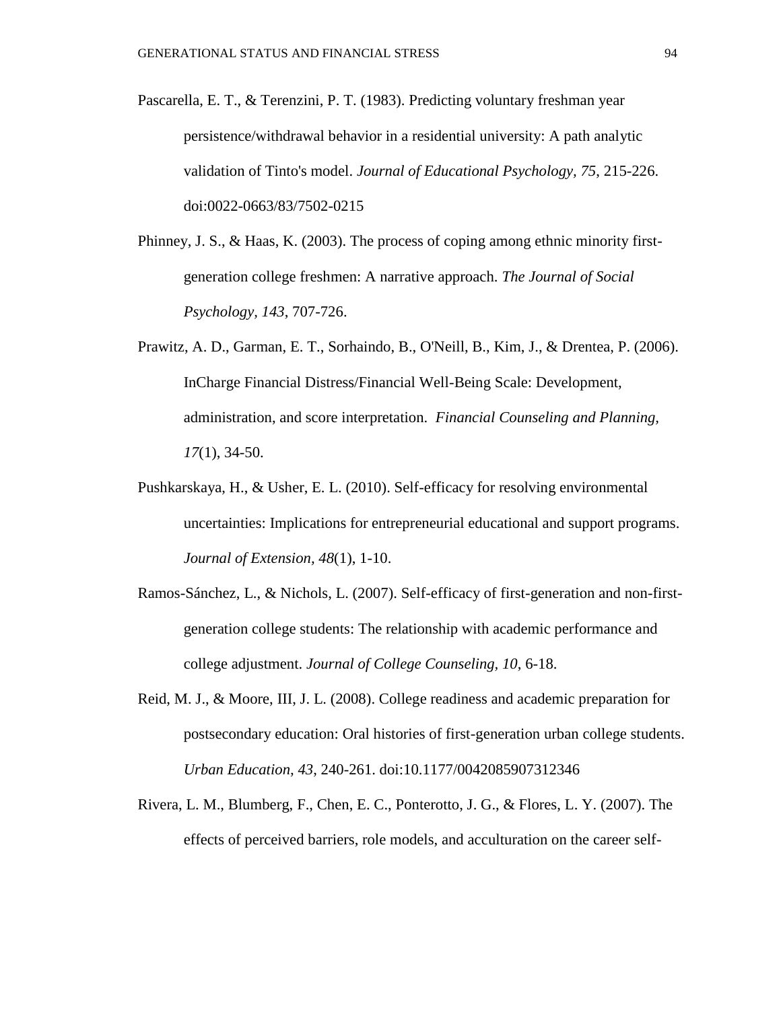- Pascarella, E. T., & Terenzini, P. T. (1983). Predicting voluntary freshman year persistence/withdrawal behavior in a residential university: A path analytic validation of Tinto's model. *Journal of Educational Psychology, 75*, 215-226. doi:0022-0663/83/7502-0215
- Phinney, J. S., & Haas, K. (2003). The process of coping among ethnic minority firstgeneration college freshmen: A narrative approach. *The Journal of Social Psychology, 143*, 707-726.
- Prawitz, A. D., Garman, E. T., Sorhaindo, B., O'Neill, B., Kim, J., & Drentea, P. (2006). InCharge Financial Distress/Financial Well-Being Scale: Development, administration, and score interpretation. *Financial Counseling and Planning, 17*(1), 34-50.
- Pushkarskaya, H., & Usher, E. L. (2010). Self-efficacy for resolving environmental uncertainties: Implications for entrepreneurial educational and support programs. *Journal of Extension, 48*(1), 1-10.
- Ramos-Sánchez, L., & Nichols, L. (2007). Self-efficacy of first-generation and non-firstgeneration college students: The relationship with academic performance and college adjustment. *Journal of College Counseling, 10*, 6-18.
- Reid, M. J., & Moore, III, J. L. (2008). College readiness and academic preparation for postsecondary education: Oral histories of first-generation urban college students. *Urban Education, 43*, 240-261. doi:10.1177/0042085907312346
- Rivera, L. M., Blumberg, F., Chen, E. C., Ponterotto, J. G., & Flores, L. Y. (2007). The effects of perceived barriers, role models, and acculturation on the career self-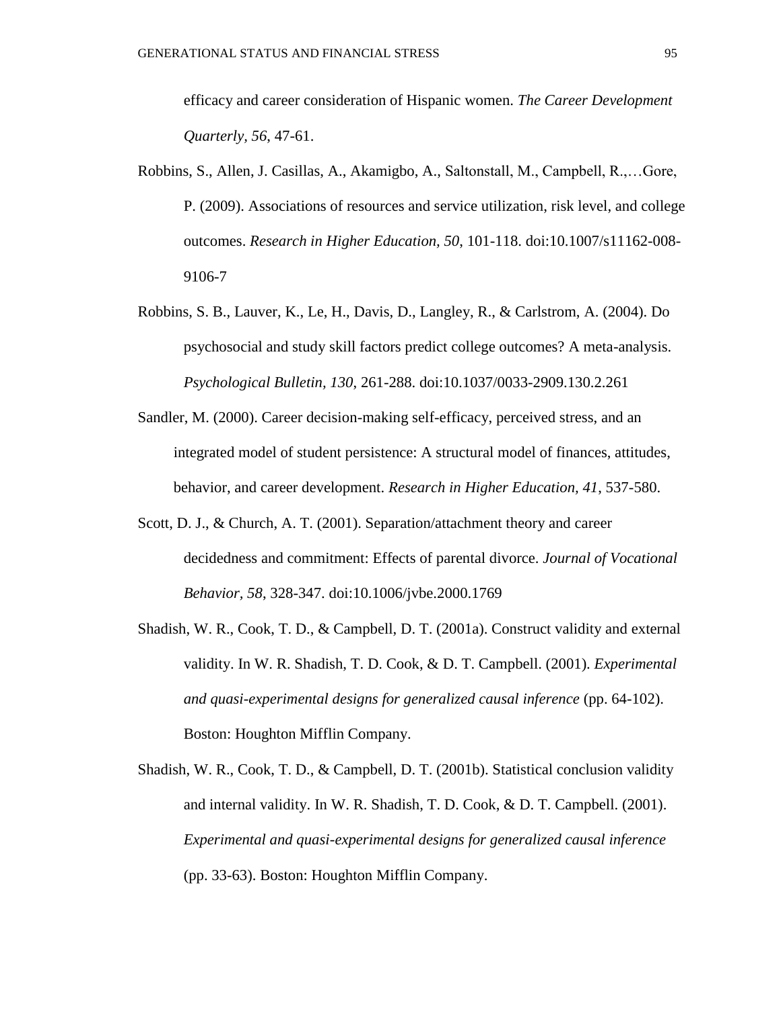efficacy and career consideration of Hispanic women. *The Career Development Quarterly, 56*, 47-61.

- Robbins, S., Allen, J. Casillas, A., Akamigbo, A., Saltonstall, M., Campbell, R.,…Gore, P. (2009). Associations of resources and service utilization, risk level, and college outcomes. *Research in Higher Education, 50*, 101-118. doi:10.1007/s11162-008- 9106-7
- Robbins, S. B., Lauver, K., Le, H., Davis, D., Langley, R., & Carlstrom, A. (2004). Do psychosocial and study skill factors predict college outcomes? A meta-analysis. *Psychological Bulletin, 130*, 261-288. doi:10.1037/0033-2909.130.2.261
- Sandler, M. (2000). Career decision-making self-efficacy, perceived stress, and an integrated model of student persistence: A structural model of finances, attitudes, behavior, and career development. *Research in Higher Education, 41*, 537-580.
- Scott, D. J., & Church, A. T. (2001). Separation/attachment theory and career decidedness and commitment: Effects of parental divorce. *Journal of Vocational Behavior, 58*, 328-347. doi:10.1006/jvbe.2000.1769
- Shadish, W. R., Cook, T. D., & Campbell, D. T. (2001a). Construct validity and external validity. In W. R. Shadish, T. D. Cook, & D. T. Campbell. (2001). *Experimental and quasi-experimental designs for generalized causal inference* (pp. 64-102). Boston: Houghton Mifflin Company.
- Shadish, W. R., Cook, T. D., & Campbell, D. T. (2001b). Statistical conclusion validity and internal validity. In W. R. Shadish, T. D. Cook, & D. T. Campbell. (2001). *Experimental and quasi-experimental designs for generalized causal inference* (pp. 33-63). Boston: Houghton Mifflin Company.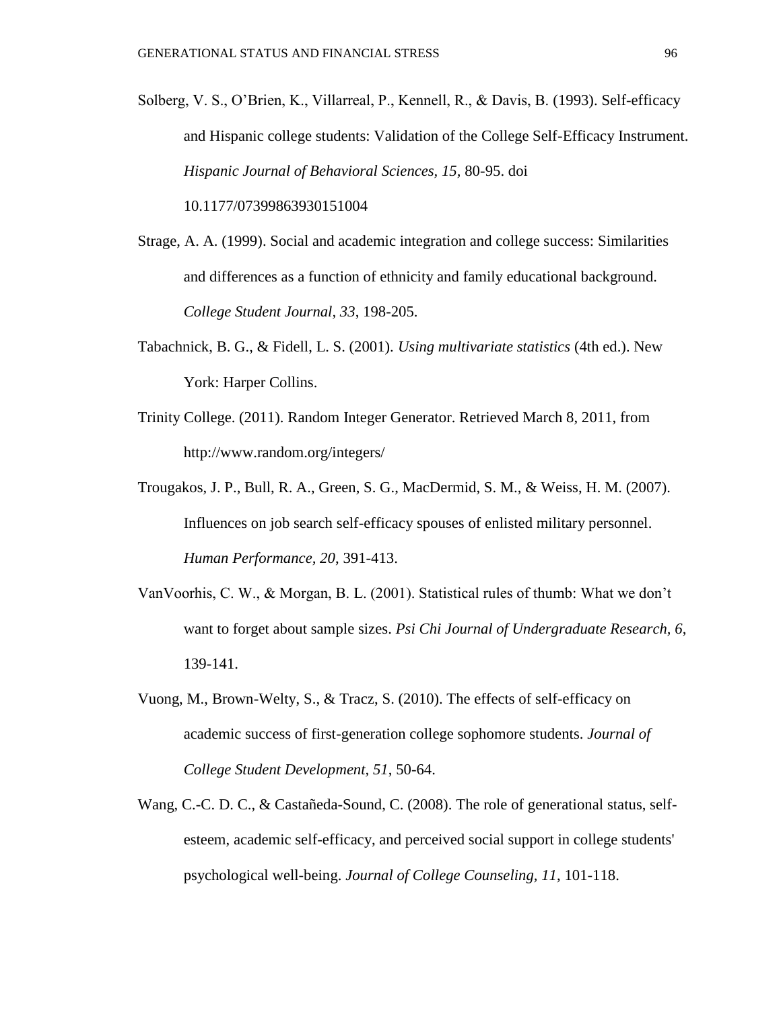- Solberg, V. S., O'Brien, K., Villarreal, P., Kennell, R., & Davis, B. (1993). Self-efficacy and Hispanic college students: Validation of the College Self-Efficacy Instrument. *Hispanic Journal of Behavioral Sciences, 15,* 80-95. doi 10.1177/07399863930151004
- Strage, A. A. (1999). Social and academic integration and college success: Similarities and differences as a function of ethnicity and family educational background.

*College Student Journal, 33*, 198-205.

- Tabachnick, B. G., & Fidell, L. S. (2001). *Using multivariate statistics* (4th ed.). New York: Harper Collins.
- Trinity College. (2011). Random Integer Generator. Retrieved March 8, 2011, from http://www.random.org/integers/
- Trougakos, J. P., Bull, R. A., Green, S. G., MacDermid, S. M., & Weiss, H. M. (2007). Influences on job search self-efficacy spouses of enlisted military personnel. *Human Performance, 20*, 391-413.
- VanVoorhis, C. W., & Morgan, B. L. (2001). Statistical rules of thumb: What we don't want to forget about sample sizes. *Psi Chi Journal of Undergraduate Research, 6*, 139-141.
- Vuong, M., Brown-Welty, S., & Tracz, S. (2010). The effects of self-efficacy on academic success of first-generation college sophomore students. *Journal of College Student Development, 51*, 50-64.
- Wang, C.-C. D. C., & Castañeda-Sound, C. (2008). The role of generational status, selfesteem, academic self-efficacy, and perceived social support in college students' psychological well-being. *Journal of College Counseling, 11*, 101-118.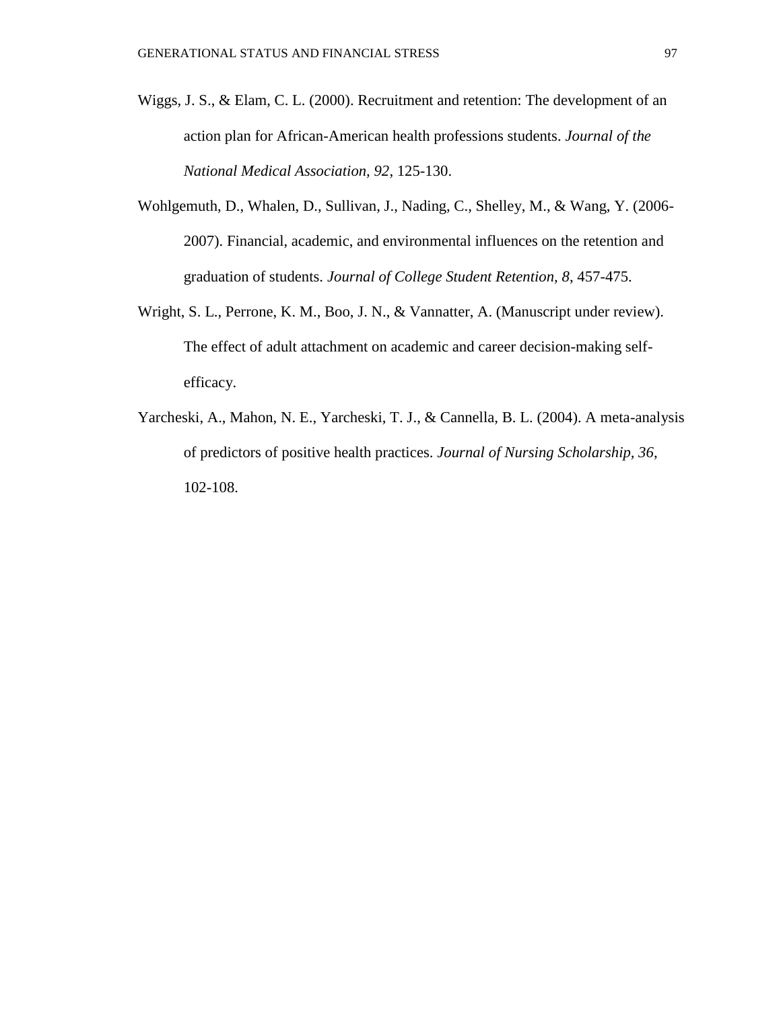- Wiggs, J. S., & Elam, C. L. (2000). Recruitment and retention: The development of an action plan for African-American health professions students. *Journal of the National Medical Association, 92*, 125-130.
- Wohlgemuth, D., Whalen, D., Sullivan, J., Nading, C., Shelley, M., & Wang, Y. (2006- 2007). Financial, academic, and environmental influences on the retention and graduation of students. *Journal of College Student Retention, 8*, 457-475.
- Wright, S. L., Perrone, K. M., Boo, J. N., & Vannatter, A. (Manuscript under review). The effect of adult attachment on academic and career decision-making selfefficacy.
- Yarcheski, A., Mahon, N. E., Yarcheski, T. J., & Cannella, B. L. (2004). A meta-analysis of predictors of positive health practices. *Journal of Nursing Scholarship, 36*, 102-108.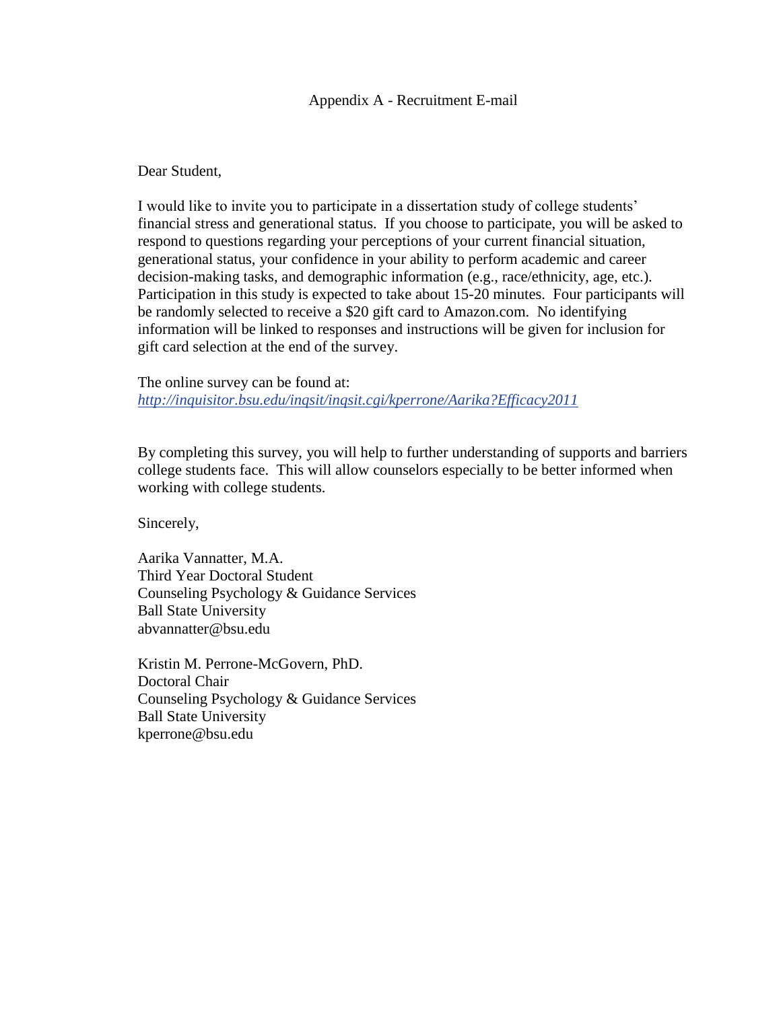#### Appendix A - Recruitment E-mail

Dear Student,

I would like to invite you to participate in a dissertation study of college students' financial stress and generational status. If you choose to participate, you will be asked to respond to questions regarding your perceptions of your current financial situation, generational status, your confidence in your ability to perform academic and career decision-making tasks, and demographic information (e.g., race/ethnicity, age, etc.). Participation in this study is expected to take about 15-20 minutes. Four participants will be randomly selected to receive a \$20 gift card to Amazon.com. No identifying information will be linked to responses and instructions will be given for inclusion for gift card selection at the end of the survey.

The online survey can be found at: *http://inquisitor.bsu.edu/inqsit/inqsit.cgi/kperrone/Aarika?Efficacy2011*

By completing this survey, you will help to further understanding of supports and barriers college students face. This will allow counselors especially to be better informed when working with college students.

Sincerely,

Aarika Vannatter, M.A. Third Year Doctoral Student Counseling Psychology & Guidance Services Ball State University abvannatter@bsu.edu

Kristin M. Perrone-McGovern, PhD. Doctoral Chair Counseling Psychology & Guidance Services Ball State University kperrone@bsu.edu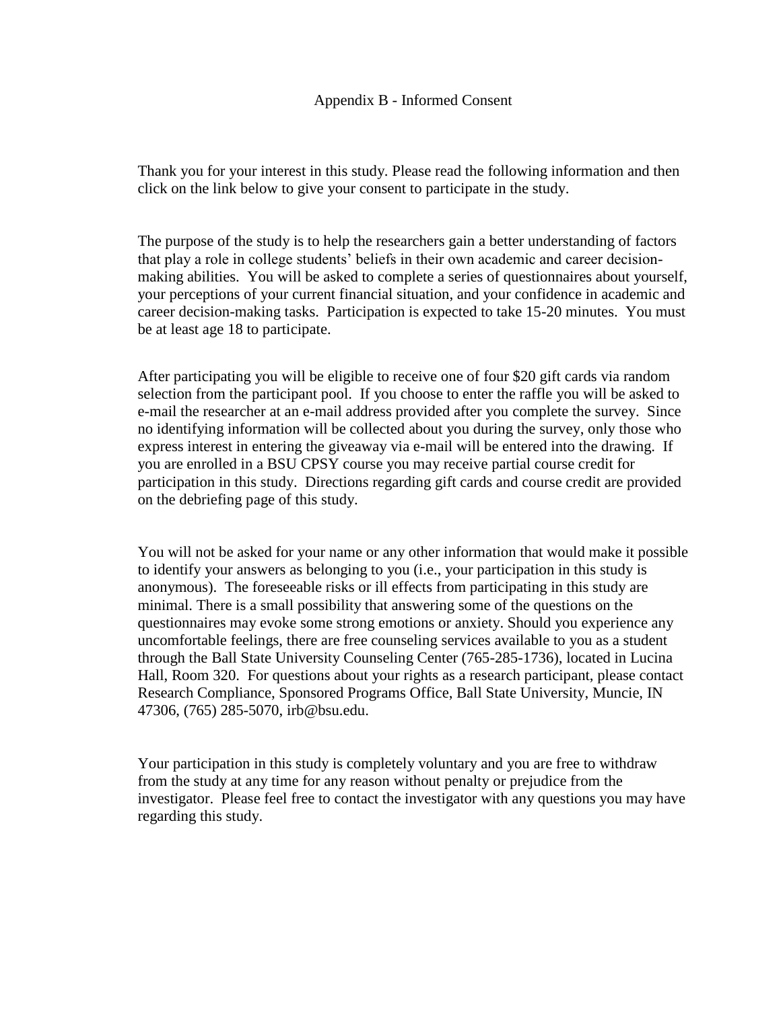Thank you for your interest in this study. Please read the following information and then click on the link below to give your consent to participate in the study.

The purpose of the study is to help the researchers gain a better understanding of factors that play a role in college students' beliefs in their own academic and career decisionmaking abilities. You will be asked to complete a series of questionnaires about yourself, your perceptions of your current financial situation, and your confidence in academic and career decision-making tasks. Participation is expected to take 15-20 minutes. You must be at least age 18 to participate.

After participating you will be eligible to receive one of four \$20 gift cards via random selection from the participant pool. If you choose to enter the raffle you will be asked to e-mail the researcher at an e-mail address provided after you complete the survey. Since no identifying information will be collected about you during the survey, only those who express interest in entering the giveaway via e-mail will be entered into the drawing. If you are enrolled in a BSU CPSY course you may receive partial course credit for participation in this study. Directions regarding gift cards and course credit are provided on the debriefing page of this study.

You will not be asked for your name or any other information that would make it possible to identify your answers as belonging to you (i.e., your participation in this study is anonymous). The foreseeable risks or ill effects from participating in this study are minimal. There is a small possibility that answering some of the questions on the questionnaires may evoke some strong emotions or anxiety. Should you experience any uncomfortable feelings, there are free counseling services available to you as a student through the Ball State University Counseling Center (765-285-1736), located in Lucina Hall, Room 320. For questions about your rights as a research participant, please contact Research Compliance, Sponsored Programs Office, Ball State University, Muncie, IN 47306, (765) 285-5070, irb@bsu.edu.

Your participation in this study is completely voluntary and you are free to withdraw from the study at any time for any reason without penalty or prejudice from the investigator. Please feel free to contact the investigator with any questions you may have regarding this study.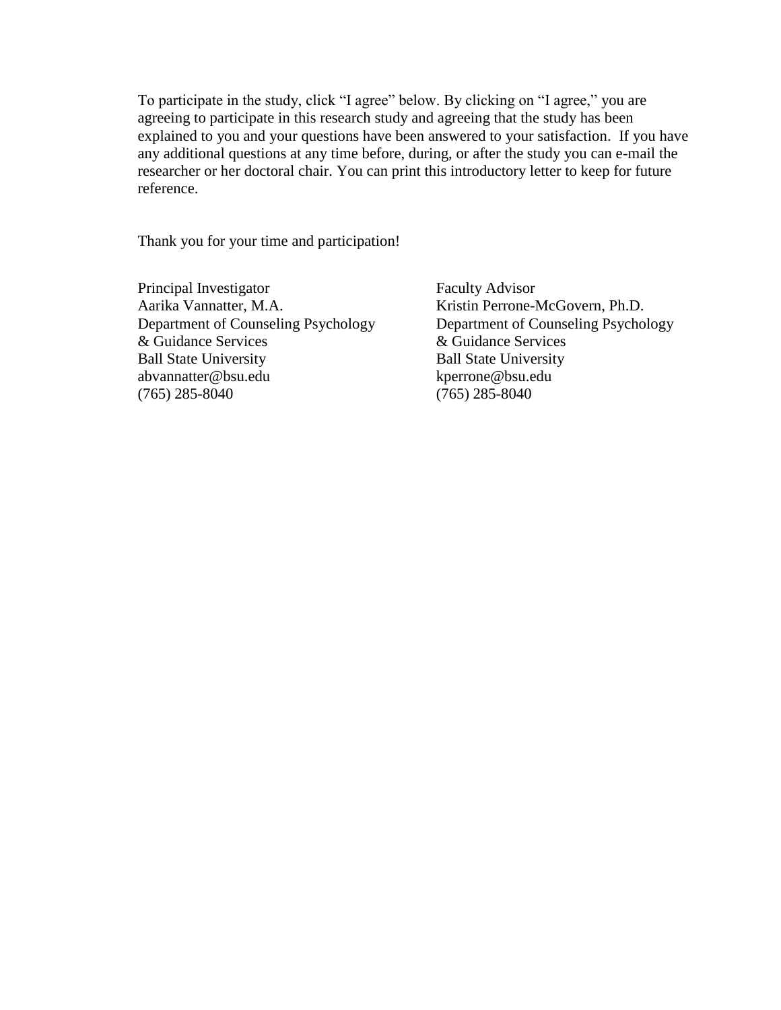To participate in the study, click "I agree" below. By clicking on "I agree," you are agreeing to participate in this research study and agreeing that the study has been explained to you and your questions have been answered to your satisfaction. If you have any additional questions at any time before, during, or after the study you can e-mail the researcher or her doctoral chair. You can print this introductory letter to keep for future reference.

Thank you for your time and participation!

Principal Investigator Aarika Vannatter, M.A. Department of Counseling Psychology & Guidance Services Ball State University abvannatter@bsu.edu (765) 285-8040

Faculty Advisor Kristin Perrone-McGovern, Ph.D. Department of Counseling Psychology & Guidance Services Ball State University kperrone@bsu.edu (765) 285-8040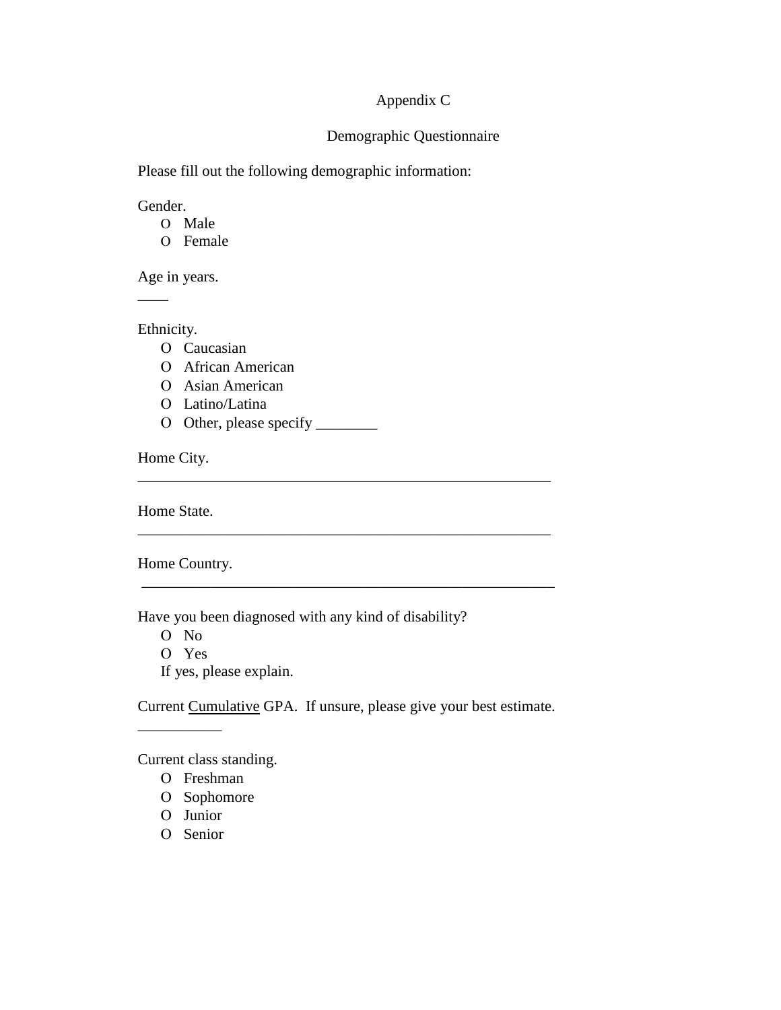### Appendix C

### Demographic Questionnaire

Please fill out the following demographic information:

Gender.

O Male

O Female

Age in years.

Ethnicity.

\_\_\_\_

O Caucasian

African American

O Asian American

Latino/Latina

O Other, please specify \_\_\_\_\_\_\_\_

Home City.

Home State.

Home Country.

Have you been diagnosed with any kind of disability?

O No Yes If yes, please explain.

Current Cumulative GPA. If unsure, please give your best estimate.

\_\_\_\_\_\_\_\_\_\_\_\_\_\_\_\_\_\_\_\_\_\_\_\_\_\_\_\_\_\_\_\_\_\_\_\_\_\_\_\_\_\_\_\_\_\_\_\_\_\_\_\_\_\_

\_\_\_\_\_\_\_\_\_\_\_\_\_\_\_\_\_\_\_\_\_\_\_\_\_\_\_\_\_\_\_\_\_\_\_\_\_\_\_\_\_\_\_\_\_\_\_\_\_\_\_\_\_\_

\_\_\_\_\_\_\_\_\_\_\_\_\_\_\_\_\_\_\_\_\_\_\_\_\_\_\_\_\_\_\_\_\_\_\_\_\_\_\_\_\_\_\_\_\_\_\_\_\_\_\_\_\_\_

Current class standing.

O Freshman

O Sophomore

O Junior

 $\frac{1}{2}$  ,  $\frac{1}{2}$  ,  $\frac{1}{2}$  ,  $\frac{1}{2}$  ,  $\frac{1}{2}$ 

O Senior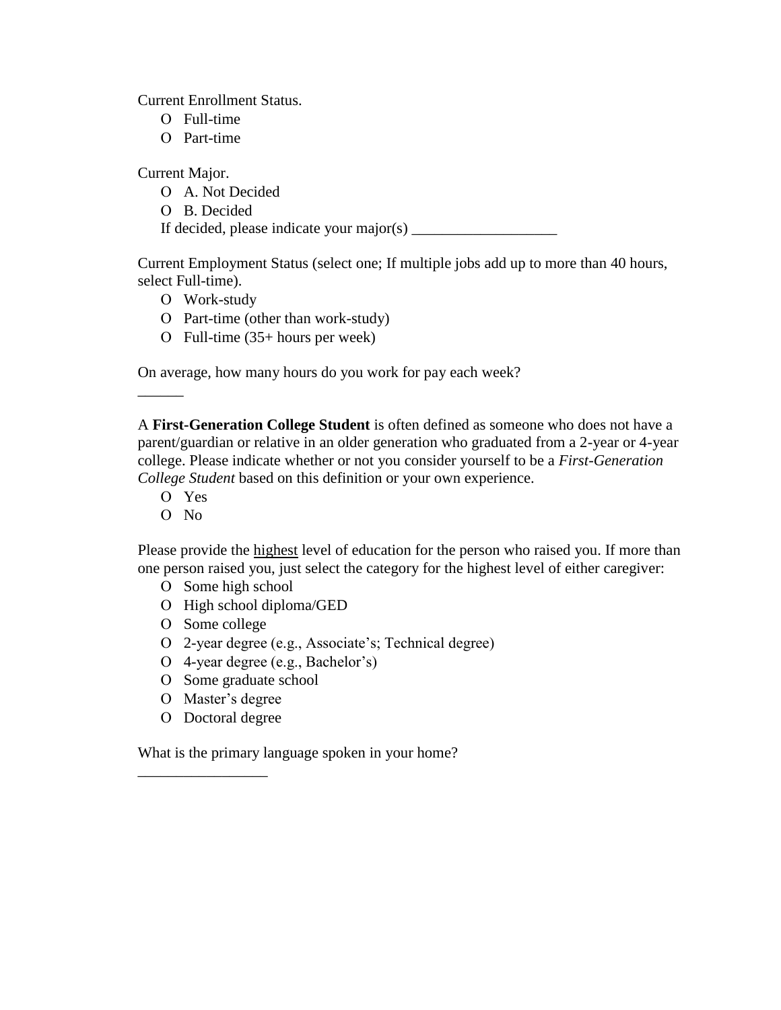Current Enrollment Status.

- Full-time
- Part-time

Current Major.

- A. Not Decided
- B. Decided

If decided, please indicate your major(s)  $\frac{1}{\sqrt{1-\frac{1}{\sqrt{1-\frac{1}{\sqrt{1-\frac{1}{\sqrt{1-\frac{1}{\sqrt{1-\frac{1}{\sqrt{1-\frac{1}{\sqrt{1-\frac{1}{\sqrt{1-\frac{1}{\sqrt{1-\frac{1}{\sqrt{1-\frac{1}{\sqrt{1-\frac{1}{\sqrt{1-\frac{1}{\sqrt{1-\frac{1}{\sqrt{1-\frac{1}{\sqrt{1-\frac{1}{\sqrt{1-\frac{1}{\sqrt{1-\frac{1}{\sqrt{1-\frac{1}{\sqrt{1-\frac{1}{\sqrt$ 

Current Employment Status (select one; If multiple jobs add up to more than 40 hours, select Full-time).

- Work-study
- O Part-time (other than work-study)
- Full-time (35+ hours per week)

On average, how many hours do you work for pay each week?

A **First-Generation College Student** is often defined as someone who does not have a parent/guardian or relative in an older generation who graduated from a 2-year or 4-year college. Please indicate whether or not you consider yourself to be a *First-Generation College Student* based on this definition or your own experience.

Yes

 $\overline{\phantom{a}}$ 

 $O$  No

Please provide the highest level of education for the person who raised you. If more than one person raised you, just select the category for the highest level of either caregiver:

- O Some high school
- O High school diploma/GED
- O Some college
- 2-year degree (e.g., Associate's; Technical degree)
- 4-year degree (e.g., Bachelor's)
- O Some graduate school
- O Master's degree
- O Doctoral degree

\_\_\_\_\_\_\_\_\_\_\_\_\_\_\_\_\_

What is the primary language spoken in your home?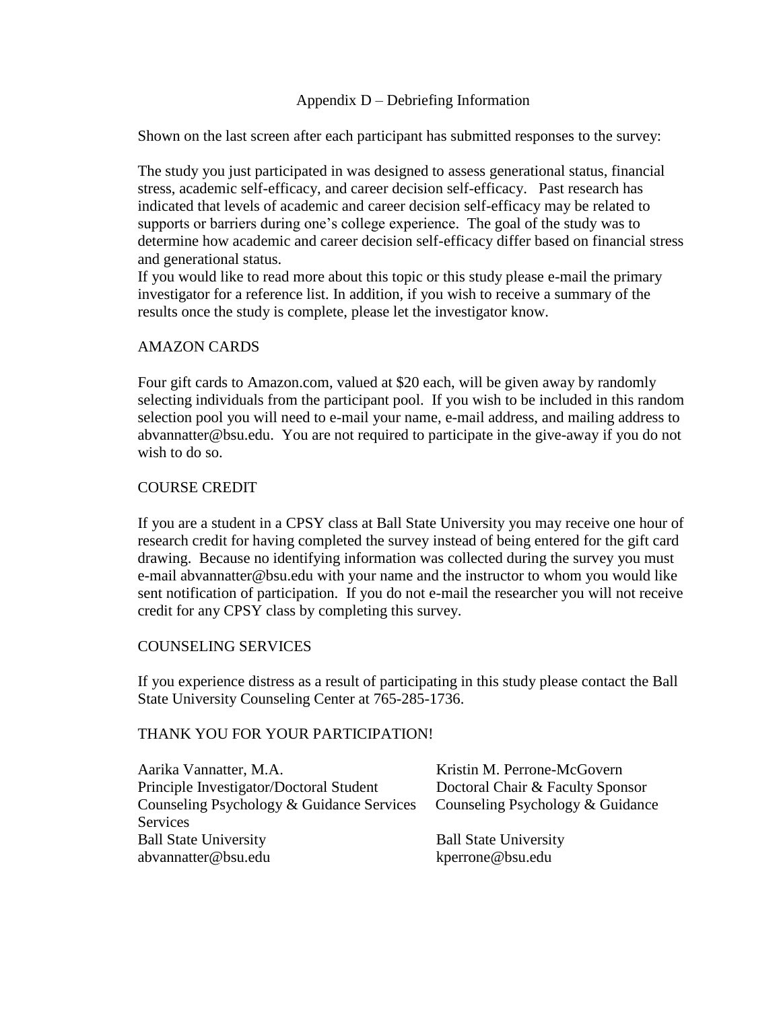### Appendix D – Debriefing Information

Shown on the last screen after each participant has submitted responses to the survey:

The study you just participated in was designed to assess generational status, financial stress, academic self-efficacy, and career decision self-efficacy. Past research has indicated that levels of academic and career decision self-efficacy may be related to supports or barriers during one's college experience. The goal of the study was to determine how academic and career decision self-efficacy differ based on financial stress and generational status.

If you would like to read more about this topic or this study please e-mail the primary investigator for a reference list. In addition, if you wish to receive a summary of the results once the study is complete, please let the investigator know.

### AMAZON CARDS

Four gift cards to Amazon.com, valued at \$20 each, will be given away by randomly selecting individuals from the participant pool. If you wish to be included in this random selection pool you will need to e-mail your name, e-mail address, and mailing address to abvannatter@bsu.edu. You are not required to participate in the give-away if you do not wish to do so.

### COURSE CREDIT

If you are a student in a CPSY class at Ball State University you may receive one hour of research credit for having completed the survey instead of being entered for the gift card drawing. Because no identifying information was collected during the survey you must e-mail abvannatter@bsu.edu with your name and the instructor to whom you would like sent notification of participation. If you do not e-mail the researcher you will not receive credit for any CPSY class by completing this survey.

### COUNSELING SERVICES

If you experience distress as a result of participating in this study please contact the Ball State University Counseling Center at 765-285-1736.

### THANK YOU FOR YOUR PARTICIPATION!

| Aarika Vannatter, M.A.                    | Kristin M. Perrone-McGovern      |
|-------------------------------------------|----------------------------------|
| Principle Investigator/Doctoral Student   | Doctoral Chair & Faculty Sponsor |
| Counseling Psychology & Guidance Services | Counseling Psychology & Guidance |
| Services                                  |                                  |
| <b>Ball State University</b>              | <b>Ball State University</b>     |
| abvannatter@bsu.edu                       | kperrone@bsu.edu                 |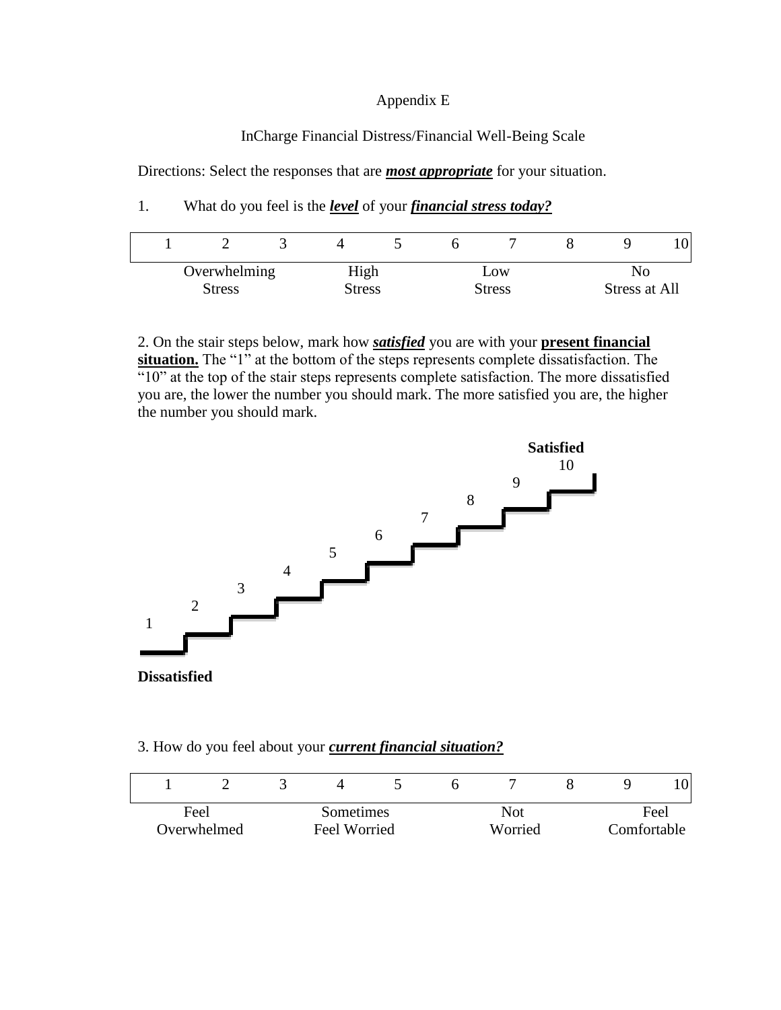#### Appendix E

### InCharge Financial Distress/Financial Well-Being Scale

Directions: Select the responses that are *most appropriate* for your situation.

1. What do you feel is the *level* of your *financial stress today?*

| Overwhelming<br>High<br><b>Stress</b><br>Stress |  |  | LOW<br>Stress | Stress at All |  |  |
|-------------------------------------------------|--|--|---------------|---------------|--|--|

2. On the stair steps below, mark how *satisfied* you are with your **present financial**  situation. The "1" at the bottom of the steps represents complete dissatisfaction. The  $\frac{1}{10}$  at the top of the stair steps represents complete satisfaction. The more dissatisfied you are, the lower the number you should mark. The more satisfied you are, the higher the number you should mark.



#### 3. How do you feel about your *current financial situation?*

| Feel        |  | Sometimes    |  | Not     |  |  | Feel        |  |
|-------------|--|--------------|--|---------|--|--|-------------|--|
| Overwhelmed |  | Feel Worried |  | Worried |  |  | Comfortable |  |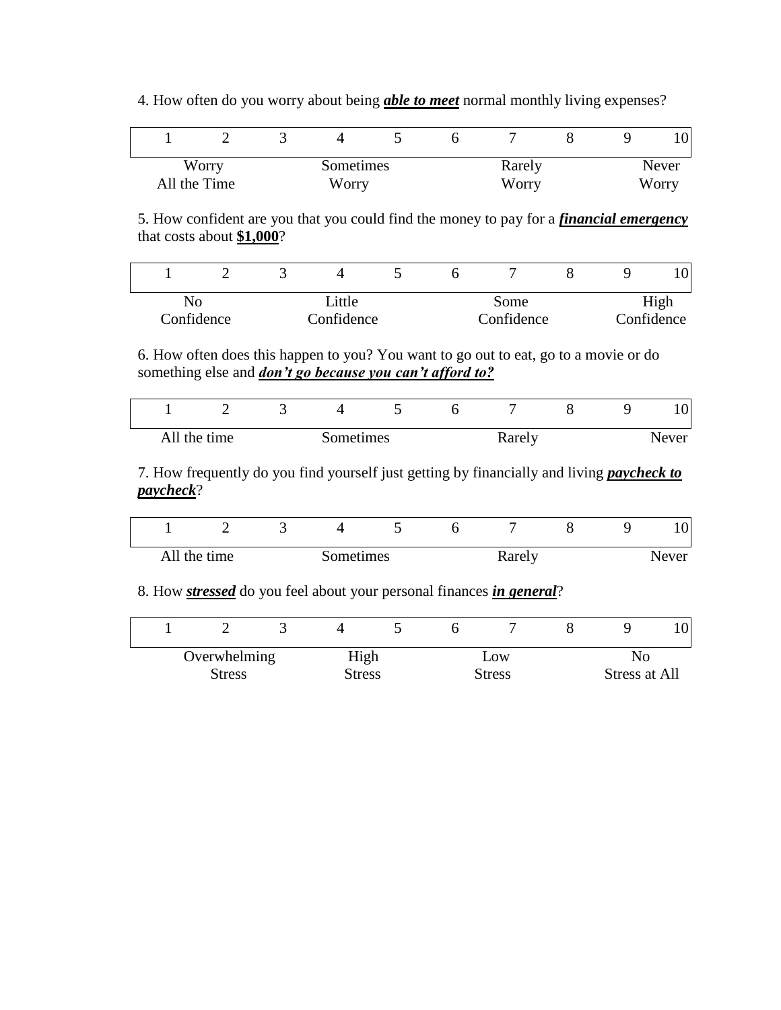4. How often do you worry about being *able to meet* normal monthly living expenses?

|                    |  |       |        |       |  | 10 <sub>1</sub> |
|--------------------|--|-------|--------|-------|--|-----------------|
| Worry<br>Sometimes |  |       | Rarely | Never |  |                 |
| All the Time       |  | Worry |        | Worry |  | Worry           |

5. How confident are you that you could find the money to pay for a *financial emergency* that costs about **\$1,000**?

|                          |  |  |  |            |            |  | $\overline{0}$ |
|--------------------------|--|--|--|------------|------------|--|----------------|
| Little<br>NO             |  |  |  | Some       | High       |  |                |
| Confidence<br>Confidence |  |  |  | Confidence | Confidence |  |                |

6. How often does this happen to you? You want to go out to eat, go to a movie or do something else and *don't go because you can't afford to?*

| ∽                         |  |  |  |        |       | 10 <sup>1</sup> |
|---------------------------|--|--|--|--------|-------|-----------------|
| All the time<br>Sometimes |  |  |  | Rarely | Never |                 |

7. How frequently do you find yourself just getting by financially and living *paycheck to paycheck*?

|              | ້ |           |  |        |  | 10 <sup>1</sup> |
|--------------|---|-----------|--|--------|--|-----------------|
| All the time |   | Sometimes |  | Rarely |  | Never           |

# 8. How *stressed* do you feel about your personal finances *in general*?

| Overwhelming            |  | High |        | Low |  | NΟ            |  |  |
|-------------------------|--|------|--------|-----|--|---------------|--|--|
| <b>Stress</b><br>Stress |  |      | Stress |     |  | Stress at All |  |  |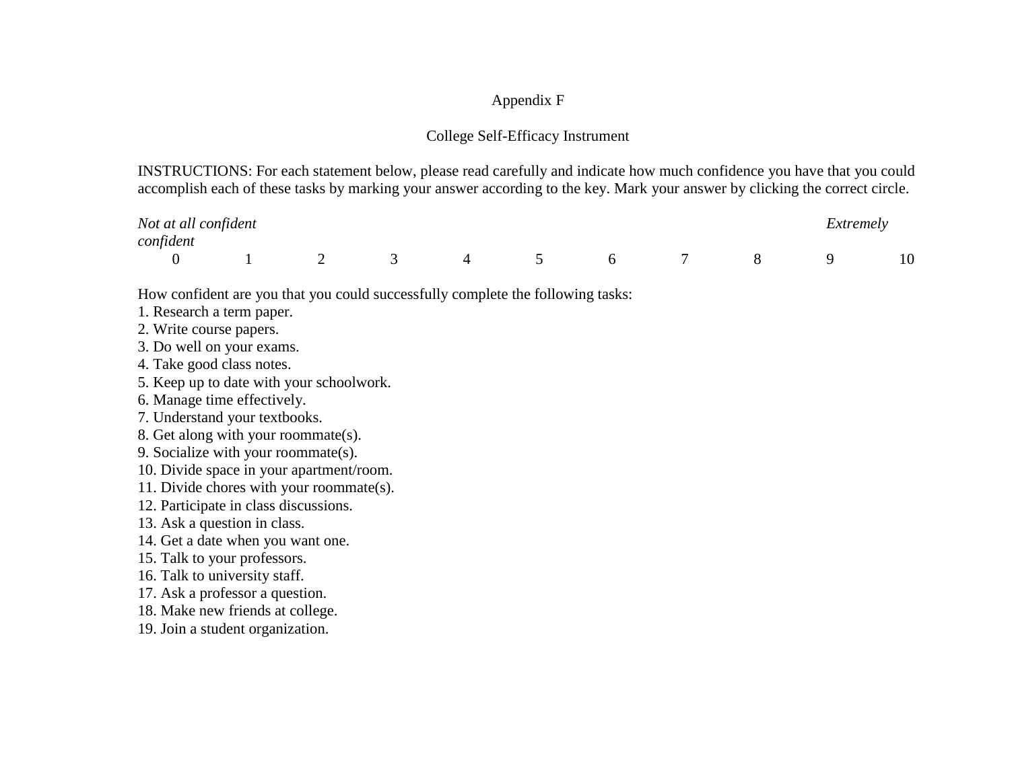# Appendix F

# College Self-Efficacy Instrument

INSTRUCTIONS: For each statement below, please read carefully and indicate how much confidence you have that you could accomplish each of these tasks by marking your answer according to the key. Mark your answer by clicking the correct circle.

| Not at all confident |  |          |          |                 |  | Extremely |    |
|----------------------|--|----------|----------|-----------------|--|-----------|----|
| confident            |  |          |          |                 |  |           |    |
|                      |  | $\sim$ 4 | $\sim$ 5 | $6\overline{6}$ |  |           | 10 |

How confident are you that you could successfully complete the following tasks:

1. Research a term paper.

2. Write course papers.

3. Do well on your exams.

4. Take good class notes.

5. Keep up to date with your schoolwork.

6. Manage time effectively.

7. Understand your textbooks.

8. Get along with your roommate(s).

9. Socialize with your roommate(s).

10. Divide space in your apartment/room.

11. Divide chores with your roommate(s).

12. Participate in class discussions.

13. Ask a question in class.

14. Get a date when you want one.

15. Talk to your professors.

16. Talk to university staff.

17. Ask a professor a question.

18. Make new friends at college.

19. Join a student organization.